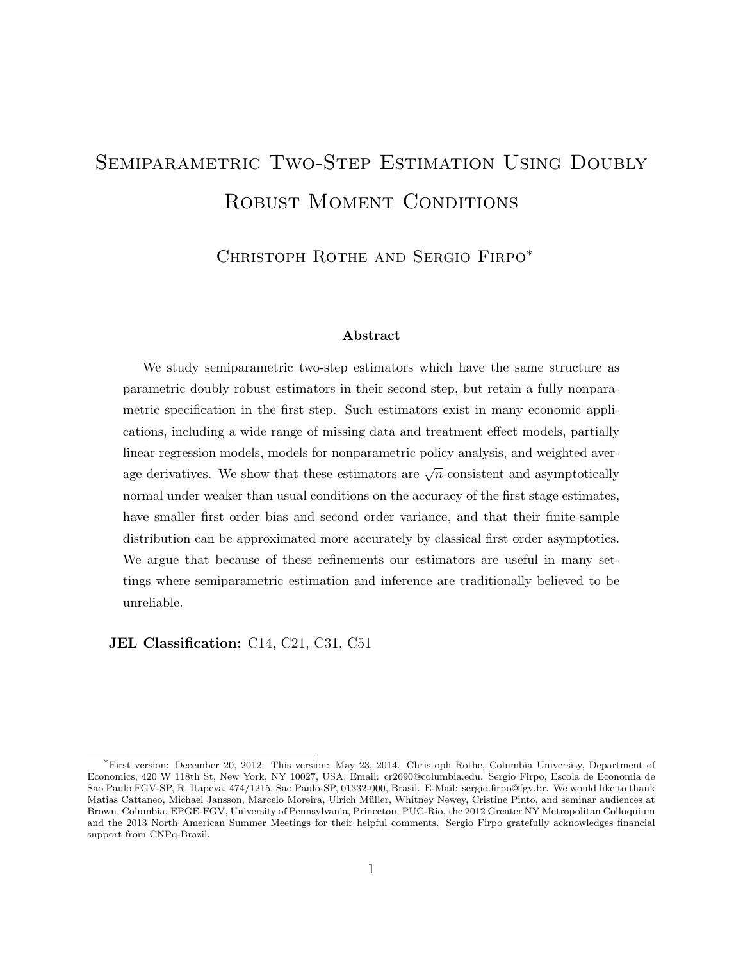# SEMIPARAMETRIC TWO-STEP ESTIMATION USING DOUBLY ROBUST MOMENT CONDITIONS

CHRISTOPH ROTHE AND SERGIO FIRPO<sup>\*</sup>

#### Abstract

We study semiparametric two-step estimators which have the same structure as parametric doubly robust estimators in their second step, but retain a fully nonparametric specification in the first step. Such estimators exist in many economic applications, including a wide range of missing data and treatment effect models, partially linear regression models, models for nonparametric policy analysis, and weighted average derivatives. We show that these estimators are  $\sqrt{n}$ -consistent and asymptotically normal under weaker than usual conditions on the accuracy of the first stage estimates, have smaller first order bias and second order variance, and that their finite-sample distribution can be approximated more accurately by classical first order asymptotics. We argue that because of these refinements our estimators are useful in many settings where semiparametric estimation and inference are traditionally believed to be unreliable.

JEL Classification: C14, C21, C31, C51

<sup>∗</sup>First version: December 20, 2012. This version: May 23, 2014. Christoph Rothe, Columbia University, Department of Economics, 420 W 118th St, New York, NY 10027, USA. Email: cr2690@columbia.edu. Sergio Firpo, Escola de Economia de Sao Paulo FGV-SP, R. Itapeva, 474/1215, Sao Paulo-SP, 01332-000, Brasil. E-Mail: sergio.firpo@fgv.br. We would like to thank Matias Cattaneo, Michael Jansson, Marcelo Moreira, Ulrich Müller, Whitney Newey, Cristine Pinto, and seminar audiences at Brown, Columbia, EPGE-FGV, University of Pennsylvania, Princeton, PUC-Rio, the 2012 Greater NY Metropolitan Colloquium and the 2013 North American Summer Meetings for their helpful comments. Sergio Firpo gratefully acknowledges financial support from CNPq-Brazil.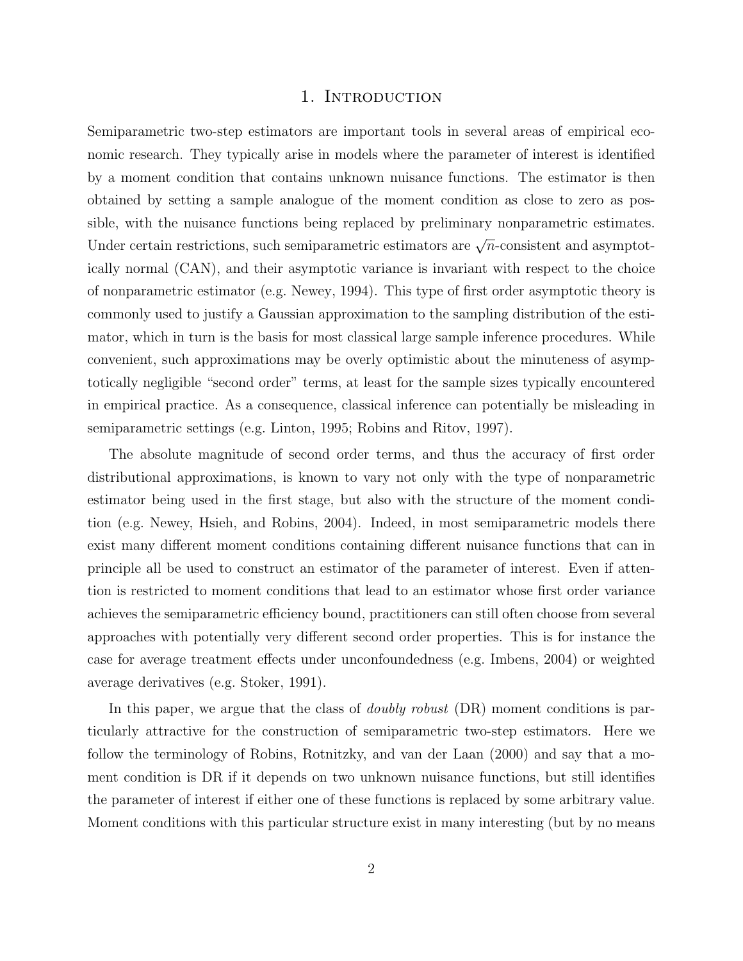## 1. INTRODUCTION

Semiparametric two-step estimators are important tools in several areas of empirical economic research. They typically arise in models where the parameter of interest is identified by a moment condition that contains unknown nuisance functions. The estimator is then obtained by setting a sample analogue of the moment condition as close to zero as possible, with the nuisance functions being replaced by preliminary nonparametric estimates. Under certain restrictions, such semiparametric estimators are  $\sqrt{n}$ -consistent and asymptotically normal (CAN), and their asymptotic variance is invariant with respect to the choice of nonparametric estimator (e.g. Newey, 1994). This type of first order asymptotic theory is commonly used to justify a Gaussian approximation to the sampling distribution of the estimator, which in turn is the basis for most classical large sample inference procedures. While convenient, such approximations may be overly optimistic about the minuteness of asymptotically negligible "second order" terms, at least for the sample sizes typically encountered in empirical practice. As a consequence, classical inference can potentially be misleading in semiparametric settings (e.g. Linton, 1995; Robins and Ritov, 1997).

The absolute magnitude of second order terms, and thus the accuracy of first order distributional approximations, is known to vary not only with the type of nonparametric estimator being used in the first stage, but also with the structure of the moment condition (e.g. Newey, Hsieh, and Robins, 2004). Indeed, in most semiparametric models there exist many different moment conditions containing different nuisance functions that can in principle all be used to construct an estimator of the parameter of interest. Even if attention is restricted to moment conditions that lead to an estimator whose first order variance achieves the semiparametric efficiency bound, practitioners can still often choose from several approaches with potentially very different second order properties. This is for instance the case for average treatment effects under unconfoundedness (e.g. Imbens, 2004) or weighted average derivatives (e.g. Stoker, 1991).

In this paper, we argue that the class of *doubly robust* (DR) moment conditions is particularly attractive for the construction of semiparametric two-step estimators. Here we follow the terminology of Robins, Rotnitzky, and van der Laan (2000) and say that a moment condition is DR if it depends on two unknown nuisance functions, but still identifies the parameter of interest if either one of these functions is replaced by some arbitrary value. Moment conditions with this particular structure exist in many interesting (but by no means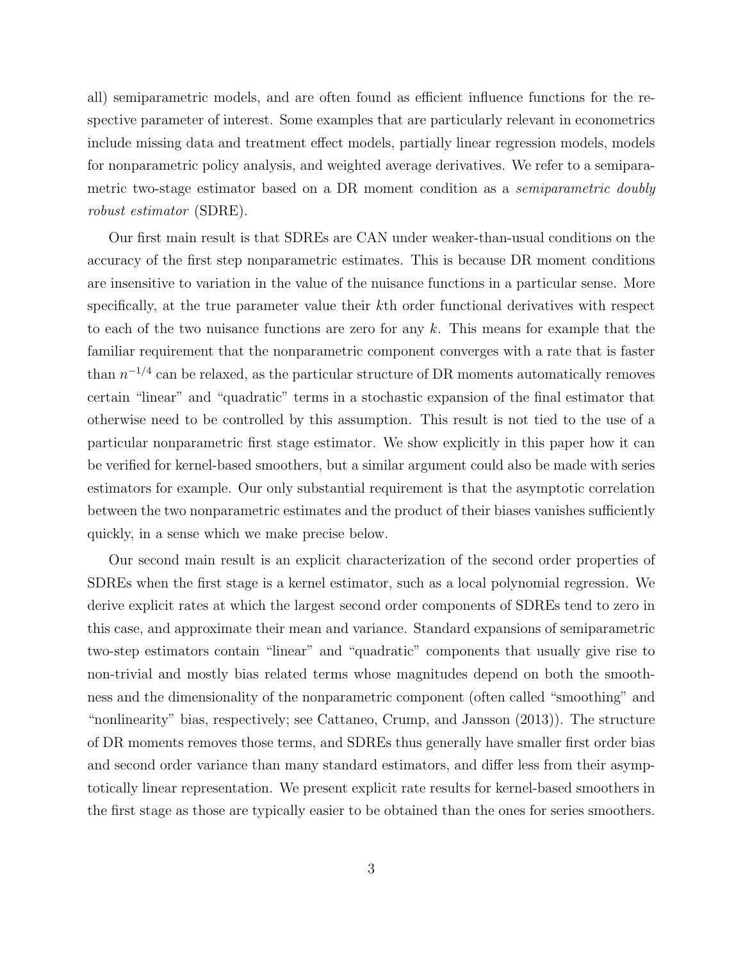all) semiparametric models, and are often found as efficient influence functions for the respective parameter of interest. Some examples that are particularly relevant in econometrics include missing data and treatment effect models, partially linear regression models, models for nonparametric policy analysis, and weighted average derivatives. We refer to a semiparametric two-stage estimator based on a DR moment condition as a semiparametric doubly robust estimator (SDRE).

Our first main result is that SDREs are CAN under weaker-than-usual conditions on the accuracy of the first step nonparametric estimates. This is because DR moment conditions are insensitive to variation in the value of the nuisance functions in a particular sense. More specifically, at the true parameter value their kth order functional derivatives with respect to each of the two nuisance functions are zero for any  $k$ . This means for example that the familiar requirement that the nonparametric component converges with a rate that is faster than  $n^{-1/4}$  can be relaxed, as the particular structure of DR moments automatically removes certain "linear" and "quadratic" terms in a stochastic expansion of the final estimator that otherwise need to be controlled by this assumption. This result is not tied to the use of a particular nonparametric first stage estimator. We show explicitly in this paper how it can be verified for kernel-based smoothers, but a similar argument could also be made with series estimators for example. Our only substantial requirement is that the asymptotic correlation between the two nonparametric estimates and the product of their biases vanishes sufficiently quickly, in a sense which we make precise below.

Our second main result is an explicit characterization of the second order properties of SDREs when the first stage is a kernel estimator, such as a local polynomial regression. We derive explicit rates at which the largest second order components of SDREs tend to zero in this case, and approximate their mean and variance. Standard expansions of semiparametric two-step estimators contain "linear" and "quadratic" components that usually give rise to non-trivial and mostly bias related terms whose magnitudes depend on both the smoothness and the dimensionality of the nonparametric component (often called "smoothing" and "nonlinearity" bias, respectively; see Cattaneo, Crump, and Jansson (2013)). The structure of DR moments removes those terms, and SDREs thus generally have smaller first order bias and second order variance than many standard estimators, and differ less from their asymptotically linear representation. We present explicit rate results for kernel-based smoothers in the first stage as those are typically easier to be obtained than the ones for series smoothers.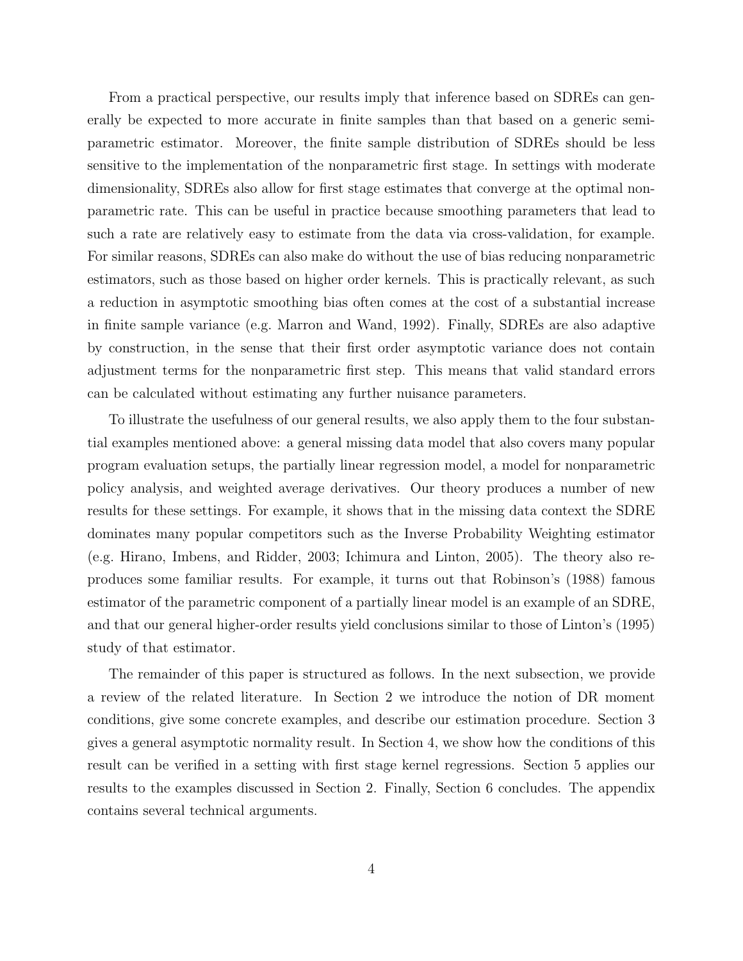From a practical perspective, our results imply that inference based on SDREs can generally be expected to more accurate in finite samples than that based on a generic semiparametric estimator. Moreover, the finite sample distribution of SDREs should be less sensitive to the implementation of the nonparametric first stage. In settings with moderate dimensionality, SDREs also allow for first stage estimates that converge at the optimal nonparametric rate. This can be useful in practice because smoothing parameters that lead to such a rate are relatively easy to estimate from the data via cross-validation, for example. For similar reasons, SDREs can also make do without the use of bias reducing nonparametric estimators, such as those based on higher order kernels. This is practically relevant, as such a reduction in asymptotic smoothing bias often comes at the cost of a substantial increase in finite sample variance (e.g. Marron and Wand, 1992). Finally, SDREs are also adaptive by construction, in the sense that their first order asymptotic variance does not contain adjustment terms for the nonparametric first step. This means that valid standard errors can be calculated without estimating any further nuisance parameters.

To illustrate the usefulness of our general results, we also apply them to the four substantial examples mentioned above: a general missing data model that also covers many popular program evaluation setups, the partially linear regression model, a model for nonparametric policy analysis, and weighted average derivatives. Our theory produces a number of new results for these settings. For example, it shows that in the missing data context the SDRE dominates many popular competitors such as the Inverse Probability Weighting estimator (e.g. Hirano, Imbens, and Ridder, 2003; Ichimura and Linton, 2005). The theory also reproduces some familiar results. For example, it turns out that Robinson's (1988) famous estimator of the parametric component of a partially linear model is an example of an SDRE, and that our general higher-order results yield conclusions similar to those of Linton's (1995) study of that estimator.

The remainder of this paper is structured as follows. In the next subsection, we provide a review of the related literature. In Section 2 we introduce the notion of DR moment conditions, give some concrete examples, and describe our estimation procedure. Section 3 gives a general asymptotic normality result. In Section 4, we show how the conditions of this result can be verified in a setting with first stage kernel regressions. Section 5 applies our results to the examples discussed in Section 2. Finally, Section 6 concludes. The appendix contains several technical arguments.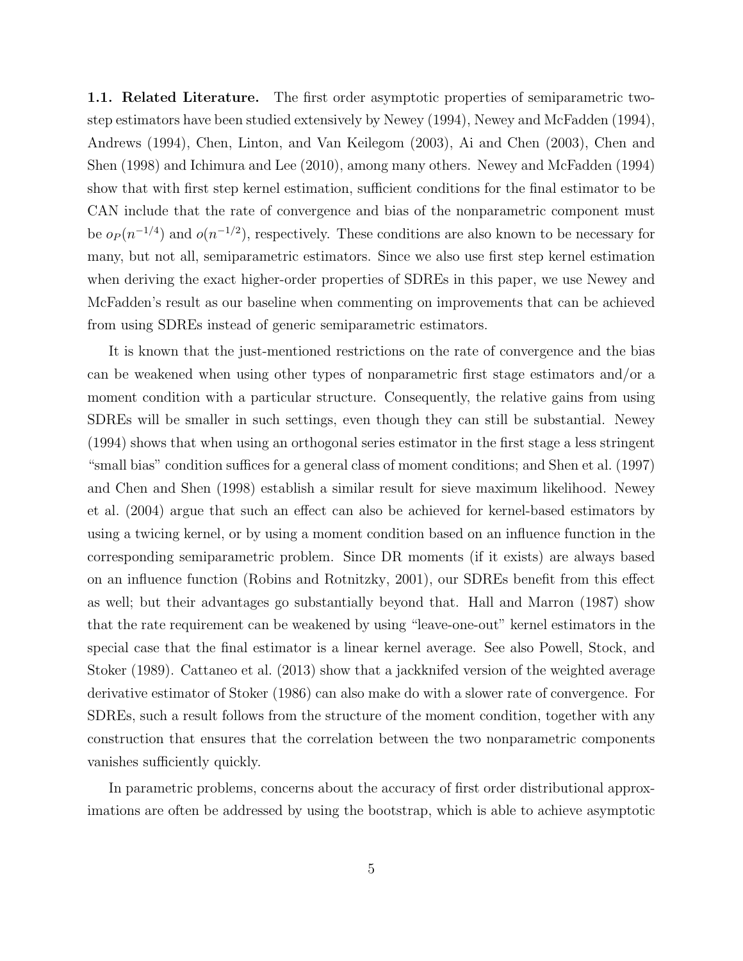1.1. Related Literature. The first order asymptotic properties of semiparametric twostep estimators have been studied extensively by Newey (1994), Newey and McFadden (1994), Andrews (1994), Chen, Linton, and Van Keilegom (2003), Ai and Chen (2003), Chen and Shen (1998) and Ichimura and Lee (2010), among many others. Newey and McFadden (1994) show that with first step kernel estimation, sufficient conditions for the final estimator to be CAN include that the rate of convergence and bias of the nonparametric component must be  $o_P(n^{-1/4})$  and  $o(n^{-1/2})$ , respectively. These conditions are also known to be necessary for many, but not all, semiparametric estimators. Since we also use first step kernel estimation when deriving the exact higher-order properties of SDREs in this paper, we use Newey and McFadden's result as our baseline when commenting on improvements that can be achieved from using SDREs instead of generic semiparametric estimators.

It is known that the just-mentioned restrictions on the rate of convergence and the bias can be weakened when using other types of nonparametric first stage estimators and/or a moment condition with a particular structure. Consequently, the relative gains from using SDREs will be smaller in such settings, even though they can still be substantial. Newey (1994) shows that when using an orthogonal series estimator in the first stage a less stringent "small bias" condition suffices for a general class of moment conditions; and Shen et al. (1997) and Chen and Shen (1998) establish a similar result for sieve maximum likelihood. Newey et al. (2004) argue that such an effect can also be achieved for kernel-based estimators by using a twicing kernel, or by using a moment condition based on an influence function in the corresponding semiparametric problem. Since DR moments (if it exists) are always based on an influence function (Robins and Rotnitzky, 2001), our SDREs benefit from this effect as well; but their advantages go substantially beyond that. Hall and Marron (1987) show that the rate requirement can be weakened by using "leave-one-out" kernel estimators in the special case that the final estimator is a linear kernel average. See also Powell, Stock, and Stoker (1989). Cattaneo et al. (2013) show that a jackknifed version of the weighted average derivative estimator of Stoker (1986) can also make do with a slower rate of convergence. For SDREs, such a result follows from the structure of the moment condition, together with any construction that ensures that the correlation between the two nonparametric components vanishes sufficiently quickly.

In parametric problems, concerns about the accuracy of first order distributional approximations are often be addressed by using the bootstrap, which is able to achieve asymptotic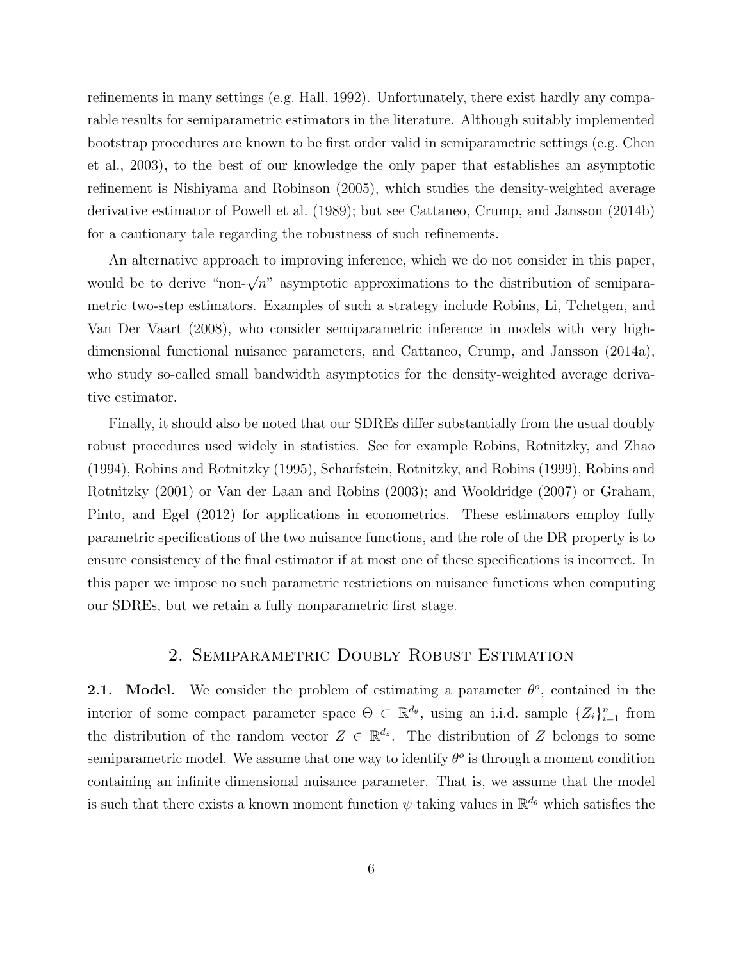refinements in many settings (e.g. Hall, 1992). Unfortunately, there exist hardly any comparable results for semiparametric estimators in the literature. Although suitably implemented bootstrap procedures are known to be first order valid in semiparametric settings (e.g. Chen et al., 2003), to the best of our knowledge the only paper that establishes an asymptotic refinement is Nishiyama and Robinson (2005), which studies the density-weighted average derivative estimator of Powell et al. (1989); but see Cattaneo, Crump, and Jansson (2014b) for a cautionary tale regarding the robustness of such refinements.

An alternative approach to improving inference, which we do not consider in this paper, would be to derive "non- $\sqrt{n}$ " asymptotic approximations to the distribution of semiparametric two-step estimators. Examples of such a strategy include Robins, Li, Tchetgen, and Van Der Vaart (2008), who consider semiparametric inference in models with very highdimensional functional nuisance parameters, and Cattaneo, Crump, and Jansson (2014a), who study so-called small bandwidth asymptotics for the density-weighted average derivative estimator.

Finally, it should also be noted that our SDREs differ substantially from the usual doubly robust procedures used widely in statistics. See for example Robins, Rotnitzky, and Zhao (1994), Robins and Rotnitzky (1995), Scharfstein, Rotnitzky, and Robins (1999), Robins and Rotnitzky (2001) or Van der Laan and Robins (2003); and Wooldridge (2007) or Graham, Pinto, and Egel (2012) for applications in econometrics. These estimators employ fully parametric specifications of the two nuisance functions, and the role of the DR property is to ensure consistency of the final estimator if at most one of these specifications is incorrect. In this paper we impose no such parametric restrictions on nuisance functions when computing our SDREs, but we retain a fully nonparametric first stage.

# 2. Semiparametric Doubly Robust Estimation

**2.1.** Model. We consider the problem of estimating a parameter  $\theta^o$ , contained in the interior of some compact parameter space  $\Theta \subset \mathbb{R}^{d_{\theta}}$ , using an i.i.d. sample  $\{Z_i\}_{i=1}^n$  from the distribution of the random vector  $Z \in \mathbb{R}^{d_z}$ . The distribution of Z belongs to some semiparametric model. We assume that one way to identify  $\theta^o$  is through a moment condition containing an infinite dimensional nuisance parameter. That is, we assume that the model is such that there exists a known moment function  $\psi$  taking values in  $\mathbb{R}^{d_{\theta}}$  which satisfies the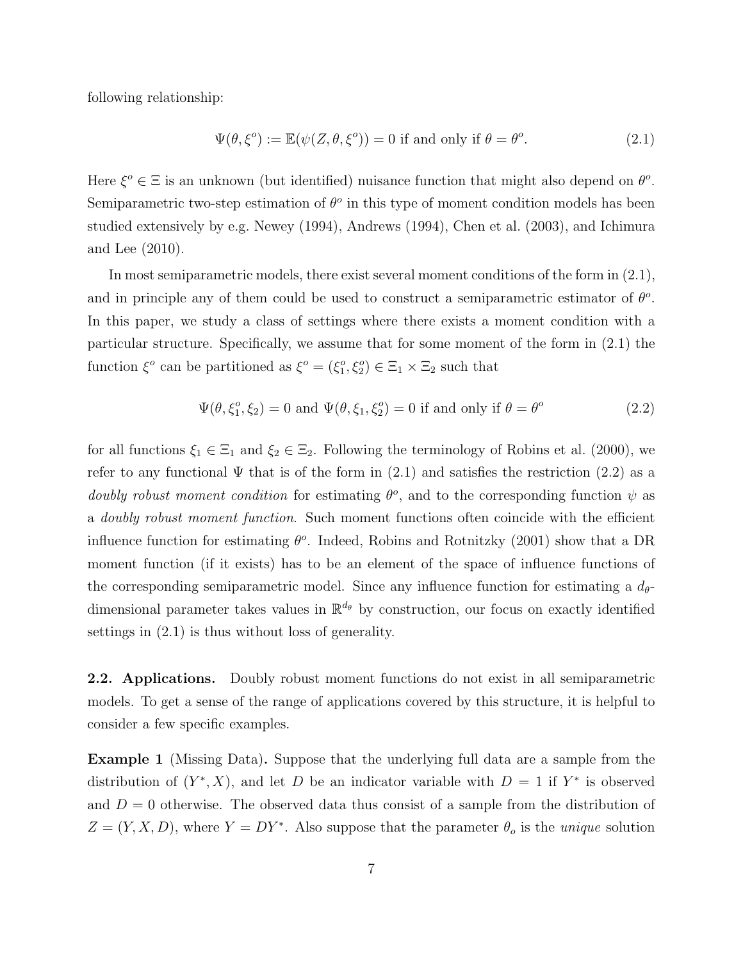following relationship:

$$
\Psi(\theta, \xi^o) := \mathbb{E}(\psi(Z, \theta, \xi^o)) = 0 \text{ if and only if } \theta = \theta^o.
$$
\n(2.1)

Here  $\xi^o \in \Xi$  is an unknown (but identified) nuisance function that might also depend on  $\theta^o$ . Semiparametric two-step estimation of  $\theta^o$  in this type of moment condition models has been studied extensively by e.g. Newey (1994), Andrews (1994), Chen et al. (2003), and Ichimura and Lee (2010).

In most semiparametric models, there exist several moment conditions of the form in (2.1), and in principle any of them could be used to construct a semiparametric estimator of  $\theta$ <sup>o</sup>. In this paper, we study a class of settings where there exists a moment condition with a particular structure. Specifically, we assume that for some moment of the form in (2.1) the function  $\xi^o$  can be partitioned as  $\xi^o = (\xi_1^o, \xi_2^o) \in \Xi_1 \times \Xi_2$  such that

$$
\Psi(\theta, \xi_1^o, \xi_2) = 0 \text{ and } \Psi(\theta, \xi_1, \xi_2^o) = 0 \text{ if and only if } \theta = \theta^o \tag{2.2}
$$

for all functions  $\xi_1 \in \Xi_1$  and  $\xi_2 \in \Xi_2$ . Following the terminology of Robins et al. (2000), we refer to any functional  $\Psi$  that is of the form in (2.1) and satisfies the restriction (2.2) as a doubly robust moment condition for estimating  $\theta^o$ , and to the corresponding function  $\psi$  as a doubly robust moment function. Such moment functions often coincide with the efficient influence function for estimating  $\theta^o$ . Indeed, Robins and Rotnitzky (2001) show that a DR moment function (if it exists) has to be an element of the space of influence functions of the corresponding semiparametric model. Since any influence function for estimating a  $d_{\theta}$ dimensional parameter takes values in  $\mathbb{R}^{d_{\theta}}$  by construction, our focus on exactly identified settings in (2.1) is thus without loss of generality.

2.2. Applications. Doubly robust moment functions do not exist in all semiparametric models. To get a sense of the range of applications covered by this structure, it is helpful to consider a few specific examples.

Example 1 (Missing Data). Suppose that the underlying full data are a sample from the distribution of  $(Y^*, X)$ , and let D be an indicator variable with  $D = 1$  if  $Y^*$  is observed and  $D = 0$  otherwise. The observed data thus consist of a sample from the distribution of  $Z = (Y, X, D)$ , where  $Y = DY^*$ . Also suppose that the parameter  $\theta_o$  is the *unique* solution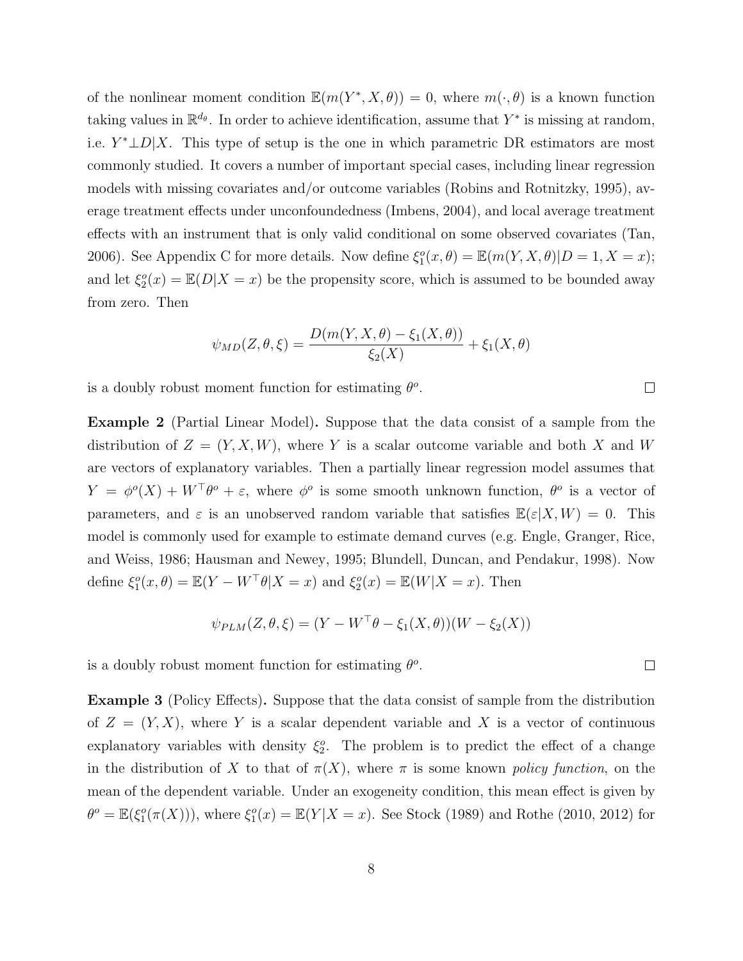of the nonlinear moment condition  $\mathbb{E}(m(Y^*, X, \theta)) = 0$ , where  $m(\cdot, \theta)$  is a known function taking values in  $\mathbb{R}^{d_{\theta}}$ . In order to achieve identification, assume that  $Y^*$  is missing at random, i.e.  $Y^* \perp D | X$ . This type of setup is the one in which parametric DR estimators are most commonly studied. It covers a number of important special cases, including linear regression models with missing covariates and/or outcome variables (Robins and Rotnitzky, 1995), average treatment effects under unconfoundedness (Imbens, 2004), and local average treatment effects with an instrument that is only valid conditional on some observed covariates (Tan, 2006). See Appendix C for more details. Now define  $\xi_1^o(x, \theta) = \mathbb{E}(m(Y, X, \theta)|D = 1, X = x);$ and let  $\xi_2^o(x) = \mathbb{E}(D|X=x)$  be the propensity score, which is assumed to be bounded away from zero. Then

$$
\psi_{MD}(Z,\theta,\xi) = \frac{D(m(Y,X,\theta) - \xi_1(X,\theta))}{\xi_2(X)} + \xi_1(X,\theta)
$$

is a doubly robust moment function for estimating  $\theta$ <sup>o</sup>.

Example 2 (Partial Linear Model). Suppose that the data consist of a sample from the distribution of  $Z = (Y, X, W)$ , where Y is a scalar outcome variable and both X and W are vectors of explanatory variables. Then a partially linear regression model assumes that  $Y = \phi^o(X) + W^{\top} \theta^o + \varepsilon$ , where  $\phi^o$  is some smooth unknown function,  $\theta^o$  is a vector of parameters, and  $\varepsilon$  is an unobserved random variable that satisfies  $\mathbb{E}(\varepsilon|X, W) = 0$ . This model is commonly used for example to estimate demand curves (e.g. Engle, Granger, Rice, and Weiss, 1986; Hausman and Newey, 1995; Blundell, Duncan, and Pendakur, 1998). Now define  $\xi_1^o(x,\theta) = \mathbb{E}(Y - W^\top \theta | X = x)$  and  $\xi_2^o(x) = \mathbb{E}(W | X = x)$ . Then

$$
\psi_{PLM}(Z,\theta,\xi) = (Y - W^{\top}\theta - \xi_1(X,\theta))(W - \xi_2(X))
$$

is a doubly robust moment function for estimating  $\theta$ <sup>o</sup>.

Example 3 (Policy Effects). Suppose that the data consist of sample from the distribution of  $Z = (Y, X)$ , where Y is a scalar dependent variable and X is a vector of continuous explanatory variables with density  $\xi_2^o$ . The problem is to predict the effect of a change in the distribution of X to that of  $\pi(X)$ , where  $\pi$  is some known policy function, on the mean of the dependent variable. Under an exogeneity condition, this mean effect is given by  $\theta^o = \mathbb{E}(\xi_1^o(\pi(X))),$  where  $\xi_1^o(x) = \mathbb{E}(Y|X=x)$ . See Stock (1989) and Rothe (2010, 2012) for

 $\Box$ 

 $\Box$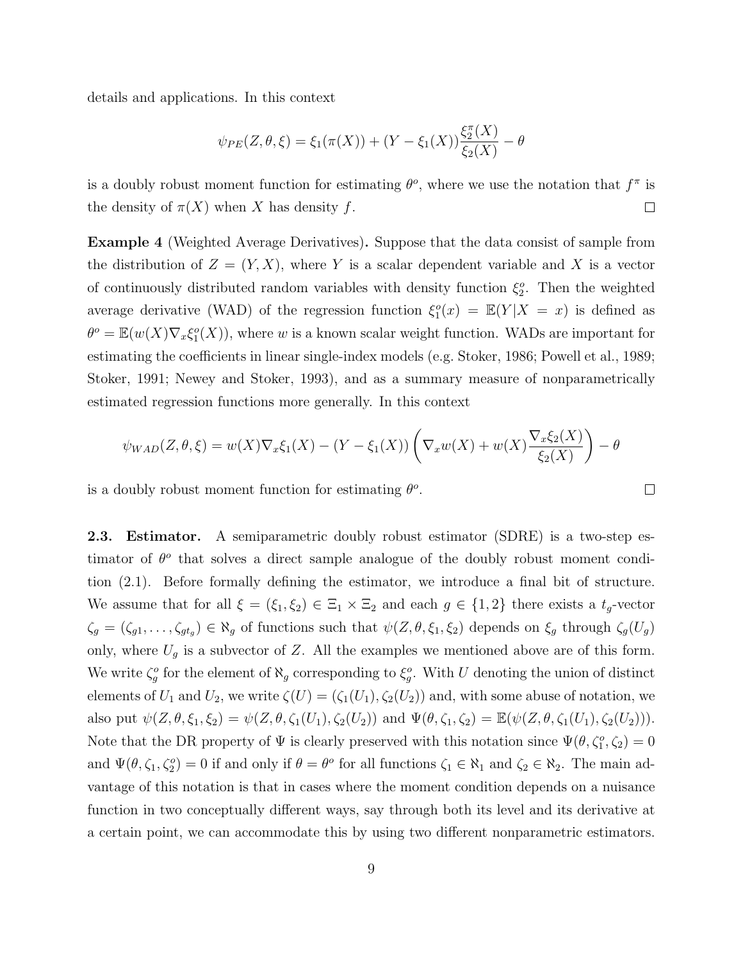details and applications. In this context

$$
\psi_{PE}(Z,\theta,\xi) = \xi_1(\pi(X)) + (Y - \xi_1(X))\frac{\xi_2^{\pi}(X)}{\xi_2(X)} - \theta
$$

is a doubly robust moment function for estimating  $\theta^o$ , where we use the notation that  $f^{\pi}$  is the density of  $\pi(X)$  when X has density f.  $\Box$ 

Example 4 (Weighted Average Derivatives). Suppose that the data consist of sample from the distribution of  $Z = (Y, X)$ , where Y is a scalar dependent variable and X is a vector of continuously distributed random variables with density function  $\xi_2^o$ . Then the weighted average derivative (WAD) of the regression function  $\xi_1^o(x) = \mathbb{E}(Y|X = x)$  is defined as  $\theta^o = \mathbb{E}(w(X)\nabla_x \xi_1^o(X))$ , where w is a known scalar weight function. WADs are important for estimating the coefficients in linear single-index models (e.g. Stoker, 1986; Powell et al., 1989; Stoker, 1991; Newey and Stoker, 1993), and as a summary measure of nonparametrically estimated regression functions more generally. In this context

$$
\psi_{WAD}(Z,\theta,\xi) = w(X)\nabla_x \xi_1(X) - (Y - \xi_1(X))\left(\nabla_x w(X) + w(X)\frac{\nabla_x \xi_2(X)}{\xi_2(X)}\right) - \theta
$$

 $\Box$ 

is a doubly robust moment function for estimating  $\theta$ <sup>o</sup>.

2.3. Estimator. A semiparametric doubly robust estimator (SDRE) is a two-step estimator of  $\theta^o$  that solves a direct sample analogue of the doubly robust moment condition (2.1). Before formally defining the estimator, we introduce a final bit of structure. We assume that for all  $\xi = (\xi_1, \xi_2) \in \Xi_1 \times \Xi_2$  and each  $g \in \{1, 2\}$  there exists a  $t_g$ -vector  $\zeta_g = (\zeta_{g1}, \ldots, \zeta_{gt_g}) \in \aleph_g$  of functions such that  $\psi(Z, \theta, \xi_1, \xi_2)$  depends on  $\xi_g$  through  $\zeta_g(U_g)$ only, where  $U_g$  is a subvector of Z. All the examples we mentioned above are of this form. We write  $\zeta_g^o$  for the element of  $\aleph_g$  corresponding to  $\xi_g^o$ . With U denoting the union of distinct elements of  $U_1$  and  $U_2$ , we write  $\zeta(U) = (\zeta_1(U_1), \zeta_2(U_2))$  and, with some abuse of notation, we also put  $\psi(Z, \theta, \xi_1, \xi_2) = \psi(Z, \theta, \zeta_1(U_1), \zeta_2(U_2))$  and  $\Psi(\theta, \zeta_1, \zeta_2) = \mathbb{E}(\psi(Z, \theta, \zeta_1(U_1), \zeta_2(U_2))).$ Note that the DR property of  $\Psi$  is clearly preserved with this notation since  $\Psi(\theta, \zeta_1^o, \zeta_2) = 0$ and  $\Psi(\theta, \zeta_1, \zeta_2) = 0$  if and only if  $\theta = \theta^o$  for all functions  $\zeta_1 \in \aleph_1$  and  $\zeta_2 \in \aleph_2$ . The main advantage of this notation is that in cases where the moment condition depends on a nuisance function in two conceptually different ways, say through both its level and its derivative at a certain point, we can accommodate this by using two different nonparametric estimators.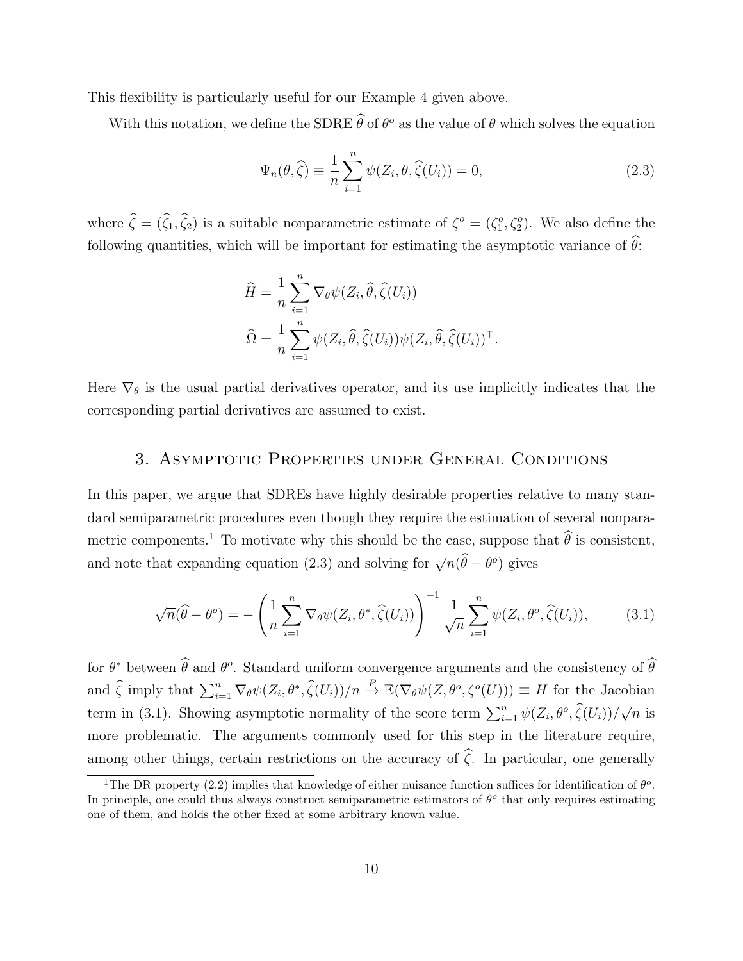This flexibility is particularly useful for our Example 4 given above.

With this notation, we define the SDRE  $\hat{\theta}$  of  $\theta^o$  as the value of  $\theta$  which solves the equation

$$
\Psi_n(\theta, \widehat{\zeta}) \equiv \frac{1}{n} \sum_{i=1}^n \psi(Z_i, \theta, \widehat{\zeta}(U_i)) = 0,
$$
\n(2.3)

where  $\hat{\zeta} = (\hat{\zeta}_1, \hat{\zeta}_2)$  is a suitable nonparametric estimate of  $\zeta^o = (\zeta_1^o, \zeta_2^o)$ . We also define the following quantities, which will be important for estimating the asymptotic variance of  $\theta$ :

$$
\widehat{H} = \frac{1}{n} \sum_{i=1}^{n} \nabla_{\theta} \psi(Z_i, \widehat{\theta}, \widehat{\zeta}(U_i))
$$
  

$$
\widehat{\Omega} = \frac{1}{n} \sum_{i=1}^{n} \psi(Z_i, \widehat{\theta}, \widehat{\zeta}(U_i)) \psi(Z_i, \widehat{\theta}, \widehat{\zeta}(U_i))^{\top}.
$$

Here  $\nabla_{\theta}$  is the usual partial derivatives operator, and its use implicitly indicates that the corresponding partial derivatives are assumed to exist.

## 3. Asymptotic Properties under General Conditions

In this paper, we argue that SDREs have highly desirable properties relative to many standard semiparametric procedures even though they require the estimation of several nonparametric components.<sup>1</sup> To motivate why this should be the case, suppose that  $\hat{\theta}$  is consistent, and note that expanding equation (2.3) and solving for  $\sqrt{n}(\widehat{\theta} - \theta^o)$  gives

$$
\sqrt{n}(\widehat{\theta} - \theta^o) = -\left(\frac{1}{n}\sum_{i=1}^n \nabla_{\theta}\psi(Z_i, \theta^*, \widehat{\zeta}(U_i))\right)^{-1} \frac{1}{\sqrt{n}} \sum_{i=1}^n \psi(Z_i, \theta^o, \widehat{\zeta}(U_i)),\tag{3.1}
$$

for  $\theta^*$  between  $\hat{\theta}$  and  $\theta^o$ . Standard uniform convergence arguments and the consistency of  $\hat{\theta}$ and  $\hat{\zeta}$  imply that  $\sum_{i=1}^n \nabla_{\theta} \psi(Z_i, \theta^*, \hat{\zeta}(U_i))/n \stackrel{P}{\to} \mathbb{E}(\nabla_{\theta} \psi(Z, \theta^o, \zeta^o(U))) \equiv H$  for the Jacobian term in (3.1). Showing asymptotic normality of the score term  $\sum_{i=1}^{n} \psi(Z_i, \theta^o, \hat{\zeta}(U_i))/$ √  $\overline{n}$  is more problematic. The arguments commonly used for this step in the literature require, among other things, certain restrictions on the accuracy of  $\hat{\zeta}$ . In particular, one generally

<sup>&</sup>lt;sup>1</sup>The DR property (2.2) implies that knowledge of either nuisance function suffices for identification of  $\theta^o$ . In principle, one could thus always construct semiparametric estimators of  $\theta^o$  that only requires estimating one of them, and holds the other fixed at some arbitrary known value.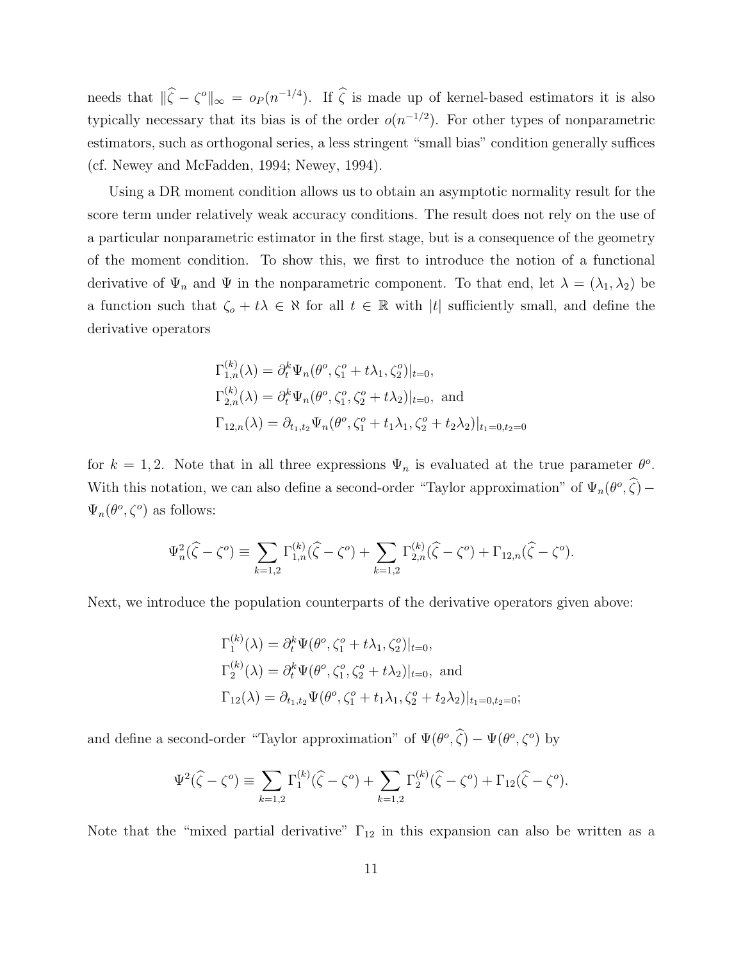needs that  $\|\hat{\zeta} - \zeta^o\|_{\infty} = o_P (n^{-1/4})$ . If  $\hat{\zeta}$  is made up of kernel-based estimators it is also typically necessary that its bias is of the order  $o(n^{-1/2})$ . For other types of nonparametric estimators, such as orthogonal series, a less stringent "small bias" condition generally suffices (cf. Newey and McFadden, 1994; Newey, 1994).

Using a DR moment condition allows us to obtain an asymptotic normality result for the score term under relatively weak accuracy conditions. The result does not rely on the use of a particular nonparametric estimator in the first stage, but is a consequence of the geometry of the moment condition. To show this, we first to introduce the notion of a functional derivative of  $\Psi_n$  and  $\Psi$  in the nonparametric component. To that end, let  $\lambda = (\lambda_1, \lambda_2)$  be a function such that  $\zeta_o + t\lambda \in \aleph$  for all  $t \in \mathbb{R}$  with |t| sufficiently small, and define the derivative operators

$$
\Gamma_{1,n}^{(k)}(\lambda) = \partial_t^k \Psi_n(\theta^o, \zeta_1^o + t\lambda_1, \zeta_2^o)|_{t=0},
$$
  
\n
$$
\Gamma_{2,n}^{(k)}(\lambda) = \partial_t^k \Psi_n(\theta^o, \zeta_1^o, \zeta_2^o + t\lambda_2)|_{t=0}, \text{ and}
$$
  
\n
$$
\Gamma_{12,n}(\lambda) = \partial_{t_1, t_2} \Psi_n(\theta^o, \zeta_1^o + t_1\lambda_1, \zeta_2^o + t_2\lambda_2)|_{t_1=0, t_2=0}
$$

for  $k = 1, 2$ . Note that in all three expressions  $\Psi_n$  is evaluated at the true parameter  $\theta^o$ . With this notation, we can also define a second-order "Taylor approximation" of  $\Psi_n(\theta^o, \hat{\zeta})$  –  $\Psi_n(\theta^o,\zeta^o)$  as follows:

$$
\Psi_n^2(\widehat{\zeta} - \zeta^o) \equiv \sum_{k=1,2} \Gamma_{1,n}^{(k)}(\widehat{\zeta} - \zeta^o) + \sum_{k=1,2} \Gamma_{2,n}^{(k)}(\widehat{\zeta} - \zeta^o) + \Gamma_{12,n}(\widehat{\zeta} - \zeta^o).
$$

Next, we introduce the population counterparts of the derivative operators given above:

$$
\Gamma_1^{(k)}(\lambda) = \partial_t^k \Psi(\theta^o, \zeta_1^o + t\lambda_1, \zeta_2^o)|_{t=0},
$$
  
\n
$$
\Gamma_2^{(k)}(\lambda) = \partial_t^k \Psi(\theta^o, \zeta_1^o, \zeta_2^o + t\lambda_2)|_{t=0}, \text{ and}
$$
  
\n
$$
\Gamma_{12}(\lambda) = \partial_{t_1, t_2} \Psi(\theta^o, \zeta_1^o + t_1\lambda_1, \zeta_2^o + t_2\lambda_2)|_{t_1=0, t_2=0};
$$

and define a second-order "Taylor approximation" of  $\Psi(\theta^o, \hat{\zeta}) - \Psi(\theta^o, \zeta^o)$  by

$$
\Psi^{2}(\widehat{\zeta} - \zeta^{o}) \equiv \sum_{k=1,2} \Gamma_{1}^{(k)}(\widehat{\zeta} - \zeta^{o}) + \sum_{k=1,2} \Gamma_{2}^{(k)}(\widehat{\zeta} - \zeta^{o}) + \Gamma_{12}(\widehat{\zeta} - \zeta^{o}).
$$

Note that the "mixed partial derivative"  $\Gamma_{12}$  in this expansion can also be written as a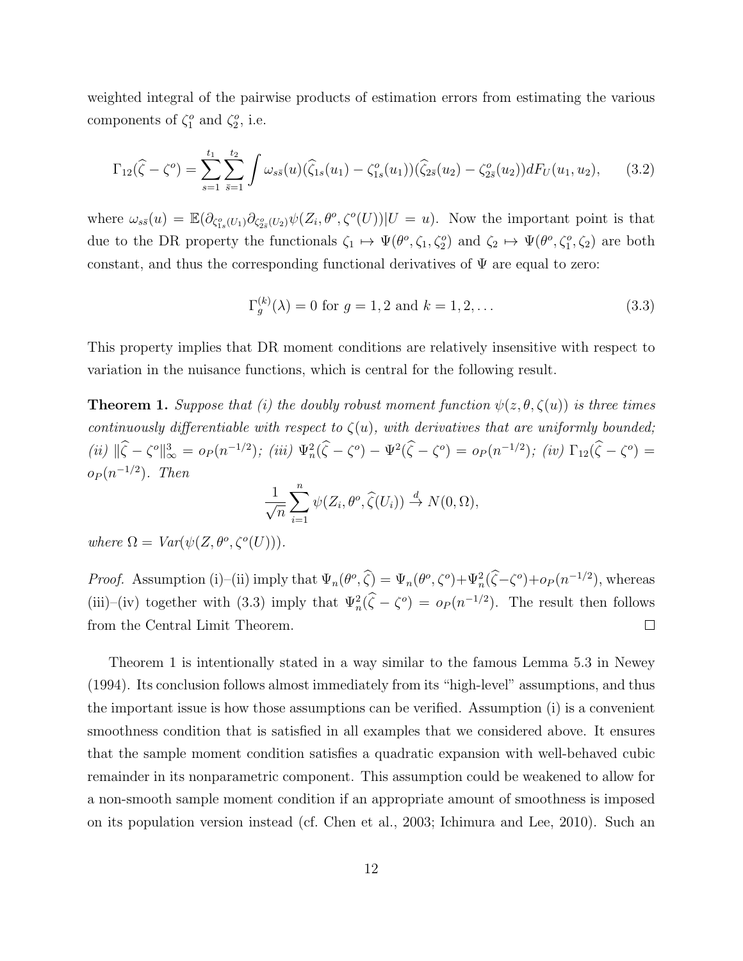weighted integral of the pairwise products of estimation errors from estimating the various components of  $\zeta_1^o$  and  $\zeta_2^o$ , i.e.

$$
\Gamma_{12}(\widehat{\zeta} - \zeta^o) = \sum_{s=1}^{t_1} \sum_{\bar{s}=1}^{t_2} \int \omega_{s\bar{s}}(u) (\widehat{\zeta}_{1s}(u_1) - \zeta_{1s}^o(u_1)) (\widehat{\zeta}_{2\bar{s}}(u_2) - \zeta_{2\bar{s}}^o(u_2)) dF_U(u_1, u_2), \quad (3.2)
$$

where  $\omega_{s\bar{s}}(u) = \mathbb{E}(\partial_{\zeta_{1s}^o(U_1)} \partial_{\zeta_{2s}^o(U_2)} \psi(Z_i, \theta^o, \zeta^o(U)) | U = u)$ . Now the important point is that due to the DR property the functionals  $\zeta_1 \mapsto \Psi(\theta^o, \zeta_1, \zeta_2^o)$  and  $\zeta_2 \mapsto \Psi(\theta^o, \zeta_1^o, \zeta_2)$  are both constant, and thus the corresponding functional derivatives of  $\Psi$  are equal to zero:

$$
\Gamma_g^{(k)}(\lambda) = 0 \text{ for } g = 1, 2 \text{ and } k = 1, 2, \dots
$$
 (3.3)

This property implies that DR moment conditions are relatively insensitive with respect to variation in the nuisance functions, which is central for the following result.

**Theorem 1.** Suppose that (i) the doubly robust moment function  $\psi(z, \theta, \zeta(u))$  is three times continuously differentiable with respect to  $\zeta(u)$ , with derivatives that are uniformly bounded; (ii)  $\|\hat{\zeta} - \zeta^o\|_{\infty}^3 = o_P(n^{-1/2})$ ; (iii)  $\Psi_n^2(\hat{\zeta} - \zeta^o) - \Psi^2(\hat{\zeta} - \zeta^o) = o_P(n^{-1/2})$ ; (iv)  $\Gamma_{12}(\hat{\zeta} - \zeta^o) =$  $o_P(n^{-1/2})$ . Then

$$
\frac{1}{\sqrt{n}}\sum_{i=1}^n \psi(Z_i,\theta^o,\widehat{\zeta}(U_i)) \stackrel{d}{\to} N(0,\Omega),
$$

where  $\Omega = Var(\psi(Z, \theta^o, \zeta^o(U))).$ 

*Proof.* Assumption (i)–(ii) imply that  $\Psi_n(\theta^o, \hat{\zeta}) = \Psi_n(\theta^o, \zeta^o) + \Psi_n^2(\hat{\zeta} - \zeta^o) + o_P(n^{-1/2})$ , whereas (iii)–(iv) together with (3.3) imply that  $\Psi_n^2(\hat{\zeta} - \zeta^o) = o_P(n^{-1/2})$ . The result then follows from the Central Limit Theorem.  $\Box$ 

Theorem 1 is intentionally stated in a way similar to the famous Lemma 5.3 in Newey (1994). Its conclusion follows almost immediately from its "high-level" assumptions, and thus the important issue is how those assumptions can be verified. Assumption (i) is a convenient smoothness condition that is satisfied in all examples that we considered above. It ensures that the sample moment condition satisfies a quadratic expansion with well-behaved cubic remainder in its nonparametric component. This assumption could be weakened to allow for a non-smooth sample moment condition if an appropriate amount of smoothness is imposed on its population version instead (cf. Chen et al., 2003; Ichimura and Lee, 2010). Such an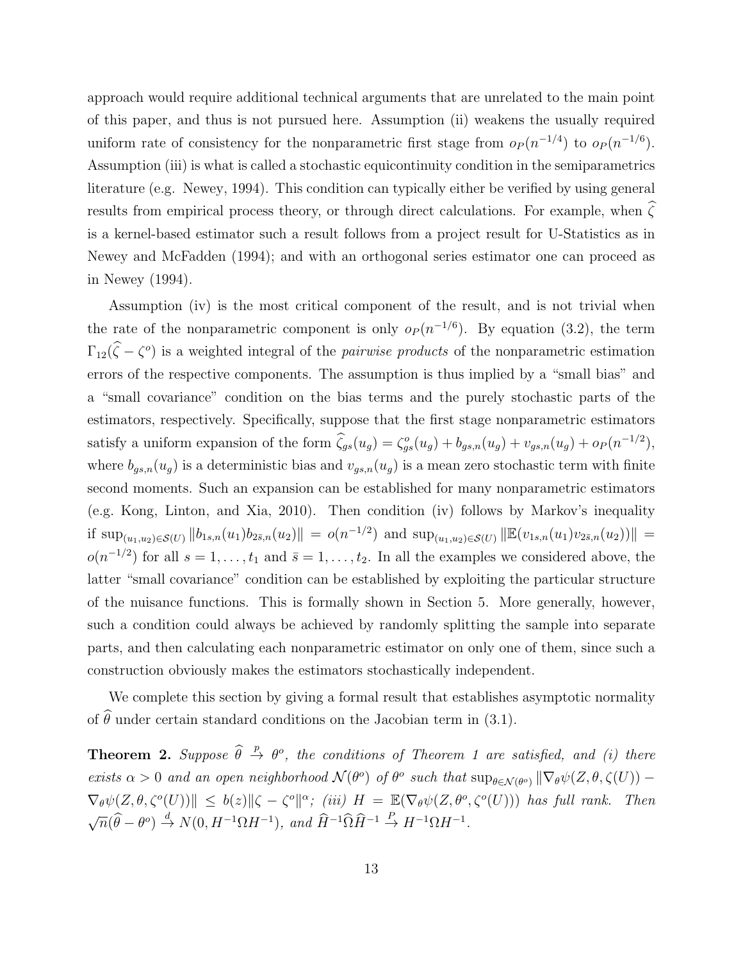approach would require additional technical arguments that are unrelated to the main point of this paper, and thus is not pursued here. Assumption (ii) weakens the usually required uniform rate of consistency for the nonparametric first stage from  $o_P(n^{-1/4})$  to  $o_P(n^{-1/6})$ . Assumption (iii) is what is called a stochastic equicontinuity condition in the semiparametrics literature (e.g. Newey, 1994). This condition can typically either be verified by using general results from empirical process theory, or through direct calculations. For example, when  $\widehat{\zeta}$ is a kernel-based estimator such a result follows from a project result for U-Statistics as in Newey and McFadden (1994); and with an orthogonal series estimator one can proceed as in Newey (1994).

Assumption (iv) is the most critical component of the result, and is not trivial when the rate of the nonparametric component is only  $o_P(n^{-1/6})$ . By equation (3.2), the term  $\Gamma_{12}(\zeta - \zeta^o)$  is a weighted integral of the *pairwise products* of the nonparametric estimation errors of the respective components. The assumption is thus implied by a "small bias" and a "small covariance" condition on the bias terms and the purely stochastic parts of the estimators, respectively. Specifically, suppose that the first stage nonparametric estimators satisfy a uniform expansion of the form  $\hat{\zeta}_{gs}(u_g) = \zeta_{gs}^o(u_g) + b_{gs,n}(u_g) + v_{gs,n}(u_g) + o_P(n^{-1/2}),$ where  $b_{gs,n}(u_g)$  is a deterministic bias and  $v_{gs,n}(u_g)$  is a mean zero stochastic term with finite second moments. Such an expansion can be established for many nonparametric estimators (e.g. Kong, Linton, and Xia, 2010). Then condition (iv) follows by Markov's inequality if  $\sup_{(u_1,u_2)\in\mathcal{S}(U)} ||b_{1s,n}(u_1)b_{2\bar{s},n}(u_2)|| = o(n^{-1/2})$  and  $\sup_{(u_1,u_2)\in\mathcal{S}(U)} ||\mathbb{E}(v_{1s,n}(u_1)v_{2\bar{s},n}(u_2)||) =$  $o(n^{-1/2})$  for all  $s = 1, \ldots, t_1$  and  $\bar{s} = 1, \ldots, t_2$ . In all the examples we considered above, the latter "small covariance" condition can be established by exploiting the particular structure of the nuisance functions. This is formally shown in Section 5. More generally, however, such a condition could always be achieved by randomly splitting the sample into separate parts, and then calculating each nonparametric estimator on only one of them, since such a construction obviously makes the estimators stochastically independent.

We complete this section by giving a formal result that establishes asymptotic normality of  $\hat{\theta}$  under certain standard conditions on the Jacobian term in (3.1).

**Theorem 2.** Suppose  $\hat{\theta} \stackrel{p}{\to} \theta^o$ , the conditions of Theorem 1 are satisfied, and (i) there exists  $\alpha > 0$  and an open neighborhood  $\mathcal{N}(\theta^o)$  of  $\theta^o$  such that  $\sup_{\theta \in \mathcal{N}(\theta^o)} \|\nabla_{\theta}\psi(Z, \theta, \zeta(U)) \nabla_{\theta} \psi(Z, \theta, \zeta^o(U)) \| \leq b(z) \|\zeta - \zeta^o\|^{\alpha};$  (iii)  $H = \mathbb{E}(\nabla_{\theta} \psi(Z, \theta^o, \zeta^o(U)))$  has full rank. Then √  $\overline{n}(\widehat{\theta} - \theta^o) \stackrel{d}{\rightarrow} N(0, H^{-1}\Omega H^{-1}), \text{ and } \widehat{H}^{-1}\widehat{\Omega}\widehat{H}^{-1} \stackrel{P}{\rightarrow} H^{-1}\Omega H^{-1}.$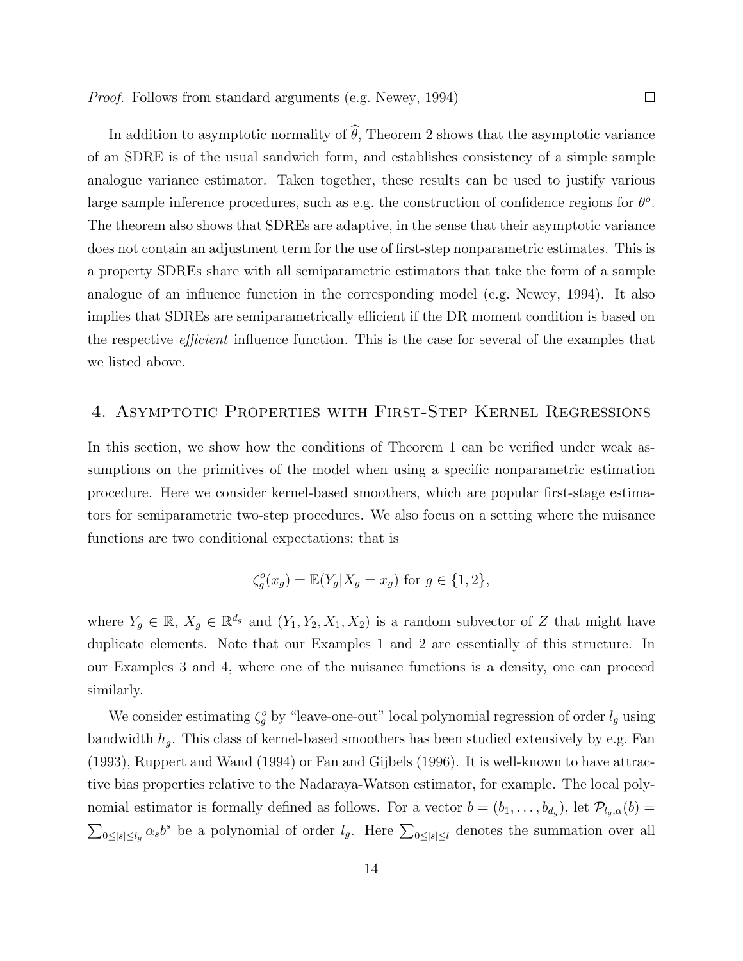In addition to asymptotic normality of  $\hat{\theta}$ , Theorem 2 shows that the asymptotic variance of an SDRE is of the usual sandwich form, and establishes consistency of a simple sample analogue variance estimator. Taken together, these results can be used to justify various large sample inference procedures, such as e.g. the construction of confidence regions for  $\theta$ <sup>o</sup>. The theorem also shows that SDREs are adaptive, in the sense that their asymptotic variance does not contain an adjustment term for the use of first-step nonparametric estimates. This is a property SDREs share with all semiparametric estimators that take the form of a sample analogue of an influence function in the corresponding model (e.g. Newey, 1994). It also implies that SDREs are semiparametrically efficient if the DR moment condition is based on the respective efficient influence function. This is the case for several of the examples that we listed above.

## 4. Asymptotic Properties with First-Step Kernel Regressions

In this section, we show how the conditions of Theorem 1 can be verified under weak assumptions on the primitives of the model when using a specific nonparametric estimation procedure. Here we consider kernel-based smoothers, which are popular first-stage estimators for semiparametric two-step procedures. We also focus on a setting where the nuisance functions are two conditional expectations; that is

$$
\zeta_g^o(x_g) = \mathbb{E}(Y_g | X_g = x_g) \text{ for } g \in \{1, 2\},\
$$

where  $Y_g \in \mathbb{R}, X_g \in \mathbb{R}^{d_g}$  and  $(Y_1, Y_2, X_1, X_2)$  is a random subvector of Z that might have duplicate elements. Note that our Examples 1 and 2 are essentially of this structure. In our Examples 3 and 4, where one of the nuisance functions is a density, one can proceed similarly.

We consider estimating  $\zeta_g^o$  by "leave-one-out" local polynomial regression of order  $l_g$  using bandwidth  $h_g$ . This class of kernel-based smoothers has been studied extensively by e.g. Fan (1993), Ruppert and Wand (1994) or Fan and Gijbels (1996). It is well-known to have attractive bias properties relative to the Nadaraya-Watson estimator, for example. The local polynomial estimator is formally defined as follows. For a vector  $b = (b_1, \ldots, b_{d_g})$ , let  $\mathcal{P}_{l_g,\alpha}(b)$  $\sum_{0\leq |s|\leq l_g} \alpha_s b^s$  be a polynomial of order  $l_g$ . Here  $\sum_{0\leq |s|\leq l_g}$  denotes the summation over all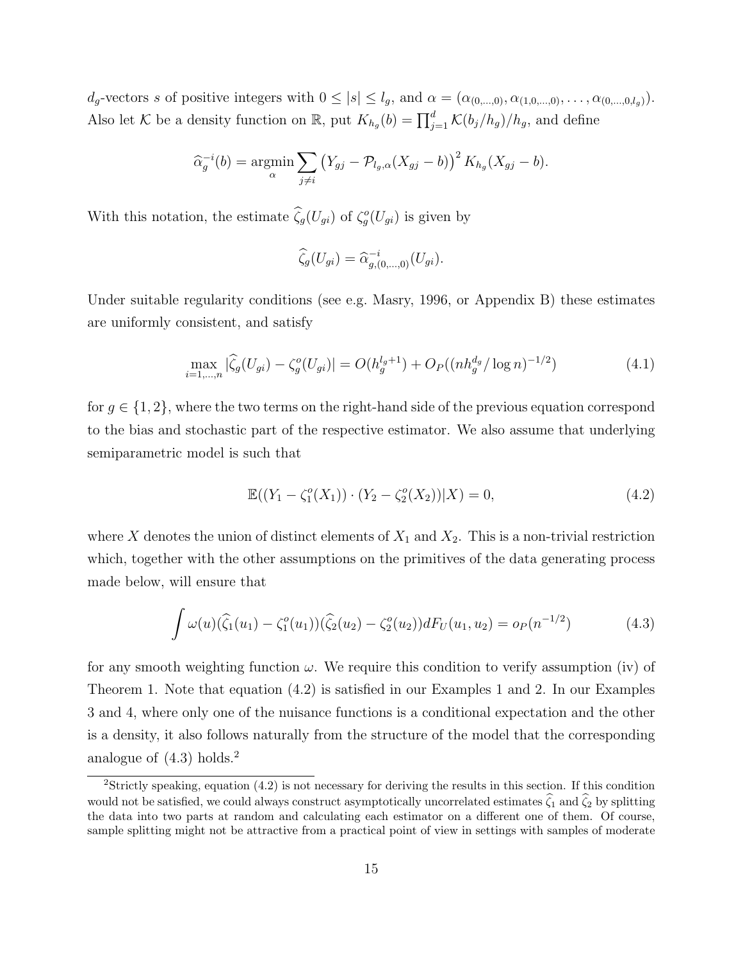$d_g$ -vectors s of positive integers with  $0 \leq |s| \leq l_g$ , and  $\alpha = (\alpha_{(0,\dots,0)}, \alpha_{(1,0,\dots,0)}, \dots, \alpha_{(0,\dots,0,l_g)})$ . Also let K be a density function on R, put  $K_{h_g}(b) = \prod_{j=1}^d \mathcal{K}(b_j/h_g)/h_g$ , and define

$$
\widehat{\alpha}_g^{-i}(b) = \underset{\alpha}{\text{argmin}} \sum_{j \neq i} \left( Y_{gj} - \mathcal{P}_{l_g,\alpha}(X_{gj} - b) \right)^2 K_{h_g}(X_{gj} - b).
$$

With this notation, the estimate  $\widehat{\zeta_g}(U_{gi})$  of  $\zeta_g^o(U_{gi})$  is given by

$$
\widehat{\zeta}_g(U_{gi}) = \widehat{\alpha}_{g,(0,\ldots,0)}^{-i}(U_{gi}).
$$

Under suitable regularity conditions (see e.g. Masry, 1996, or Appendix B) these estimates are uniformly consistent, and satisfy

$$
\max_{i=1,\dots,n} |\widehat{\zeta}_g(U_{gi}) - \zeta_g^o(U_{gi})| = O(h_g^{l_g+1}) + O_P((nh_g^{d_g}/\log n)^{-1/2})
$$
\n(4.1)

for  $g \in \{1,2\}$ , where the two terms on the right-hand side of the previous equation correspond to the bias and stochastic part of the respective estimator. We also assume that underlying semiparametric model is such that

$$
\mathbb{E}((Y_1 - \zeta_1^o(X_1)) \cdot (Y_2 - \zeta_2^o(X_2)) | X) = 0,
$$
\n(4.2)

where X denotes the union of distinct elements of  $X_1$  and  $X_2$ . This is a non-trivial restriction which, together with the other assumptions on the primitives of the data generating process made below, will ensure that

$$
\int \omega(u)(\widehat{\zeta}_1(u_1) - \zeta_1^o(u_1))(\widehat{\zeta}_2(u_2) - \zeta_2^o(u_2))dF_U(u_1, u_2) = o_P(n^{-1/2})
$$
\n(4.3)

for any smooth weighting function  $\omega$ . We require this condition to verify assumption (iv) of Theorem 1. Note that equation (4.2) is satisfied in our Examples 1 and 2. In our Examples 3 and 4, where only one of the nuisance functions is a conditional expectation and the other is a density, it also follows naturally from the structure of the model that the corresponding analogue of  $(4.3)$  holds.<sup>2</sup>

<sup>2</sup>Strictly speaking, equation (4.2) is not necessary for deriving the results in this section. If this condition would not be satisfied, we could always construct asymptotically uncorrelated estimates  $\hat{\zeta}_1$  and  $\hat{\zeta}_2$  by splitting the data into two parts at random and calculating each estimator on a different one of them. Of course, sample splitting might not be attractive from a practical point of view in settings with samples of moderate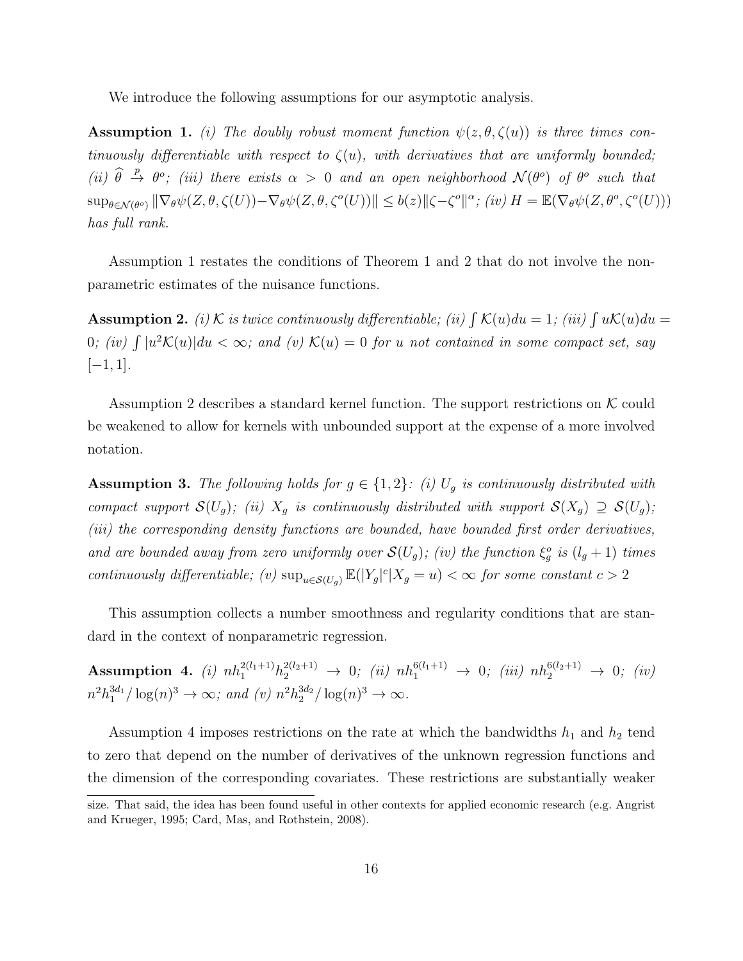We introduce the following assumptions for our asymptotic analysis.

**Assumption 1.** (i) The doubly robust moment function  $\psi(z, \theta, \zeta(u))$  is three times continuously differentiable with respect to  $\zeta(u)$ , with derivatives that are uniformly bounded; (ii)  $\hat{\theta} \stackrel{p}{\to} \theta^o$ ; (iii) there exists  $\alpha > 0$  and an open neighborhood  $\mathcal{N}(\theta^o)$  of  $\theta^o$  such that  $\sup_{\theta \in \mathcal{N}(\theta^o)} \|\nabla_{\theta}\psi(Z,\theta,\zeta(U)) - \nabla_{\theta}\psi(Z,\theta,\zeta^o(U))\| \leq b(z) \|\zeta - \zeta^o\|^{\alpha};$  (iv)  $H = \mathbb{E}(\nabla_{\theta}\psi(Z,\theta^o,\zeta^o(U)))$ has full rank.

Assumption 1 restates the conditions of Theorem 1 and 2 that do not involve the nonparametric estimates of the nuisance functions.

**Assumption 2.** (i) K is twice continuously differentiable; (ii)  $\int K(u)du = 1$ ; (iii)  $\int uK(u)du =$ 0; (iv)  $\int |u^2 \mathcal{K}(u)| du < \infty$ ; and (v)  $\mathcal{K}(u) = 0$  for u not contained in some compact set, say  $[-1, 1].$ 

Assumption 2 describes a standard kernel function. The support restrictions on  $K$  could be weakened to allow for kernels with unbounded support at the expense of a more involved notation.

**Assumption 3.** The following holds for  $g \in \{1,2\}$ : (i)  $U_g$  is continuously distributed with compact support  $\mathcal{S}(U_g)$ ; (ii)  $X_g$  is continuously distributed with support  $\mathcal{S}(X_g) \supseteq \mathcal{S}(U_g)$ ; (iii) the corresponding density functions are bounded, have bounded first order derivatives, and are bounded away from zero uniformly over  $\mathcal{S}(U_g)$ ; (iv) the function  $\xi_g^o$  is  $(l_g+1)$  times continuously differentiable; (v)  $\sup_{u \in \mathcal{S}(U_g)} \mathbb{E}(|Y_g|^c | X_g = u) < \infty$  for some constant  $c > 2$ 

This assumption collects a number smoothness and regularity conditions that are standard in the context of nonparametric regression.

 $\textbf{Assumption 4.} \ \textit{(i) } nh_1^{2(l_1+1)} h_2^{2(l_2+1)} \ \rightarrow \ 0; \ \textit{(ii) } nh_1^{6(l_1+1)} \ \rightarrow \ 0; \ \textit{(iii) } nh_2^{6(l_2+1)} \ \rightarrow \ 0; \ \textit{(iv)}$  $n^2 h_1^{3d_1} / \log(n)^3 \to \infty$ ; and (v)  $n^2 h_2^{3d_2} / \log(n)^3 \to \infty$ .

Assumption 4 imposes restrictions on the rate at which the bandwidths  $h_1$  and  $h_2$  tend to zero that depend on the number of derivatives of the unknown regression functions and the dimension of the corresponding covariates. These restrictions are substantially weaker

size. That said, the idea has been found useful in other contexts for applied economic research (e.g. Angrist and Krueger, 1995; Card, Mas, and Rothstein, 2008).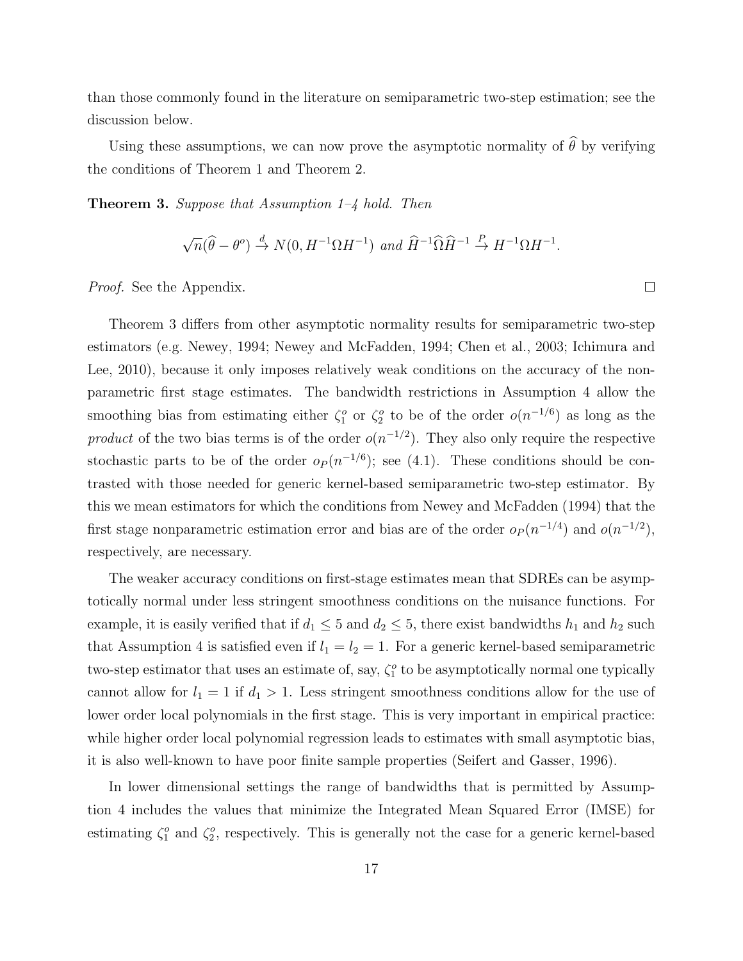than those commonly found in the literature on semiparametric two-step estimation; see the discussion below.

Using these assumptions, we can now prove the asymptotic normality of  $\widehat{\theta}$  by verifying the conditions of Theorem 1 and Theorem 2.

**Theorem 3.** Suppose that Assumption  $1-\frac{1}{4}$  hold. Then

$$
\sqrt{n}(\widehat{\theta}-\theta^o) \stackrel{d}{\rightarrow} N(0, H^{-1}\Omega H^{-1}) \text{ and } \widehat{H}^{-1}\widehat{\Omega}\widehat{H}^{-1} \stackrel{P}{\rightarrow} H^{-1}\Omega H^{-1}.
$$

Proof. See the Appendix.

Theorem 3 differs from other asymptotic normality results for semiparametric two-step estimators (e.g. Newey, 1994; Newey and McFadden, 1994; Chen et al., 2003; Ichimura and Lee, 2010), because it only imposes relatively weak conditions on the accuracy of the nonparametric first stage estimates. The bandwidth restrictions in Assumption 4 allow the smoothing bias from estimating either  $\zeta_1^o$  or  $\zeta_2^o$  to be of the order  $o(n^{-1/6})$  as long as the product of the two bias terms is of the order  $o(n^{-1/2})$ . They also only require the respective stochastic parts to be of the order  $o_P (n^{-1/6})$ ; see (4.1). These conditions should be contrasted with those needed for generic kernel-based semiparametric two-step estimator. By this we mean estimators for which the conditions from Newey and McFadden (1994) that the first stage nonparametric estimation error and bias are of the order  $o_P(n^{-1/4})$  and  $o(n^{-1/2})$ , respectively, are necessary.

The weaker accuracy conditions on first-stage estimates mean that SDREs can be asymptotically normal under less stringent smoothness conditions on the nuisance functions. For example, it is easily verified that if  $d_1 \leq 5$  and  $d_2 \leq 5$ , there exist bandwidths  $h_1$  and  $h_2$  such that Assumption 4 is satisfied even if  $l_1 = l_2 = 1$ . For a generic kernel-based semiparametric two-step estimator that uses an estimate of, say,  $\zeta_1^o$  to be asymptotically normal one typically cannot allow for  $l_1 = 1$  if  $d_1 > 1$ . Less stringent smoothness conditions allow for the use of lower order local polynomials in the first stage. This is very important in empirical practice: while higher order local polynomial regression leads to estimates with small asymptotic bias, it is also well-known to have poor finite sample properties (Seifert and Gasser, 1996).

In lower dimensional settings the range of bandwidths that is permitted by Assumption 4 includes the values that minimize the Integrated Mean Squared Error (IMSE) for estimating  $\zeta_1^o$  and  $\zeta_2^o$ , respectively. This is generally not the case for a generic kernel-based

 $\Box$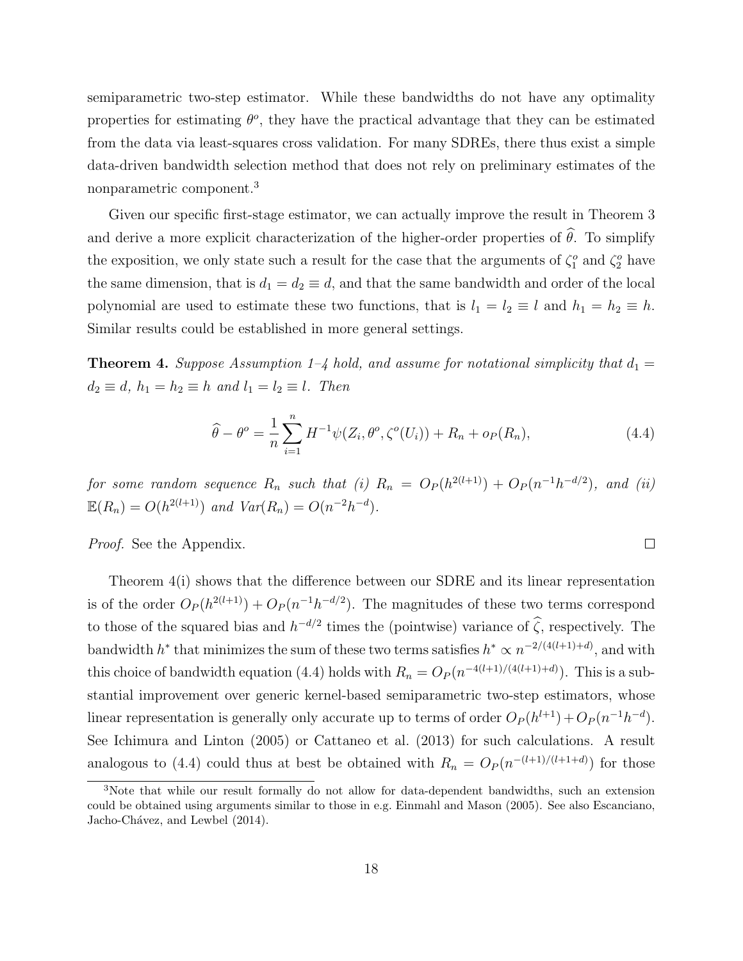semiparametric two-step estimator. While these bandwidths do not have any optimality properties for estimating  $\theta^o$ , they have the practical advantage that they can be estimated from the data via least-squares cross validation. For many SDREs, there thus exist a simple data-driven bandwidth selection method that does not rely on preliminary estimates of the nonparametric component.<sup>3</sup>

Given our specific first-stage estimator, we can actually improve the result in Theorem 3 and derive a more explicit characterization of the higher-order properties of  $\hat{\theta}$ . To simplify the exposition, we only state such a result for the case that the arguments of  $\zeta_1^o$  and  $\zeta_2^o$  have the same dimension, that is  $d_1 = d_2 \equiv d$ , and that the same bandwidth and order of the local polynomial are used to estimate these two functions, that is  $l_1 = l_2 \equiv l$  and  $h_1 = h_2 \equiv h$ . Similar results could be established in more general settings.

**Theorem 4.** Suppose Assumption 1–4 hold, and assume for notational simplicity that  $d_1 =$  $d_2 \equiv d, h_1 = h_2 \equiv h$  and  $l_1 = l_2 \equiv l$ . Then

$$
\widehat{\theta} - \theta^o = \frac{1}{n} \sum_{i=1}^n H^{-1} \psi(Z_i, \theta^o, \zeta^o(U_i)) + R_n + o_P(R_n), \tag{4.4}
$$

 $\Box$ 

for some random sequence  $R_n$  such that (i)  $R_n = O_P(h^{2(l+1)}) + O_P(n^{-1}h^{-d/2})$ , and (ii)  $\mathbb{E}(R_n) = O(h^{2(l+1)})$  and  $Var(R_n) = O(n^{-2}h^{-d}).$ 

Proof. See the Appendix.

Theorem 4(i) shows that the difference between our SDRE and its linear representation is of the order  $O_P(h^{2(l+1)}) + O_P(n^{-1}h^{-d/2})$ . The magnitudes of these two terms correspond to those of the squared bias and  $h^{-d/2}$  times the (pointwise) variance of  $\hat{\zeta}$ , respectively. The bandwidth  $h^*$  that minimizes the sum of these two terms satisfies  $h^* \propto n^{-2/(4(l+1)+d)}$ , and with this choice of bandwidth equation (4.4) holds with  $R_n = O_P(n^{-4(l+1)/(4(l+1)+d)})$ . This is a substantial improvement over generic kernel-based semiparametric two-step estimators, whose linear representation is generally only accurate up to terms of order  $O_P(h^{l+1}) + O_P(n^{-1}h^{-d})$ . See Ichimura and Linton (2005) or Cattaneo et al. (2013) for such calculations. A result analogous to (4.4) could thus at best be obtained with  $R_n = O_P(n^{-(l+1)/(l+1+d)})$  for those

<sup>3</sup>Note that while our result formally do not allow for data-dependent bandwidths, such an extension could be obtained using arguments similar to those in e.g. Einmahl and Mason (2005). See also Escanciano, Jacho-Chávez, and Lewbel (2014).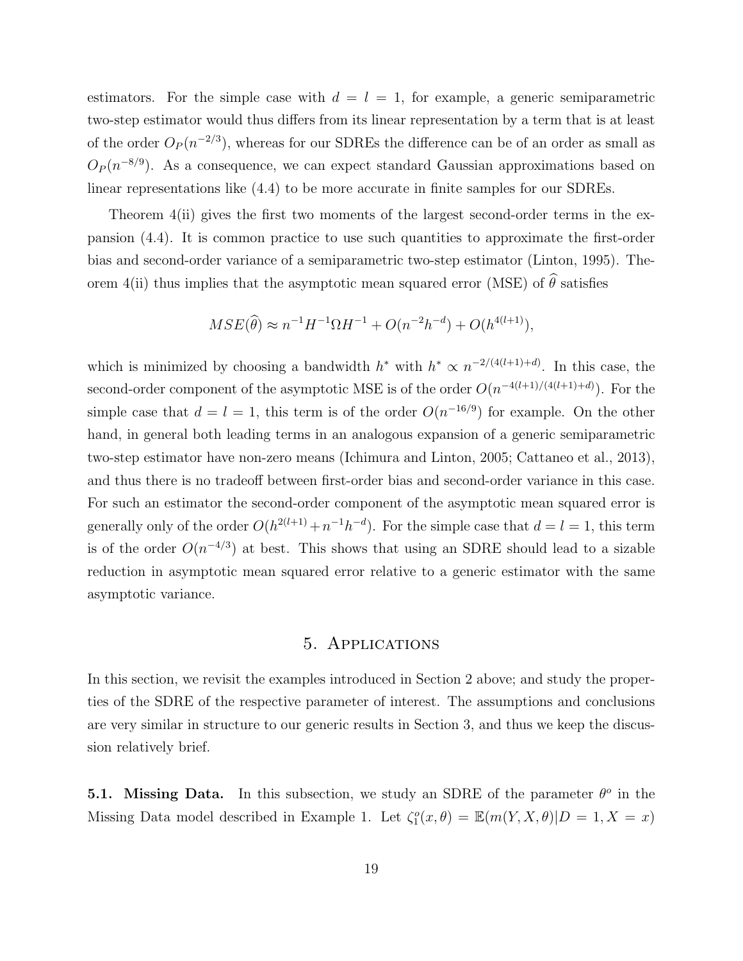estimators. For the simple case with  $d = l = 1$ , for example, a generic semiparametric two-step estimator would thus differs from its linear representation by a term that is at least of the order  $O_P(n^{-2/3})$ , whereas for our SDREs the difference can be of an order as small as  $O_P(n^{-8/9})$ . As a consequence, we can expect standard Gaussian approximations based on linear representations like (4.4) to be more accurate in finite samples for our SDREs.

Theorem 4(ii) gives the first two moments of the largest second-order terms in the expansion (4.4). It is common practice to use such quantities to approximate the first-order bias and second-order variance of a semiparametric two-step estimator (Linton, 1995). Theorem 4(ii) thus implies that the asymptotic mean squared error (MSE) of  $\hat{\theta}$  satisfies

$$
MSE(\widehat{\theta}) \approx n^{-1}H^{-1}\Omega H^{-1} + O(n^{-2}h^{-d}) + O(h^{4(l+1)}),
$$

which is minimized by choosing a bandwidth  $h^*$  with  $h^* \propto n^{-2/(4(l+1)+d)}$ . In this case, the second-order component of the asymptotic MSE is of the order  $O(n^{-4(l+1)/(4(l+1)+d)})$ . For the simple case that  $d = l = 1$ , this term is of the order  $O(n^{-16/9})$  for example. On the other hand, in general both leading terms in an analogous expansion of a generic semiparametric two-step estimator have non-zero means (Ichimura and Linton, 2005; Cattaneo et al., 2013), and thus there is no tradeoff between first-order bias and second-order variance in this case. For such an estimator the second-order component of the asymptotic mean squared error is generally only of the order  $O(h^{2(l+1)} + n^{-1}h^{-d})$ . For the simple case that  $d = l = 1$ , this term is of the order  $O(n^{-4/3})$  at best. This shows that using an SDRE should lead to a sizable reduction in asymptotic mean squared error relative to a generic estimator with the same asymptotic variance.

## 5. Applications

In this section, we revisit the examples introduced in Section 2 above; and study the properties of the SDRE of the respective parameter of interest. The assumptions and conclusions are very similar in structure to our generic results in Section 3, and thus we keep the discussion relatively brief.

**5.1.** Missing Data. In this subsection, we study an SDRE of the parameter  $\theta^o$  in the Missing Data model described in Example 1. Let  $\zeta_1^o(x,\theta) = \mathbb{E}(m(Y,X,\theta)|D=1,X=x)$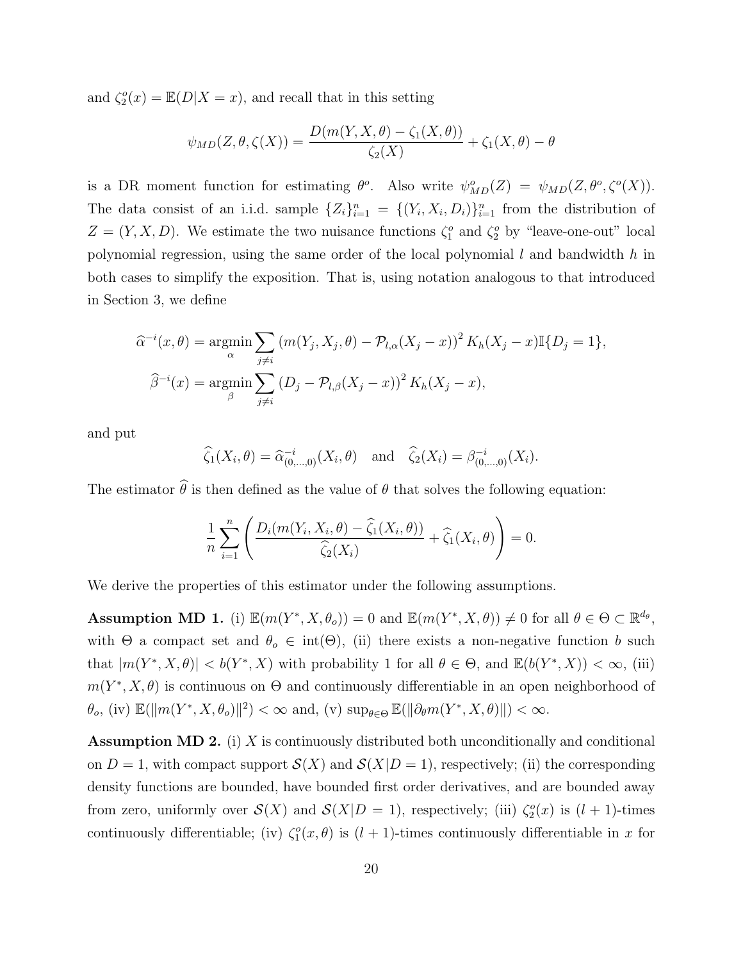and  $\zeta_2^o(x) = \mathbb{E}(D|X=x)$ , and recall that in this setting

$$
\psi_{MD}(Z,\theta,\zeta(X)) = \frac{D(m(Y,X,\theta) - \zeta_1(X,\theta))}{\zeta_2(X)} + \zeta_1(X,\theta) - \theta
$$

is a DR moment function for estimating  $\theta^o$ . Also write  $\psi^o_{MD}(Z) = \psi_{MD}(Z, \theta^o, \zeta^o(X)).$ The data consist of an i.i.d. sample  $\{Z_i\}_{i=1}^n = \{(Y_i, X_i, D_i)\}_{i=1}^n$  from the distribution of  $Z = (Y, X, D)$ . We estimate the two nuisance functions  $\zeta_1^o$  and  $\zeta_2^o$  by "leave-one-out" local polynomial regression, using the same order of the local polynomial  $l$  and bandwidth  $h$  in both cases to simplify the exposition. That is, using notation analogous to that introduced in Section 3, we define

$$
\hat{\alpha}^{-i}(x,\theta) = \underset{\alpha}{\operatorname{argmin}} \sum_{j \neq i} (m(Y_j, X_j, \theta) - \mathcal{P}_{l,\alpha}(X_j - x))^2 K_h(X_j - x) \mathbb{I}\{D_j = 1\},
$$
  

$$
\hat{\beta}^{-i}(x) = \underset{\beta}{\operatorname{argmin}} \sum_{j \neq i} (D_j - \mathcal{P}_{l,\beta}(X_j - x))^2 K_h(X_j - x),
$$

and put

$$
\widehat{\zeta}_1(X_i, \theta) = \widehat{\alpha}_{(0, ..., 0)}^{-i}(X_i, \theta)
$$
 and  $\widehat{\zeta}_2(X_i) = \beta_{(0, ..., 0)}^{-i}(X_i)$ .

The estimator  $\hat{\theta}$  is then defined as the value of  $\theta$  that solves the following equation:

$$
\frac{1}{n}\sum_{i=1}^n \left( \frac{D_i(m(Y_i, X_i, \theta) - \widehat{\zeta}_1(X_i, \theta))}{\widehat{\zeta}_2(X_i)} + \widehat{\zeta}_1(X_i, \theta) \right) = 0.
$$

We derive the properties of this estimator under the following assumptions.

**Assumption MD 1.** (i)  $\mathbb{E}(m(Y^*, X, \theta_o)) = 0$  and  $\mathbb{E}(m(Y^*, X, \theta)) \neq 0$  for all  $\theta \in \Theta \subset \mathbb{R}^{d_{\theta}},$ with  $\Theta$  a compact set and  $\theta_o \in \text{int}(\Theta)$ , (ii) there exists a non-negative function b such that  $|m(Y^*, X, \theta)| < b(Y^*, X)$  with probability 1 for all  $\theta \in \Theta$ , and  $\mathbb{E}(b(Y^*, X)) < \infty$ , (iii)  $m(Y^*, X, \theta)$  is continuous on  $\Theta$  and continuously differentiable in an open neighborhood of  $\theta_o$ , (iv)  $\mathbb{E}(\|m(Y^*, X, \theta_o)\|^2) < \infty$  and, (v)  $\sup_{\theta \in \Theta} \mathbb{E}(\|\partial_{\theta} m(Y^*, X, \theta)\|) < \infty$ .

**Assumption MD 2.** (i) X is continuously distributed both unconditionally and conditional on  $D = 1$ , with compact support  $\mathcal{S}(X)$  and  $\mathcal{S}(X|D = 1)$ , respectively; (ii) the corresponding density functions are bounded, have bounded first order derivatives, and are bounded away from zero, uniformly over  $\mathcal{S}(X)$  and  $\mathcal{S}(X|D = 1)$ , respectively; (iii)  $\zeta_2^o(x)$  is  $(l + 1)$ -times continuously differentiable; (iv)  $\zeta_1^o(x,\theta)$  is  $(l+1)$ -times continuously differentiable in x for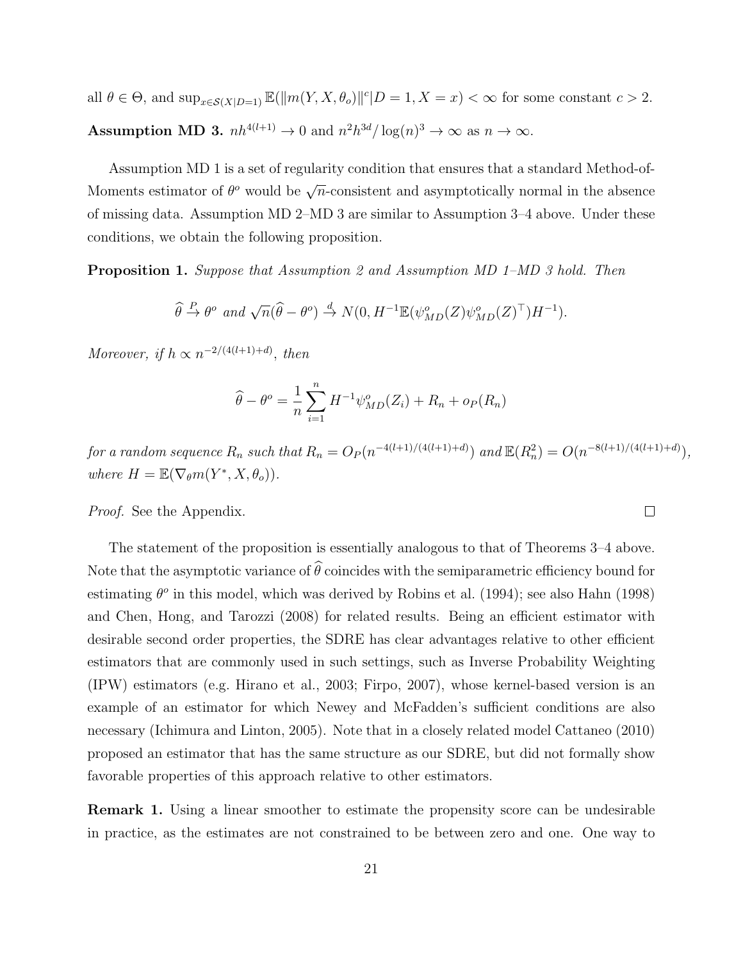all  $\theta \in \Theta$ , and  $\sup_{x \in \mathcal{S}(X|D=1)} \mathbb{E}(\|m(Y, X, \theta_o)\|^c | D=1, X=x) < \infty$  for some constant  $c > 2$ . Assumption MD 3.  $nh^{4(l+1)} \to 0$  and  $n^2h^{3d}/\log(n)^3 \to \infty$  as  $n \to \infty$ .

Assumption MD 1 is a set of regularity condition that ensures that a standard Method-of-Moments estimator of  $\theta^o$  would be  $\sqrt{n}$ -consistent and asymptotically normal in the absence of missing data. Assumption MD 2–MD 3 are similar to Assumption 3–4 above. Under these conditions, we obtain the following proposition.

**Proposition 1.** Suppose that Assumption 2 and Assumption MD 1–MD 3 hold. Then

$$
\widehat{\theta} \stackrel{P}{\to} \theta^o \text{ and } \sqrt{n}(\widehat{\theta} - \theta^o) \stackrel{d}{\to} N(0, H^{-1} \mathbb{E}(\psi^o_{MD}(Z) \psi^o_{MD}(Z)^\top) H^{-1}).
$$

Moreover, if  $h \propto n^{-2/(4(l+1)+d)}$ , then

$$
\widehat{\theta} - \theta^o = \frac{1}{n} \sum_{i=1}^n H^{-1} \psi_{MD}^o(Z_i) + R_n + o_P(R_n)
$$

for a random sequence  $R_n$  such that  $R_n = O_P(n^{-4(l+1)/(4(l+1)+d)})$  and  $\mathbb{E}(R_n^2) = O(n^{-8(l+1)/(4(l+1)+d)}),$ where  $H = \mathbb{E}(\nabla_{\theta} m(Y^*, X, \theta_o)).$ 

#### *Proof.* See the Appendix.

The statement of the proposition is essentially analogous to that of Theorems 3–4 above. Note that the asymptotic variance of  $\widehat{\theta}$  coincides with the semiparametric efficiency bound for estimating  $\theta^o$  in this model, which was derived by Robins et al. (1994); see also Hahn (1998) and Chen, Hong, and Tarozzi (2008) for related results. Being an efficient estimator with desirable second order properties, the SDRE has clear advantages relative to other efficient estimators that are commonly used in such settings, such as Inverse Probability Weighting (IPW) estimators (e.g. Hirano et al., 2003; Firpo, 2007), whose kernel-based version is an example of an estimator for which Newey and McFadden's sufficient conditions are also necessary (Ichimura and Linton, 2005). Note that in a closely related model Cattaneo (2010) proposed an estimator that has the same structure as our SDRE, but did not formally show favorable properties of this approach relative to other estimators.

Remark 1. Using a linear smoother to estimate the propensity score can be undesirable in practice, as the estimates are not constrained to be between zero and one. One way to

 $\Box$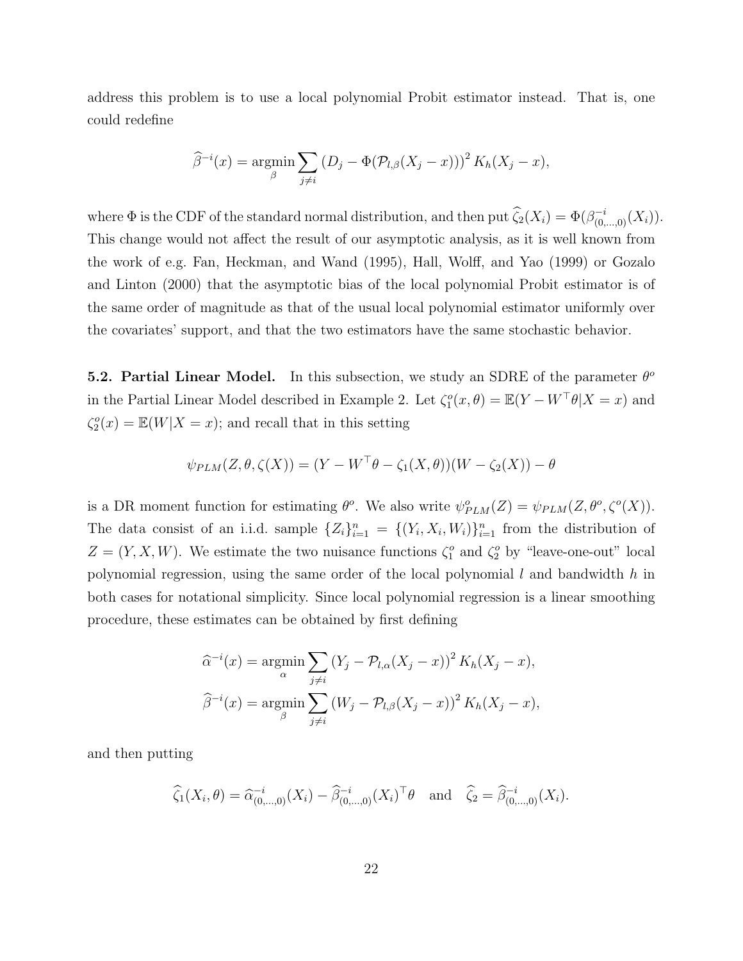address this problem is to use a local polynomial Probit estimator instead. That is, one could redefine

$$
\widehat{\beta}^{-i}(x) = \underset{\beta}{\text{argmin}} \sum_{j \neq i} (D_j - \Phi(\mathcal{P}_{l,\beta}(X_j - x)))^2 K_h(X_j - x),
$$

where  $\Phi$  is the CDF of the standard normal distribution, and then put  $\widehat{\zeta}_2(X_i) = \Phi(\beta_{(0,\ldots,0)}^{-i}(X_i)).$ This change would not affect the result of our asymptotic analysis, as it is well known from the work of e.g. Fan, Heckman, and Wand (1995), Hall, Wolff, and Yao (1999) or Gozalo and Linton (2000) that the asymptotic bias of the local polynomial Probit estimator is of the same order of magnitude as that of the usual local polynomial estimator uniformly over the covariates' support, and that the two estimators have the same stochastic behavior.

5.2. Partial Linear Model. In this subsection, we study an SDRE of the parameter  $\theta^o$ in the Partial Linear Model described in Example 2. Let  $\zeta_1^o(x, \theta) = \mathbb{E}(Y - W^\top \theta | X = x)$  and  $\zeta_2^o(x) = \mathbb{E}(W|X=x)$ ; and recall that in this setting

$$
\psi_{PLM}(Z,\theta,\zeta(X)) = (Y - W^\top \theta - \zeta_1(X,\theta))(W - \zeta_2(X)) - \theta
$$

is a DR moment function for estimating  $\theta^o$ . We also write  $\psi_{PLM}^o(Z) = \psi_{PLM}(Z, \theta^o, \zeta^o(X)).$ The data consist of an i.i.d. sample  $\{Z_i\}_{i=1}^n = \{(Y_i, X_i, W_i)\}_{i=1}^n$  from the distribution of  $Z = (Y, X, W)$ . We estimate the two nuisance functions  $\zeta_1^o$  and  $\zeta_2^o$  by "leave-one-out" local polynomial regression, using the same order of the local polynomial  $l$  and bandwidth  $h$  in both cases for notational simplicity. Since local polynomial regression is a linear smoothing procedure, these estimates can be obtained by first defining

$$
\hat{\alpha}^{-i}(x) = \underset{\alpha}{\operatorname{argmin}} \sum_{j \neq i} (Y_j - \mathcal{P}_{l,\alpha}(X_j - x))^2 K_h(X_j - x),
$$

$$
\hat{\beta}^{-i}(x) = \underset{\beta}{\operatorname{argmin}} \sum_{j \neq i} (W_j - \mathcal{P}_{l,\beta}(X_j - x))^2 K_h(X_j - x),
$$

and then putting

$$
\widehat{\zeta}_1(X_i, \theta) = \widehat{\alpha}_{(0, ..., 0)}^{-i}(X_i) - \widehat{\beta}_{(0, ..., 0)}^{-i}(X_i)^{\top} \theta \text{ and } \widehat{\zeta}_2 = \widehat{\beta}_{(0, ..., 0)}^{-i}(X_i).
$$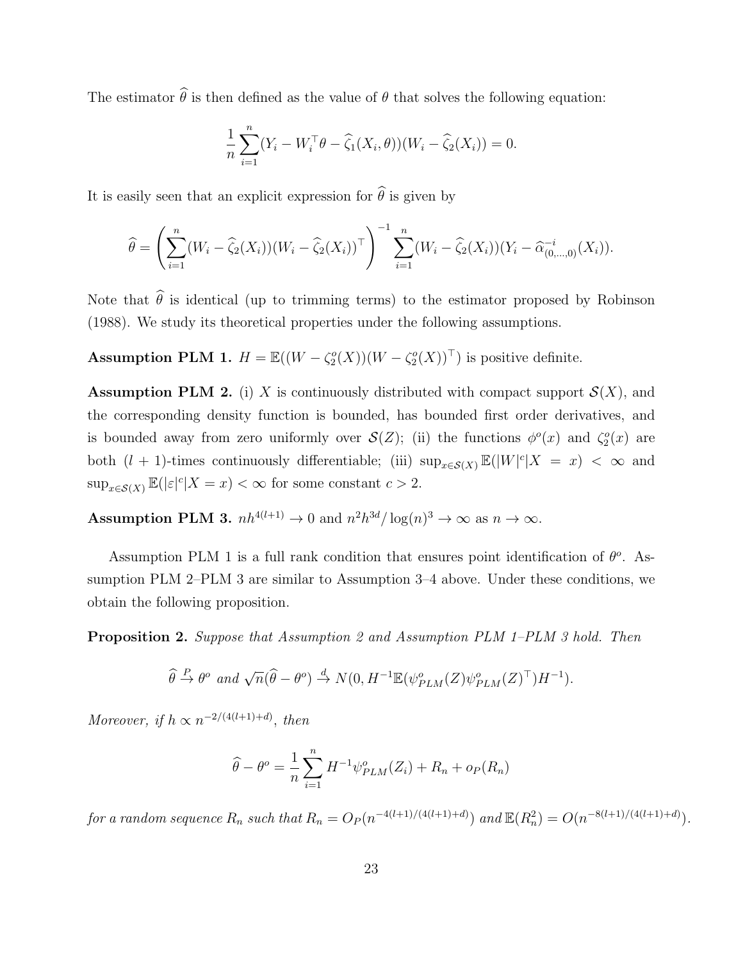The estimator  $\hat{\theta}$  is then defined as the value of  $\theta$  that solves the following equation:

$$
\frac{1}{n} \sum_{i=1}^{n} (Y_i - W_i^{\top} \theta - \widehat{\zeta}_1(X_i, \theta)) (W_i - \widehat{\zeta}_2(X_i)) = 0.
$$

It is easily seen that an explicit expression for  $\widehat{\theta}$  is given by

$$
\widehat{\theta} = \left(\sum_{i=1}^n (W_i - \widehat{\zeta}_2(X_i))(W_i - \widehat{\zeta}_2(X_i))^{\top}\right)^{-1} \sum_{i=1}^n (W_i - \widehat{\zeta}_2(X_i))(Y_i - \widehat{\alpha}_{(0,\dots,0)}^{-i}(X_i)).
$$

Note that  $\hat{\theta}$  is identical (up to trimming terms) to the estimator proposed by Robinson (1988). We study its theoretical properties under the following assumptions.

**Assumption PLM 1.**  $H = \mathbb{E}((W - \zeta_2^o(X))(W - \zeta_2^o(X))^{\top})$  is positive definite.

**Assumption PLM 2.** (i) X is continuously distributed with compact support  $\mathcal{S}(X)$ , and the corresponding density function is bounded, has bounded first order derivatives, and is bounded away from zero uniformly over  $\mathcal{S}(Z)$ ; (ii) the functions  $\phi^o(x)$  and  $\zeta_2^o(x)$  are both  $(l + 1)$ -times continuously differentiable; (iii)  $\sup_{x \in S(X)} \mathbb{E}(|W|^c | X = x) < \infty$  and  $\sup_{x \in \mathcal{S}(X)} \mathbb{E}(|\varepsilon|^c |X = x) < \infty$  for some constant  $c > 2$ .

Assumption PLM 3.  $nh^{4(l+1)} \to 0$  and  $n^2h^{3d}/\log(n)^3 \to \infty$  as  $n \to \infty$ .

Assumption PLM 1 is a full rank condition that ensures point identification of  $\theta^o$ . Assumption PLM 2–PLM 3 are similar to Assumption 3–4 above. Under these conditions, we obtain the following proposition.

Proposition 2. Suppose that Assumption 2 and Assumption PLM 1–PLM 3 hold. Then

$$
\widehat{\theta} \stackrel{P}{\to} \theta^o \text{ and } \sqrt{n}(\widehat{\theta} - \theta^o) \stackrel{d}{\to} N(0, H^{-1} \mathbb{E}(\psi_{PLM}^o(Z) \psi_{PLM}^o(Z)^\top) H^{-1}).
$$

Moreover, if  $h \propto n^{-2/(4(l+1)+d)}$ , then

$$
\widehat{\theta} - \theta^o = \frac{1}{n} \sum_{i=1}^n H^{-1} \psi_{PLM}^o(Z_i) + R_n + o_P(R_n)
$$

for a random sequence  $R_n$  such that  $R_n = O_P(n^{-4(l+1)/(4(l+1)+d)})$  and  $\mathbb{E}(R_n^2) = O(n^{-8(l+1)/(4(l+1)+d)})$ .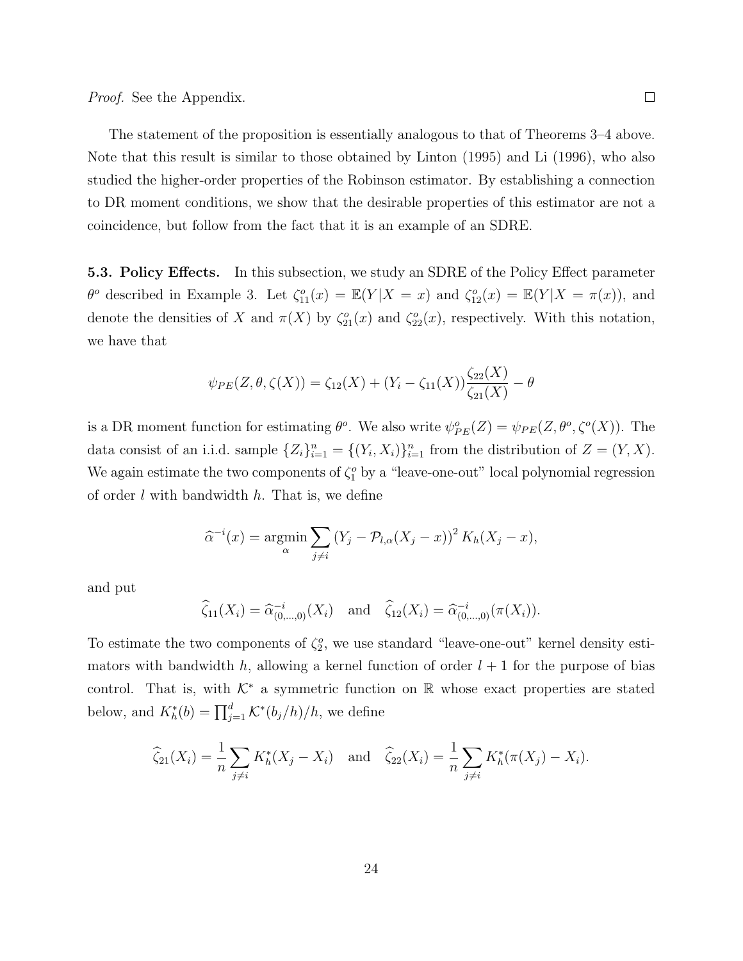The statement of the proposition is essentially analogous to that of Theorems 3–4 above. Note that this result is similar to those obtained by Linton (1995) and Li (1996), who also studied the higher-order properties of the Robinson estimator. By establishing a connection to DR moment conditions, we show that the desirable properties of this estimator are not a coincidence, but follow from the fact that it is an example of an SDRE.

**5.3. Policy Effects.** In this subsection, we study an SDRE of the Policy Effect parameter  $\theta^o$  described in Example 3. Let  $\zeta_{11}^o(x) = \mathbb{E}(Y|X=x)$  and  $\zeta_{12}^o(x) = \mathbb{E}(Y|X=\pi(x))$ , and denote the densities of X and  $\pi(X)$  by  $\zeta_{21}^o(x)$  and  $\zeta_{22}^o(x)$ , respectively. With this notation, we have that

$$
\psi_{PE}(Z,\theta,\zeta(X)) = \zeta_{12}(X) + (Y_i - \zeta_{11}(X))\frac{\zeta_{22}(X)}{\zeta_{21}(X)} - \theta
$$

is a DR moment function for estimating  $\theta^o$ . We also write  $\psi_{PE}^o(Z) = \psi_{PE}(Z, \theta^o, \zeta^o(X))$ . The data consist of an i.i.d. sample  $\{Z_i\}_{i=1}^n = \{(Y_i, X_i)\}_{i=1}^n$  from the distribution of  $Z = (Y, X)$ . We again estimate the two components of  $\zeta_1^o$  by a "leave-one-out" local polynomial regression of order  $l$  with bandwidth  $h$ . That is, we define

$$
\widehat{\alpha}^{-i}(x) = \underset{\alpha}{\text{argmin}} \sum_{j \neq i} (Y_j - \mathcal{P}_{l,\alpha}(X_j - x))^2 K_h(X_j - x),
$$

and put

$$
\widehat{\zeta}_{11}(X_i) = \widehat{\alpha}_{(0,\dots,0)}^{-i}(X_i) \quad \text{and} \quad \widehat{\zeta}_{12}(X_i) = \widehat{\alpha}_{(0,\dots,0)}^{-i}(\pi(X_i)).
$$

To estimate the two components of  $\zeta_2^o$ , we use standard "leave-one-out" kernel density estimators with bandwidth h, allowing a kernel function of order  $l + 1$  for the purpose of bias control. That is, with  $K^*$  a symmetric function on R whose exact properties are stated below, and  $K_h^*(b) = \prod_{j=1}^d \mathcal{K}^*(b_j/h)/h$ , we define

$$
\widehat{\zeta}_{21}(X_i) = \frac{1}{n} \sum_{j \neq i} K_h^*(X_j - X_i) \text{ and } \widehat{\zeta}_{22}(X_i) = \frac{1}{n} \sum_{j \neq i} K_h^*(\pi(X_j) - X_i).
$$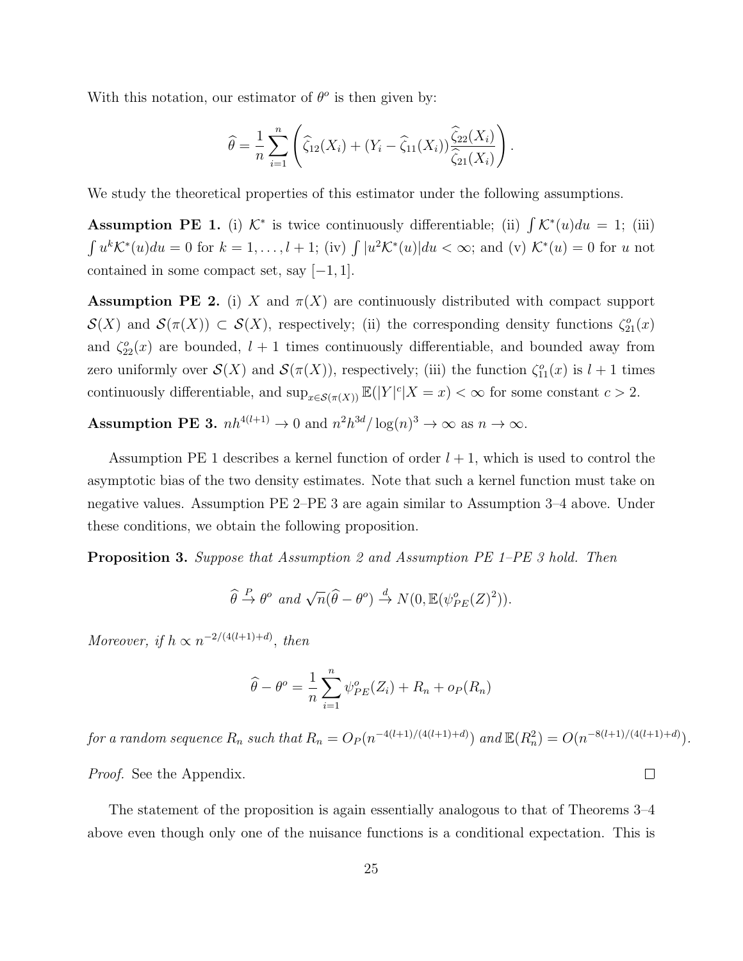With this notation, our estimator of  $\theta^o$  is then given by:

$$
\widehat{\theta} = \frac{1}{n} \sum_{i=1}^{n} \left( \widehat{\zeta}_{12}(X_i) + (Y_i - \widehat{\zeta}_{11}(X_i)) \frac{\widehat{\zeta}_{22}(X_i)}{\widehat{\zeta}_{21}(X_i)} \right).
$$

We study the theoretical properties of this estimator under the following assumptions.

Assumption PE 1. (i)  $K^*$  is twice continuously differentiable; (ii)  $\int K^*(u)du = 1$ ; (iii)  $\int u^k \mathcal{K}^*(u) du = 0$  for  $k = 1, \ldots, l + 1$ ; (iv)  $\int |u^2 \mathcal{K}^*(u)| du < \infty$ ; and (v)  $\mathcal{K}^*(u) = 0$  for u not contained in some compact set, say  $[-1, 1]$ .

**Assumption PE 2.** (i) X and  $\pi(X)$  are continuously distributed with compact support  $\mathcal{S}(X)$  and  $\mathcal{S}(\pi(X)) \subset \mathcal{S}(X)$ , respectively; (ii) the corresponding density functions  $\zeta_{21}^o(x)$ and  $\zeta_{22}^o(x)$  are bounded,  $l + 1$  times continuously differentiable, and bounded away from zero uniformly over  $\mathcal{S}(X)$  and  $\mathcal{S}(\pi(X))$ , respectively; (iii) the function  $\zeta_{11}^o(x)$  is  $l+1$  times continuously differentiable, and  $\sup_{x \in \mathcal{S}(\pi(X))} \mathbb{E}(|Y|^c | X = x) < \infty$  for some constant  $c > 2$ .

**Assumption PE 3.**  $nh^{4(l+1)} \to 0$  and  $n^2h^{3d}/\log(n)^3 \to \infty$  as  $n \to \infty$ .

Assumption PE 1 describes a kernel function of order  $l + 1$ , which is used to control the asymptotic bias of the two density estimates. Note that such a kernel function must take on negative values. Assumption PE 2–PE 3 are again similar to Assumption 3–4 above. Under these conditions, we obtain the following proposition.

Proposition 3. Suppose that Assumption 2 and Assumption PE 1–PE 3 hold. Then

$$
\widehat{\theta} \stackrel{P}{\to} \theta^o \text{ and } \sqrt{n}(\widehat{\theta} - \theta^o) \stackrel{d}{\to} N(0, \mathbb{E}(\psi_{PE}^o(Z)^2)).
$$

Moreover, if  $h \propto n^{-2/(4(l+1)+d)}$ , then

$$
\widehat{\theta} - \theta^o = \frac{1}{n} \sum_{i=1}^n \psi_{PE}^o(Z_i) + R_n + o_P(R_n)
$$

for a random sequence  $R_n$  such that  $R_n = O_P(n^{-4(l+1)/(4(l+1)+d)})$  and  $\mathbb{E}(R_n^2) = O(n^{-8(l+1)/(4(l+1)+d)})$ . Proof. See the Appendix.  $\Box$ 

The statement of the proposition is again essentially analogous to that of Theorems 3–4 above even though only one of the nuisance functions is a conditional expectation. This is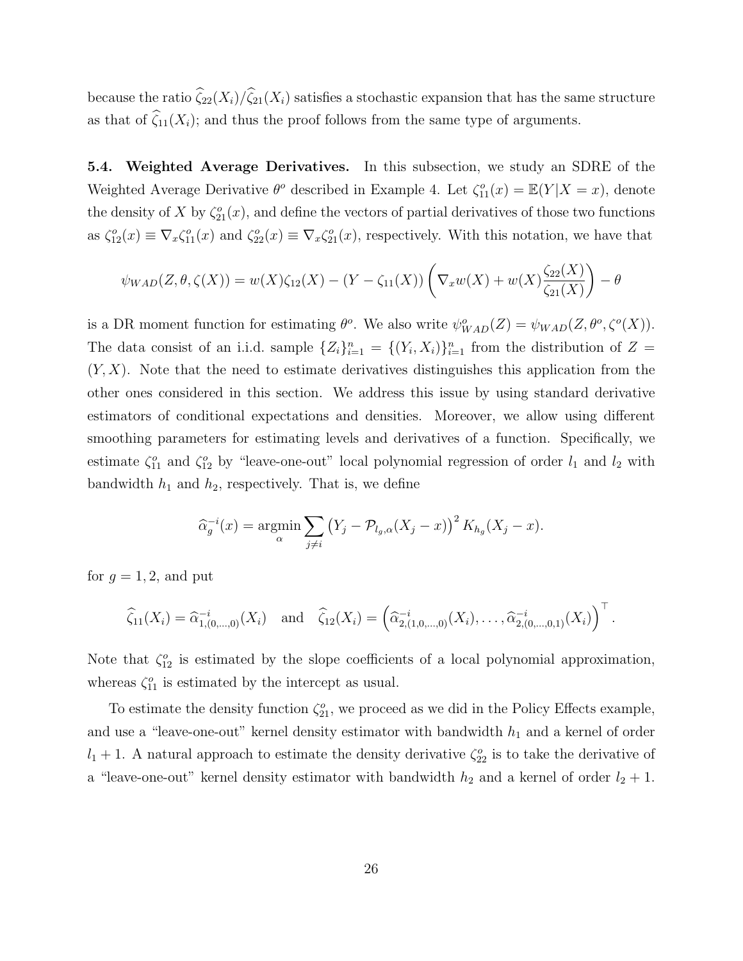because the ratio  $\widehat{\zeta}_{22}(X_i)/\widehat{\zeta}_{21}(X_i)$  satisfies a stochastic expansion that has the same structure as that of  $\widehat{\zeta}_{11}(X_i)$ ; and thus the proof follows from the same type of arguments.

5.4. Weighted Average Derivatives. In this subsection, we study an SDRE of the Weighted Average Derivative  $\theta^o$  described in Example 4. Let  $\zeta_{11}^o(x) = \mathbb{E}(Y|X=x)$ , denote the density of X by  $\zeta_{21}^o(x)$ , and define the vectors of partial derivatives of those two functions as  $\zeta_{12}^o(x) \equiv \nabla_x \zeta_{11}^o(x)$  and  $\zeta_{22}^o(x) \equiv \nabla_x \zeta_{21}^o(x)$ , respectively. With this notation, we have that

$$
\psi_{WAD}(Z,\theta,\zeta(X)) = w(X)\zeta_{12}(X) - (Y - \zeta_{11}(X))\left(\nabla_x w(X) + w(X)\frac{\zeta_{22}(X)}{\zeta_{21}(X)}\right) - \theta
$$

is a DR moment function for estimating  $\theta^o$ . We also write  $\psi^o_{WAD}(Z) = \psi_{WAD}(Z, \theta^o, \zeta^o(X)).$ The data consist of an i.i.d. sample  $\{Z_i\}_{i=1}^n = \{(Y_i, X_i)\}_{i=1}^n$  from the distribution of  $Z =$  $(Y, X)$ . Note that the need to estimate derivatives distinguishes this application from the other ones considered in this section. We address this issue by using standard derivative estimators of conditional expectations and densities. Moreover, we allow using different smoothing parameters for estimating levels and derivatives of a function. Specifically, we estimate  $\zeta_{11}^o$  and  $\zeta_{12}^o$  by "leave-one-out" local polynomial regression of order  $l_1$  and  $l_2$  with bandwidth  $h_1$  and  $h_2$ , respectively. That is, we define

$$
\widehat{\alpha}_g^{-i}(x) = \underset{\alpha}{\text{argmin}} \sum_{j \neq i} \left( Y_j - \mathcal{P}_{l_g,\alpha}(X_j - x) \right)^2 K_{h_g}(X_j - x).
$$

for  $q = 1, 2$ , and put

$$
\widehat{\zeta}_{11}(X_i) = \widehat{\alpha}_{1,(0,...,0)}^{-i}(X_i) \text{ and } \widehat{\zeta}_{12}(X_i) = \left(\widehat{\alpha}_{2,(1,0,...,0)}^{-i}(X_i), \ldots, \widehat{\alpha}_{2,(0,...,0,1)}^{-i}(X_i)\right)^{\top}.
$$

Note that  $\zeta_{12}^o$  is estimated by the slope coefficients of a local polynomial approximation, whereas  $\zeta_{11}^o$  is estimated by the intercept as usual.

To estimate the density function  $\zeta_{21}^o$ , we proceed as we did in the Policy Effects example, and use a "leave-one-out" kernel density estimator with bandwidth  $h_1$  and a kernel of order  $l_1 + 1$ . A natural approach to estimate the density derivative  $\zeta_{22}^o$  is to take the derivative of a "leave-one-out" kernel density estimator with bandwidth  $h_2$  and a kernel of order  $l_2 + 1$ .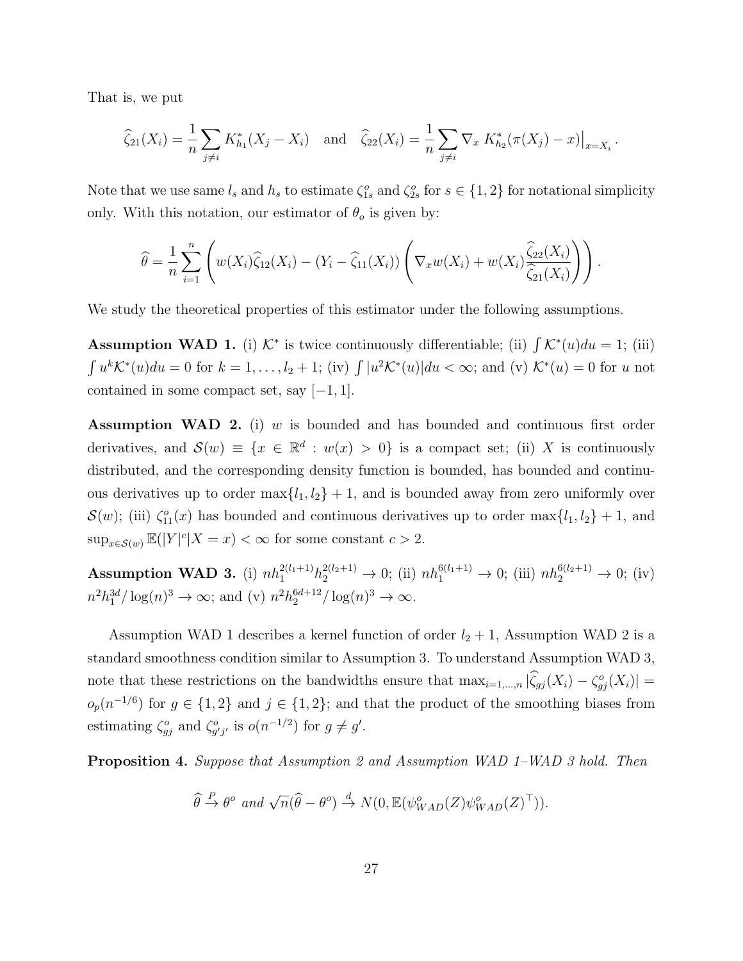That is, we put

$$
\widehat{\zeta}_{21}(X_i) = \frac{1}{n} \sum_{j \neq i} K_{h_1}^*(X_j - X_i) \text{ and } \widehat{\zeta}_{22}(X_i) = \frac{1}{n} \sum_{j \neq i} \nabla_x K_{h_2}^*(\pi(X_j) - x)|_{x = X_i}.
$$

Note that we use same  $l_s$  and  $h_s$  to estimate  $\zeta_{1s}^o$  and  $\zeta_{2s}^o$  for  $s \in \{1,2\}$  for notational simplicity only. With this notation, our estimator of  $\theta_o$  is given by:

$$
\widehat{\theta} = \frac{1}{n} \sum_{i=1}^n \left( w(X_i) \widehat{\zeta}_{12}(X_i) - (Y_i - \widehat{\zeta}_{11}(X_i)) \left( \nabla_x w(X_i) + w(X_i) \frac{\widehat{\zeta}_{22}(X_i)}{\widehat{\zeta}_{21}(X_i)} \right) \right).
$$

We study the theoretical properties of this estimator under the following assumptions.

Assumption WAD 1. (i)  $K^*$  is twice continuously differentiable; (ii)  $\int K^*(u)du = 1$ ; (iii)  $\int u^k \mathcal{K}^*(u) du = 0$  for  $k = 1, \ldots, l_2 + 1$ ; (iv)  $\int |u^2 \mathcal{K}^*(u)| du < \infty$ ; and (v)  $\mathcal{K}^*(u) = 0$  for u not contained in some compact set, say  $[-1, 1]$ .

**Assumption WAD 2.** (i)  $w$  is bounded and has bounded and continuous first order derivatives, and  $\mathcal{S}(w) \equiv \{x \in \mathbb{R}^d : w(x) > 0\}$  is a compact set; (ii) X is continuously distributed, and the corresponding density function is bounded, has bounded and continuous derivatives up to order  $\max\{l_1, l_2\} + 1$ , and is bounded away from zero uniformly over  $\mathcal{S}(w)$ ; (iii)  $\zeta_{11}^o(x)$  has bounded and continuous derivatives up to order max $\{l_1, l_2\} + 1$ , and  $\sup_{x \in \mathcal{S}(w)} \mathbb{E}(|Y|^c | X = x) < \infty$  for some constant  $c > 2$ .

**Assumption WAD 3.** (i)  $nh_1^{2(l_1+1)}h_2^{2(l_2+1)} \to 0$ ; (ii)  $nh_1^{6(l_1+1)} \to 0$ ; (iii)  $nh_2^{6(l_2+1)} \to 0$ ; (iv)  $n^2 h_1^{3d} / \log(n)^3 \to \infty$ ; and (v)  $n^2 h_2^{6d+12} / \log(n)^3 \to \infty$ .

Assumption WAD 1 describes a kernel function of order  $l_2 + 1$ , Assumption WAD 2 is a standard smoothness condition similar to Assumption 3. To understand Assumption WAD 3, note that these restrictions on the bandwidths ensure that  $\max_{i=1,\dots,n} |\widehat{\zeta}_{gj}(X_i) - \zeta_{gj}^o(X_i)| =$  $o_p(n^{-1/6})$  for  $g \in \{1,2\}$  and  $j \in \{1,2\}$ ; and that the product of the smoothing biases from estimating  $\zeta_{gj}^o$  and  $\zeta_{g'j'}^o$  is  $o(n^{-1/2})$  for  $g \neq g'$ .

Proposition 4. Suppose that Assumption 2 and Assumption WAD 1–WAD 3 hold. Then

$$
\widehat{\theta} \stackrel{P}{\to} \theta^o \text{ and } \sqrt{n}(\widehat{\theta} - \theta^o) \stackrel{d}{\to} N(0, \mathbb{E}(\psi^o_{WAD}(Z)\psi^o_{WAD}(Z)^{\top})).
$$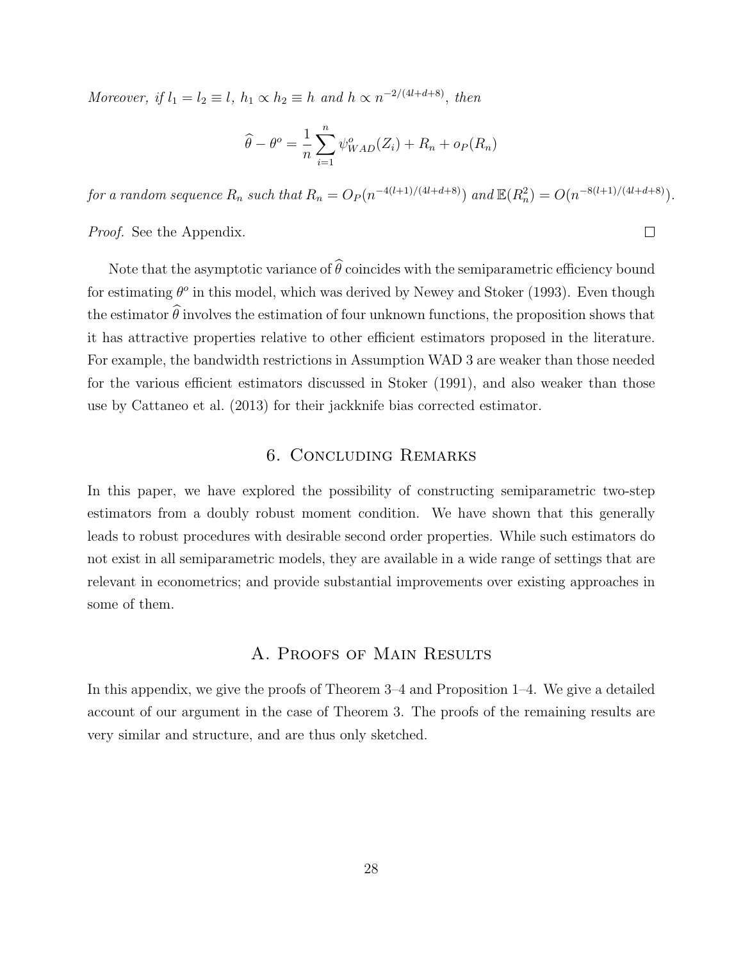Moreover, if  $l_1 = l_2 \equiv l$ ,  $h_1 \propto h_2 \equiv h$  and  $h \propto n^{-2/(4l+d+8)}$ , then

$$
\widehat{\theta} - \theta^o = \frac{1}{n} \sum_{i=1}^n \psi_{WAD}^o(Z_i) + R_n + o_P(R_n)
$$

for a random sequence  $R_n$  such that  $R_n = O_P(n^{-4(l+1)/(4l+d+8)})$  and  $\mathbb{E}(R_n^2) = O(n^{-8(l+1)/(4l+d+8)})$ .

Proof. See the Appendix.

Note that the asymptotic variance of  $\widehat{\theta}$  coincides with the semiparametric efficiency bound for estimating  $\theta^o$  in this model, which was derived by Newey and Stoker (1993). Even though the estimator  $\hat{\theta}$  involves the estimation of four unknown functions, the proposition shows that it has attractive properties relative to other efficient estimators proposed in the literature. For example, the bandwidth restrictions in Assumption WAD 3 are weaker than those needed for the various efficient estimators discussed in Stoker (1991), and also weaker than those use by Cattaneo et al. (2013) for their jackknife bias corrected estimator.

# 6. Concluding Remarks

In this paper, we have explored the possibility of constructing semiparametric two-step estimators from a doubly robust moment condition. We have shown that this generally leads to robust procedures with desirable second order properties. While such estimators do not exist in all semiparametric models, they are available in a wide range of settings that are relevant in econometrics; and provide substantial improvements over existing approaches in some of them.

# A. Proofs of Main Results

In this appendix, we give the proofs of Theorem 3–4 and Proposition 1–4. We give a detailed account of our argument in the case of Theorem 3. The proofs of the remaining results are very similar and structure, and are thus only sketched.

 $\Box$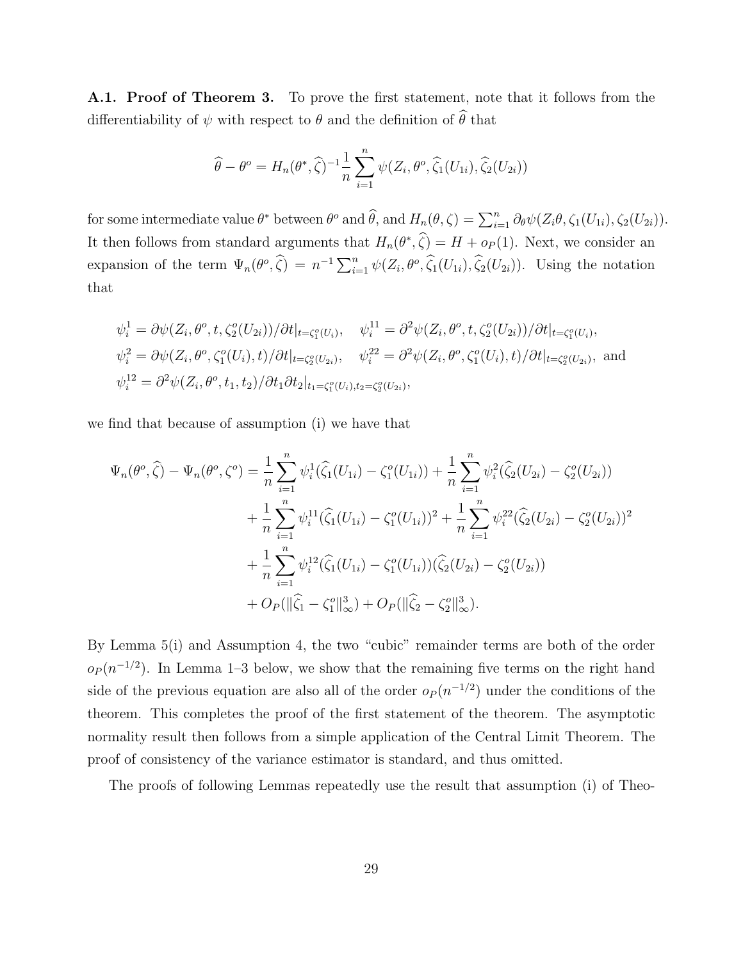A.1. Proof of Theorem 3. To prove the first statement, note that it follows from the differentiability of  $\psi$  with respect to  $\theta$  and the definition of  $\widehat{\theta}$  that

$$
\widehat{\theta} - \theta^o = H_n(\theta^*, \widehat{\zeta})^{-1} \frac{1}{n} \sum_{i=1}^n \psi(Z_i, \theta^o, \widehat{\zeta}_1(U_{1i}), \widehat{\zeta}_2(U_{2i}))
$$

for some intermediate value  $\theta^*$  between  $\theta^o$  and  $\widehat{\theta}$ , and  $H_n(\theta,\zeta) = \sum_{i=1}^n \partial_{\theta} \psi(Z_i\theta,\zeta_1(U_{1i}),\zeta_2(U_{2i}))$ . It then follows from standard arguments that  $H_n(\theta^*, \hat{\zeta}) = H + o_P(1)$ . Next, we consider an expansion of the term  $\Psi_n(\theta^o, \hat{\zeta}) = n^{-1} \sum_{i=1}^n \psi(Z_i, \theta^o, \hat{\zeta}_1(U_{1i}), \hat{\zeta}_2(U_{2i}))$ . Using the notation that

$$
\psi_i^1 = \partial \psi(Z_i, \theta^o, t, \zeta_2^o(U_{2i})) / \partial t|_{t = \zeta_1^o(U_i)}, \quad \psi_i^{11} = \partial^2 \psi(Z_i, \theta^o, t, \zeta_2^o(U_{2i})) / \partial t|_{t = \zeta_1^o(U_i)},
$$
  

$$
\psi_i^2 = \partial \psi(Z_i, \theta^o, \zeta_1^o(U_i), t) / \partial t|_{t = \zeta_2^o(U_{2i})}, \quad \psi_i^{22} = \partial^2 \psi(Z_i, \theta^o, \zeta_1^o(U_i), t) / \partial t|_{t = \zeta_2^o(U_{2i})},
$$
and  

$$
\psi_i^{12} = \partial^2 \psi(Z_i, \theta^o, t_1, t_2) / \partial t_1 \partial t_2|_{t_1 = \zeta_1^o(U_i), t_2 = \zeta_2^o(U_{2i})},
$$

we find that because of assumption (i) we have that

$$
\Psi_n(\theta^o, \hat{\zeta}) - \Psi_n(\theta^o, \zeta^o) = \frac{1}{n} \sum_{i=1}^n \psi_i^1(\hat{\zeta}_1(U_{1i}) - \zeta_1^o(U_{1i})) + \frac{1}{n} \sum_{i=1}^n \psi_i^2(\hat{\zeta}_2(U_{2i}) - \zeta_2^o(U_{2i})) \n+ \frac{1}{n} \sum_{i=1}^n \psi_i^{11}(\hat{\zeta}_1(U_{1i}) - \zeta_1^o(U_{1i}))^2 + \frac{1}{n} \sum_{i=1}^n \psi_i^{22}(\hat{\zeta}_2(U_{2i}) - \zeta_2^o(U_{2i}))^2 \n+ \frac{1}{n} \sum_{i=1}^n \psi_i^{12}(\hat{\zeta}_1(U_{1i}) - \zeta_1^o(U_{1i}))(\hat{\zeta}_2(U_{2i}) - \zeta_2^o(U_{2i})) \n+ O_P(\|\hat{\zeta}_1 - \zeta_1^o\|_{\infty}^3) + O_P(\|\hat{\zeta}_2 - \zeta_2^o\|_{\infty}^3).
$$

By Lemma 5(i) and Assumption 4, the two "cubic" remainder terms are both of the order  $o_P(n^{-1/2})$ . In Lemma 1–3 below, we show that the remaining five terms on the right hand side of the previous equation are also all of the order  $o_P(n^{-1/2})$  under the conditions of the theorem. This completes the proof of the first statement of the theorem. The asymptotic normality result then follows from a simple application of the Central Limit Theorem. The proof of consistency of the variance estimator is standard, and thus omitted.

The proofs of following Lemmas repeatedly use the result that assumption (i) of Theo-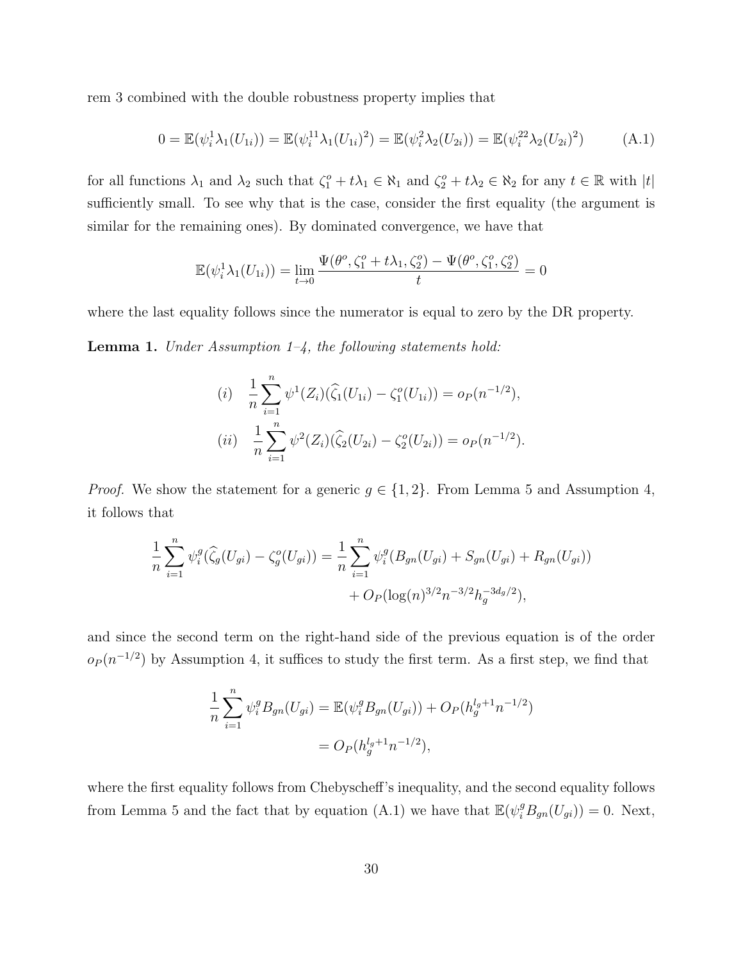rem 3 combined with the double robustness property implies that

$$
0 = \mathbb{E}(\psi_i^1 \lambda_1(U_{1i})) = \mathbb{E}(\psi_i^{11} \lambda_1(U_{1i})^2) = \mathbb{E}(\psi_i^2 \lambda_2(U_{2i})) = \mathbb{E}(\psi_i^{22} \lambda_2(U_{2i})^2)
$$
 (A.1)

for all functions  $\lambda_1$  and  $\lambda_2$  such that  $\zeta_1^o + t\lambda_1 \in \aleph_1$  and  $\zeta_2^o + t\lambda_2 \in \aleph_2$  for any  $t \in \mathbb{R}$  with  $|t|$ sufficiently small. To see why that is the case, consider the first equality (the argument is similar for the remaining ones). By dominated convergence, we have that

$$
\mathbb{E}(\psi_i^1 \lambda_1(U_{1i})) = \lim_{t \to 0} \frac{\Psi(\theta^o, \zeta_1^o + t\lambda_1, \zeta_2^o) - \Psi(\theta^o, \zeta_1^o, \zeta_2^o)}{t} = 0
$$

where the last equality follows since the numerator is equal to zero by the DR property.

**Lemma 1.** Under Assumption  $1-\frac{1}{4}$ , the following statements hold:

(i) 
$$
\frac{1}{n} \sum_{i=1}^{n} \psi^1(Z_i)(\widehat{\zeta}_1(U_{1i}) - \zeta_1^o(U_{1i})) = o_P(n^{-1/2}),
$$
  
(ii) 
$$
\frac{1}{n} \sum_{i=1}^{n} \psi^2(Z_i)(\widehat{\zeta}_2(U_{2i}) - \zeta_2^o(U_{2i})) = o_P(n^{-1/2}).
$$

*Proof.* We show the statement for a generic  $g \in \{1, 2\}$ . From Lemma 5 and Assumption 4, it follows that

$$
\frac{1}{n}\sum_{i=1}^{n}\psi_i^g(\widehat{\zeta}_g(U_{gi}) - \zeta_g^o(U_{gi})) = \frac{1}{n}\sum_{i=1}^{n}\psi_i^g(B_{gn}(U_{gi}) + S_{gn}(U_{gi}) + R_{gn}(U_{gi})) + O_P(\log(n)^{3/2}n^{-3/2}h_g^{-3d_g/2}),
$$

and since the second term on the right-hand side of the previous equation is of the order  $o_P(n^{-1/2})$  by Assumption 4, it suffices to study the first term. As a first step, we find that

$$
\frac{1}{n} \sum_{i=1}^{n} \psi_i^g B_{gn}(U_{gi}) = \mathbb{E}(\psi_i^g B_{gn}(U_{gi})) + O_P(h_g^{l_g+1} n^{-1/2})
$$
  
=  $O_P(h_g^{l_g+1} n^{-1/2}),$ 

where the first equality follows from Chebyscheff's inequality, and the second equality follows from Lemma 5 and the fact that by equation (A.1) we have that  $\mathbb{E}(\psi_i^g B_{gn}(U_{gi})) = 0$ . Next,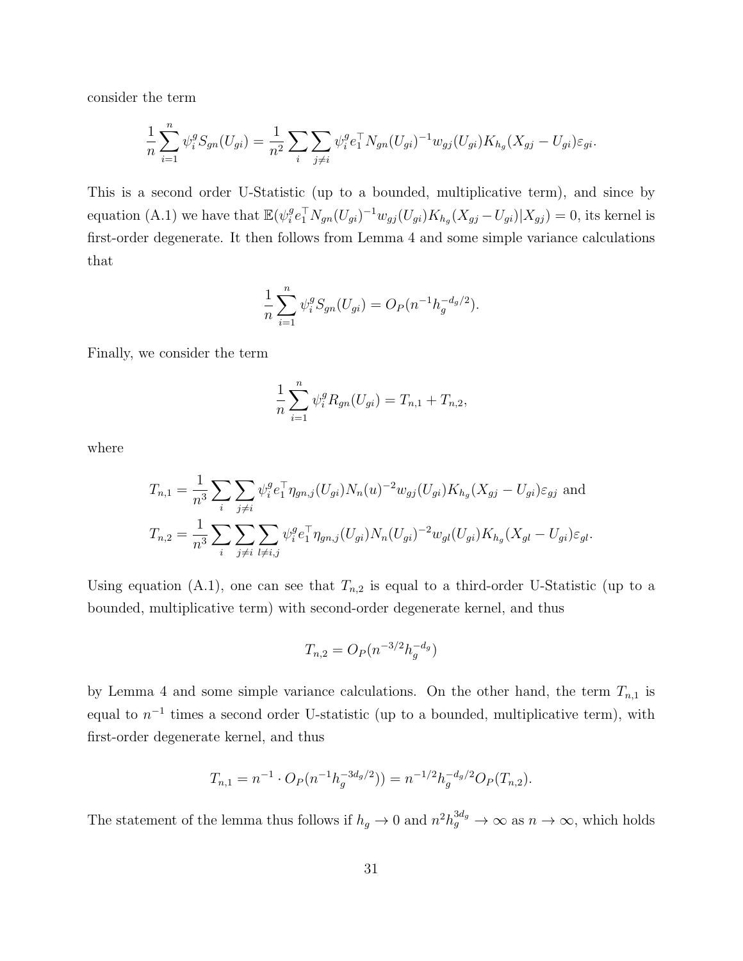consider the term

$$
\frac{1}{n} \sum_{i=1}^{n} \psi_i^g S_{gn}(U_{gi}) = \frac{1}{n^2} \sum_{i} \sum_{j \neq i} \psi_i^g e_1^{\top} N_{gn}(U_{gi})^{-1} w_{gj}(U_{gi}) K_{h_g}(X_{gj} - U_{gi}) \varepsilon_{gi}.
$$

This is a second order U-Statistic (up to a bounded, multiplicative term), and since by equation (A.1) we have that  $\mathbb{E}(\psi_i^g)$  ${}_{i}^{g}e_{1}^{\top}N_{gn}(U_{gi})^{-1}w_{gj}(U_{gi})K_{h_{g}}(X_{gj}-U_{gi})|X_{gj})=0$ , its kernel is first-order degenerate. It then follows from Lemma 4 and some simple variance calculations that

$$
\frac{1}{n}\sum_{i=1}^{n} \psi_i^g S_{gn}(U_{gi}) = O_P(n^{-1}h_g^{-d_g/2}).
$$

Finally, we consider the term

$$
\frac{1}{n}\sum_{i=1}^{n} \psi_i^g R_{gn}(U_{gi}) = T_{n,1} + T_{n,2},
$$

where

$$
T_{n,1} = \frac{1}{n^3} \sum_{i} \sum_{j \neq i} \psi_i^g e_1^{\top} \eta_{gn,j} (U_{gi}) N_n(u)^{-2} w_{gj} (U_{gi}) K_{h_g} (X_{gj} - U_{gi}) \varepsilon_{gj}
$$
 and  

$$
T_{n,2} = \frac{1}{n^3} \sum_{i} \sum_{j \neq i} \sum_{l \neq i,j} \psi_i^g e_1^{\top} \eta_{gn,j} (U_{gi}) N_n (U_{gi})^{-2} w_{gl} (U_{gi}) K_{h_g} (X_{gl} - U_{gi}) \varepsilon_{gl}.
$$

Using equation (A.1), one can see that  $T_{n,2}$  is equal to a third-order U-Statistic (up to a bounded, multiplicative term) with second-order degenerate kernel, and thus

$$
T_{n,2} = O_P(n^{-3/2}h_g^{-d_g})
$$

by Lemma 4 and some simple variance calculations. On the other hand, the term  $T_{n,1}$  is equal to  $n^{-1}$  times a second order U-statistic (up to a bounded, multiplicative term), with first-order degenerate kernel, and thus

$$
T_{n,1} = n^{-1} \cdot O_P(n^{-1}h_g^{-3d_g/2})) = n^{-1/2}h_g^{-d_g/2}O_P(T_{n,2}).
$$

The statement of the lemma thus follows if  $h_g \to 0$  and  $n^2 h_g^{3d_g} \to \infty$  as  $n \to \infty$ , which holds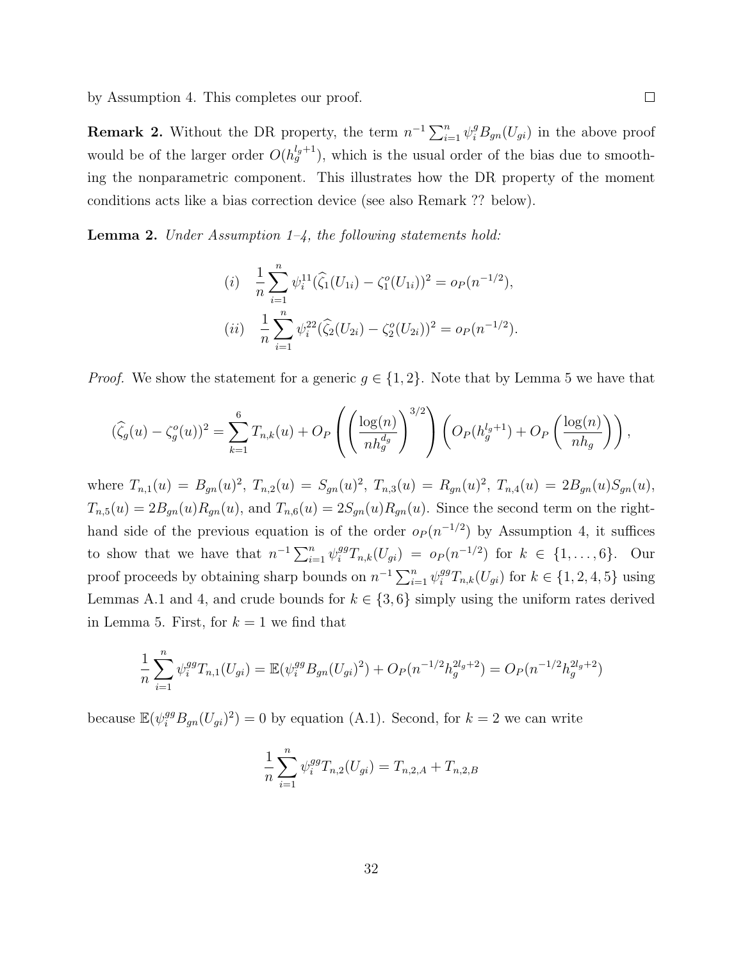by Assumption 4. This completes our proof.

**Remark 2.** Without the DR property, the term  $n^{-1} \sum_{i=1}^{n} \psi_i^g B_{gn}(U_{gi})$  in the above proof would be of the larger order  $O(h_g^{l_g+1})$ , which is the usual order of the bias due to smoothing the nonparametric component. This illustrates how the DR property of the moment conditions acts like a bias correction device (see also Remark ?? below).

**Lemma 2.** Under Assumption  $1-\frac{1}{4}$ , the following statements hold:

(i) 
$$
\frac{1}{n} \sum_{i=1}^{n} \psi_i^{11} (\widehat{\zeta}_1(U_{1i}) - \zeta_1^o(U_{1i}))^2 = o_P(n^{-1/2}),
$$
  
(ii) 
$$
\frac{1}{n} \sum_{i=1}^{n} \psi_i^{22} (\widehat{\zeta}_2(U_{2i}) - \zeta_2^o(U_{2i}))^2 = o_P(n^{-1/2}).
$$

*Proof.* We show the statement for a generic  $g \in \{1,2\}$ . Note that by Lemma 5 we have that

$$
(\widehat{\zeta}_g(u) - \zeta_g^o(u))^2 = \sum_{k=1}^6 T_{n,k}(u) + O_P\left(\left(\frac{\log(n)}{nh_g^{d_g}}\right)^{3/2}\right) \left(O_P(h_g^{l_g+1}) + O_P\left(\frac{\log(n)}{nh_g}\right)\right),
$$

where  $T_{n,1}(u) = B_{gn}(u)^2$ ,  $T_{n,2}(u) = S_{gn}(u)^2$ ,  $T_{n,3}(u) = R_{gn}(u)^2$ ,  $T_{n,4}(u) = 2B_{gn}(u)S_{gn}(u)$ ,  $T_{n,5}(u) = 2B_{gn}(u)R_{gn}(u)$ , and  $T_{n,6}(u) = 2S_{gn}(u)R_{gn}(u)$ . Since the second term on the righthand side of the previous equation is of the order  $o_P (n^{-1/2})$  by Assumption 4, it suffices to show that we have that  $n^{-1} \sum_{i=1}^{n} \psi_i^{gg} T_{n,k}(U_{gi}) = o_P(n^{-1/2})$  for  $k \in \{1, ..., 6\}$ . Our proof proceeds by obtaining sharp bounds on  $n^{-1} \sum_{i=1}^{n} \psi_i^{gg} T_{n,k}(U_{gi})$  for  $k \in \{1, 2, 4, 5\}$  using Lemmas A.1 and 4, and crude bounds for  $k \in \{3, 6\}$  simply using the uniform rates derived in Lemma 5. First, for  $k = 1$  we find that

$$
\frac{1}{n}\sum_{i=1}^{n}\psi_i^{gg}T_{n,1}(U_{gi}) = \mathbb{E}(\psi_i^{gg}B_{gn}(U_{gi})^2) + O_P(n^{-1/2}h_g^{2l_g+2}) = O_P(n^{-1/2}h_g^{2l_g+2})
$$

because  $\mathbb{E}(\psi_i^{gg}B_{gn}(U_{gi})^2) = 0$  by equation (A.1). Second, for  $k = 2$  we can write

$$
\frac{1}{n}\sum_{i=1}^{n} \psi_i^{gg} T_{n,2}(U_{gi}) = T_{n,2,A} + T_{n,2,B}
$$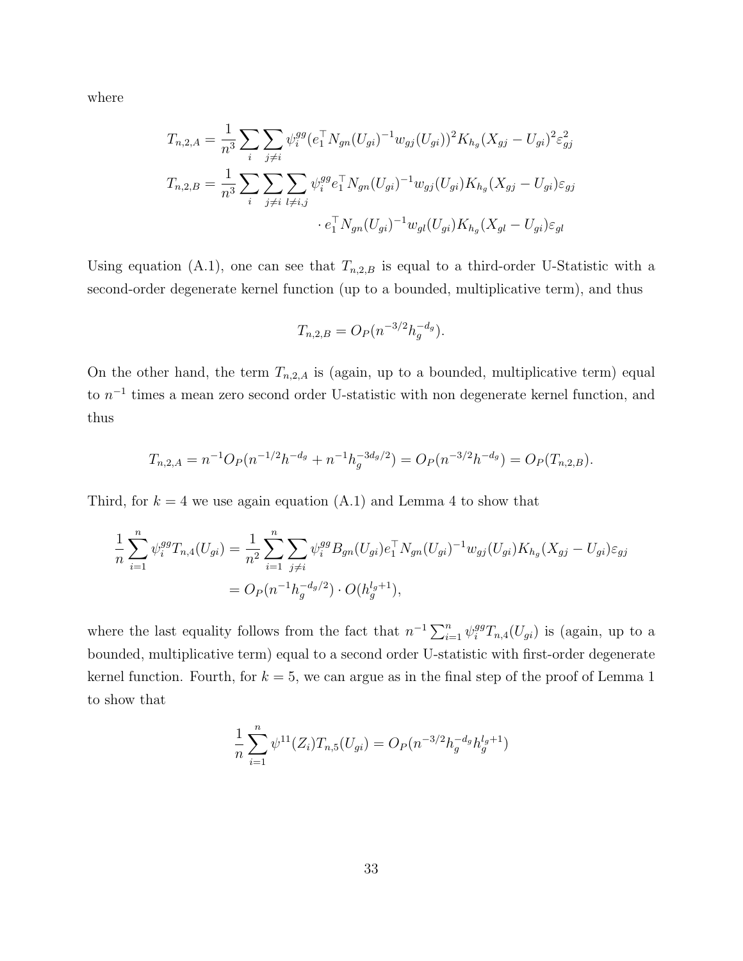where

$$
T_{n,2,A} = \frac{1}{n^3} \sum_{i} \sum_{j \neq i} \psi_i^{gg} (e_1^{\top} N_{gn}(U_{gi})^{-1} w_{gj}(U_{gi}))^2 K_{h_g}(X_{gj} - U_{gi})^2 \varepsilon_{gj}^2
$$
  

$$
T_{n,2,B} = \frac{1}{n^3} \sum_{i} \sum_{j \neq i} \sum_{l \neq i,j} \psi_i^{gg} e_1^{\top} N_{gn}(U_{gi})^{-1} w_{gj}(U_{gi}) K_{h_g}(X_{gj} - U_{gi}) \varepsilon_{gj}
$$
  

$$
\cdot e_1^{\top} N_{gn}(U_{gi})^{-1} w_{gl}(U_{gi}) K_{h_g}(X_{gl} - U_{gi}) \varepsilon_{gl}
$$

Using equation (A.1), one can see that  $T_{n,2,B}$  is equal to a third-order U-Statistic with a second-order degenerate kernel function (up to a bounded, multiplicative term), and thus

$$
T_{n,2,B} = O_P(n^{-3/2}h_g^{-d_g}).
$$

On the other hand, the term  $T_{n,2,A}$  is (again, up to a bounded, multiplicative term) equal to  $n^{-1}$  times a mean zero second order U-statistic with non degenerate kernel function, and thus

$$
T_{n,2,A} = n^{-1}O_P(n^{-1/2}h^{-d_g} + n^{-1}h_g^{-3d_g/2}) = O_P(n^{-3/2}h^{-d_g}) = O_P(T_{n,2,B}).
$$

Third, for  $k = 4$  we use again equation (A.1) and Lemma 4 to show that

$$
\frac{1}{n} \sum_{i=1}^{n} \psi_i^{gg} T_{n,4}(U_{gi}) = \frac{1}{n^2} \sum_{i=1}^{n} \sum_{j \neq i} \psi_i^{gg} B_{gn}(U_{gi}) e_1^{\top} N_{gn}(U_{gi})^{-1} w_{gj}(U_{gi}) K_{h_g}(X_{gj} - U_{gi}) \varepsilon_{gj}
$$
\n
$$
= O_P(n^{-1} h_g^{-d_g/2}) \cdot O(h_g^{l_g+1}),
$$

where the last equality follows from the fact that  $n^{-1} \sum_{i=1}^{n} \psi_i^{gg} T_{n,4}(U_{gi})$  is (again, up to a bounded, multiplicative term) equal to a second order U-statistic with first-order degenerate kernel function. Fourth, for  $k = 5$ , we can argue as in the final step of the proof of Lemma 1 to show that

$$
\frac{1}{n}\sum_{i=1}^{n} \psi^{11}(Z_i) T_{n,5}(U_{gi}) = O_P(n^{-3/2} h_g^{-d_g} h_g^{l_g+1})
$$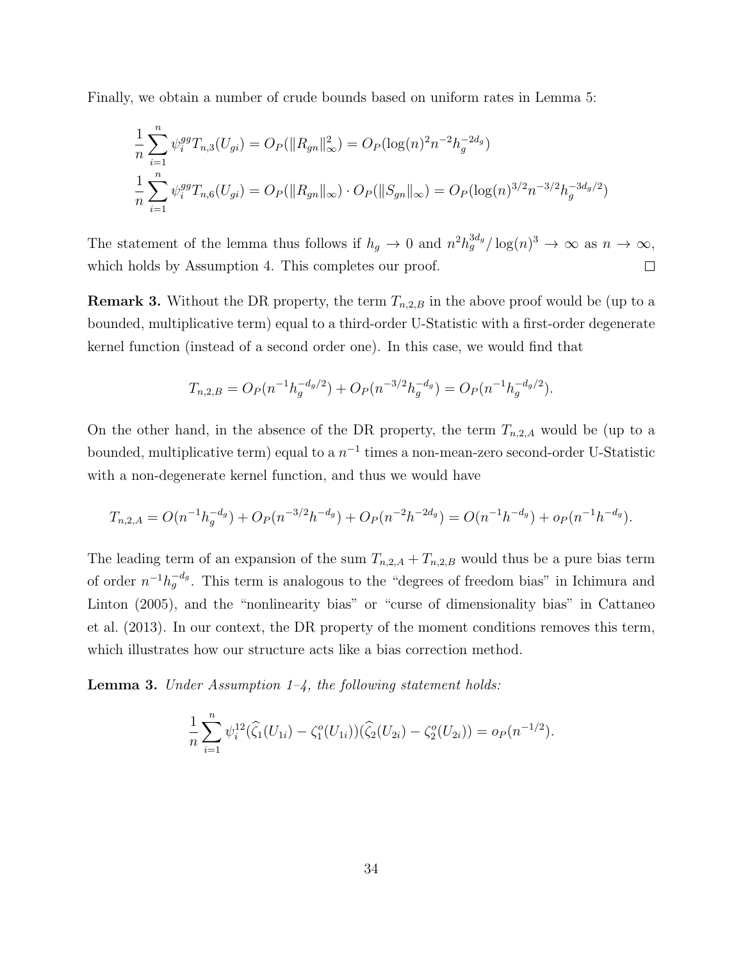Finally, we obtain a number of crude bounds based on uniform rates in Lemma 5:

$$
\frac{1}{n} \sum_{i=1}^{n} \psi_i^{gg} T_{n,3}(U_{gi}) = O_P(\|R_{gn}\|_{\infty}^2) = O_P(\log(n)^2 n^{-2} h_g^{-2d_g})
$$
\n
$$
\frac{1}{n} \sum_{i=1}^{n} \psi_i^{gg} T_{n,6}(U_{gi}) = O_P(\|R_{gn}\|_{\infty}) \cdot O_P(\|S_{gn}\|_{\infty}) = O_P(\log(n)^{3/2} n^{-3/2} h_g^{-3d_g/2})
$$

The statement of the lemma thus follows if  $h_g \to 0$  and  $n^2 h_g^{3d_g}/\log(n)^3 \to \infty$  as  $n \to \infty$ , which holds by Assumption 4. This completes our proof.  $\Box$ 

**Remark 3.** Without the DR property, the term  $T_{n,2,B}$  in the above proof would be (up to a bounded, multiplicative term) equal to a third-order U-Statistic with a first-order degenerate kernel function (instead of a second order one). In this case, we would find that

$$
T_{n,2,B} = O_P(n^{-1}h_g^{-d_g/2}) + O_P(n^{-3/2}h_g^{-d_g}) = O_P(n^{-1}h_g^{-d_g/2}).
$$

On the other hand, in the absence of the DR property, the term  $T_{n,2,A}$  would be (up to a bounded, multiplicative term) equal to a  $n^{-1}$  times a non-mean-zero second-order U-Statistic with a non-degenerate kernel function, and thus we would have

$$
T_{n,2,A} = O(n^{-1}h_g^{-d_g}) + O_P(n^{-3/2}h^{-d_g}) + O_P(n^{-2}h^{-2d_g}) = O(n^{-1}h^{-d_g}) + o_P(n^{-1}h^{-d_g}).
$$

The leading term of an expansion of the sum  $T_{n,2,A} + T_{n,2,B}$  would thus be a pure bias term of order  $n^{-1}h_g^{-d_g}$ . This term is analogous to the "degrees of freedom bias" in Ichimura and Linton (2005), and the "nonlinearity bias" or "curse of dimensionality bias" in Cattaneo et al. (2013). In our context, the DR property of the moment conditions removes this term, which illustrates how our structure acts like a bias correction method.

**Lemma 3.** Under Assumption  $1-\frac{1}{4}$ , the following statement holds:

$$
\frac{1}{n}\sum_{i=1}^n \psi_i^{12}(\widehat{\zeta}_1(U_{1i}) - \zeta_1^o(U_{1i}))(\widehat{\zeta}_2(U_{2i}) - \zeta_2^o(U_{2i})) = o_P(n^{-1/2}).
$$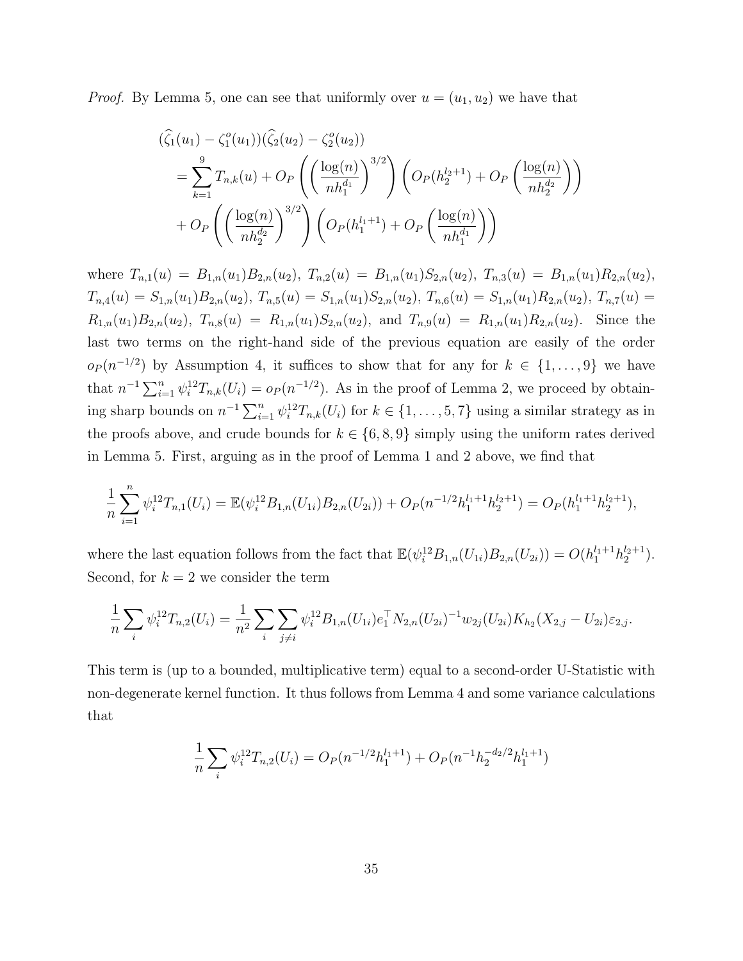*Proof.* By Lemma 5, one can see that uniformly over  $u = (u_1, u_2)$  we have that

$$
\begin{split}\n& (\widehat{\zeta}_{1}(u_{1}) - \zeta_{1}^{o}(u_{1}))(\widehat{\zeta}_{2}(u_{2}) - \zeta_{2}^{o}(u_{2})) \\
&= \sum_{k=1}^{9} T_{n,k}(u) + O_{P}\left(\left(\frac{\log(n)}{nh_{1}^{d_{1}}}\right)^{3/2}\right) \left(O_{P}(h_{2}^{l_{2}+1}) + O_{P}\left(\frac{\log(n)}{nh_{2}^{d_{2}}}\right)\right) \\
&+ O_{P}\left(\left(\frac{\log(n)}{nh_{2}^{d_{2}}}\right)^{3/2}\right) \left(O_{P}(h_{1}^{l_{1}+1}) + O_{P}\left(\frac{\log(n)}{nh_{1}^{d_{1}}}\right)\right)\n\end{split}
$$

where  $T_{n,1}(u) = B_{1,n}(u_1)B_{2,n}(u_2)$ ,  $T_{n,2}(u) = B_{1,n}(u_1)S_{2,n}(u_2)$ ,  $T_{n,3}(u) = B_{1,n}(u_1)R_{2,n}(u_2)$ ,  $T_{n,4}(u) = S_{1,n}(u_1)B_{2,n}(u_2), T_{n,5}(u) = S_{1,n}(u_1)S_{2,n}(u_2), T_{n,6}(u) = S_{1,n}(u_1)R_{2,n}(u_2), T_{n,7}(u) =$  $R_{1,n}(u_1)B_{2,n}(u_2), T_{n,8}(u) = R_{1,n}(u_1)S_{2,n}(u_2), \text{ and } T_{n,9}(u) = R_{1,n}(u_1)R_{2,n}(u_2).$  Since the last two terms on the right-hand side of the previous equation are easily of the order  $o_P(n^{-1/2})$  by Assumption 4, it suffices to show that for any for  $k \in \{1,\ldots,9\}$  we have that  $n^{-1} \sum_{i=1}^n \psi_i^{12} T_{n,k}(U_i) = o_P(n^{-1/2})$ . As in the proof of Lemma 2, we proceed by obtaining sharp bounds on  $n^{-1} \sum_{i=1}^n \psi_i^{12} T_{n,k}(U_i)$  for  $k \in \{1, \ldots, 5, 7\}$  using a similar strategy as in the proofs above, and crude bounds for  $k \in \{6, 8, 9\}$  simply using the uniform rates derived in Lemma 5. First, arguing as in the proof of Lemma 1 and 2 above, we find that

$$
\frac{1}{n}\sum_{i=1}^n \psi_i^{12} T_{n,1}(U_i) = \mathbb{E}(\psi_i^{12} B_{1,n}(U_{1i}) B_{2,n}(U_{2i})) + O_P(n^{-1/2} h_1^{l_1+1} h_2^{l_2+1}) = O_P(h_1^{l_1+1} h_2^{l_2+1}),
$$

where the last equation follows from the fact that  $\mathbb{E}(\psi_i^{12}B_{1,n}(U_{1i})B_{2,n}(U_{2i})) = O(h_1^{l_1+1}h_2^{l_2+1}).$ Second, for  $k = 2$  we consider the term

$$
\frac{1}{n}\sum_{i}\psi_i^{12}T_{n,2}(U_i) = \frac{1}{n^2}\sum_{i}\sum_{j\neq i}\psi_i^{12}B_{1,n}(U_{1i})e_1^{\top}N_{2,n}(U_{2i})^{-1}w_{2j}(U_{2i})K_{h_2}(X_{2,j}-U_{2i})\varepsilon_{2,j}.
$$

This term is (up to a bounded, multiplicative term) equal to a second-order U-Statistic with non-degenerate kernel function. It thus follows from Lemma 4 and some variance calculations that

$$
\frac{1}{n}\sum_{i} \psi_i^{12} T_{n,2}(U_i) = O_P(n^{-1/2}h_1^{l_1+1}) + O_P(n^{-1}h_2^{-d_2/2}h_1^{l_1+1})
$$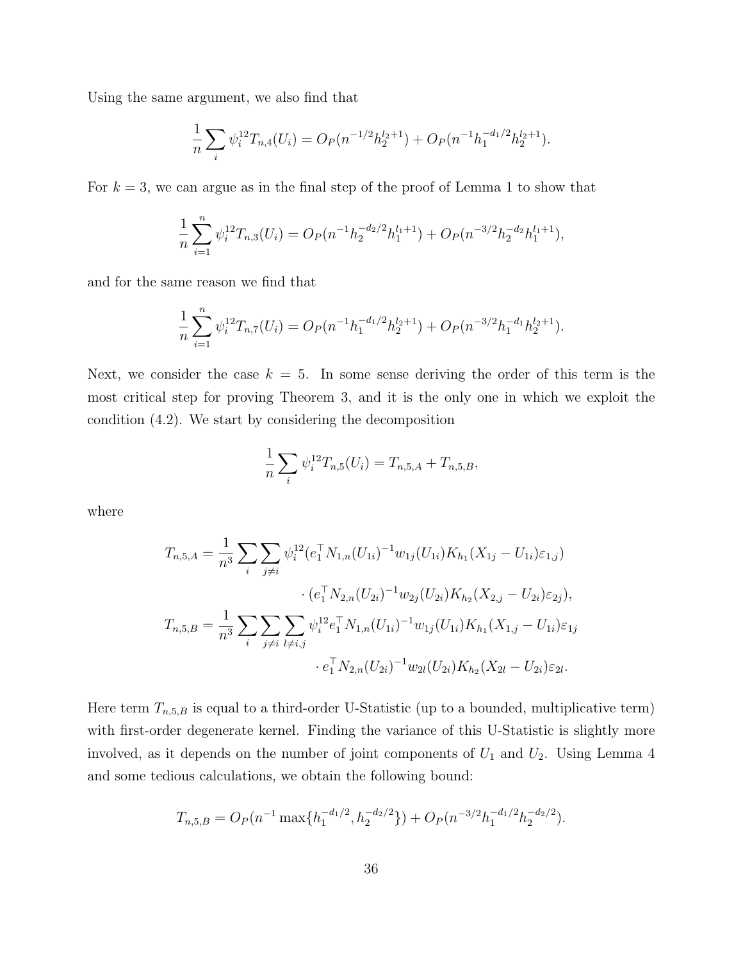Using the same argument, we also find that

$$
\frac{1}{n}\sum_{i} \psi_i^{12} T_{n,4}(U_i) = O_P(n^{-1/2}h_2^{l_2+1}) + O_P(n^{-1}h_1^{-d_1/2}h_2^{l_2+1}).
$$

For  $k = 3$ , we can argue as in the final step of the proof of Lemma 1 to show that

$$
\frac{1}{n}\sum_{i=1}^n \psi_i^{12} T_{n,3}(U_i) = O_P(n^{-1}h_2^{-d_2/2}h_1^{l_1+1}) + O_P(n^{-3/2}h_2^{-d_2}h_1^{l_1+1}),
$$

and for the same reason we find that

$$
\frac{1}{n}\sum_{i=1}^n \psi_i^{12} T_{n,7}(U_i) = O_P(n^{-1}h_1^{-d_1/2}h_2^{l_2+1}) + O_P(n^{-3/2}h_1^{-d_1}h_2^{l_2+1}).
$$

Next, we consider the case  $k = 5$ . In some sense deriving the order of this term is the most critical step for proving Theorem 3, and it is the only one in which we exploit the condition (4.2). We start by considering the decomposition

$$
\frac{1}{n}\sum_{i}\psi_i^{12}T_{n,5}(U_i)=T_{n,5,A}+T_{n,5,B},
$$

where

$$
T_{n,5,A} = \frac{1}{n^3} \sum_{i} \sum_{j \neq i} \psi_i^{12} (e_1^{\top} N_{1,n}(U_{1i})^{-1} w_{1j}(U_{1i}) K_{h_1} (X_{1j} - U_{1i}) \varepsilon_{1,j})
$$

$$
\cdot (e_1^{\top} N_{2,n}(U_{2i})^{-1} w_{2j}(U_{2i}) K_{h_2} (X_{2,j} - U_{2i}) \varepsilon_{2j}),
$$

$$
T_{n,5,B} = \frac{1}{n^3} \sum_{i} \sum_{j \neq i} \sum_{l \neq i,j} \psi_i^{12} e_1^{\top} N_{1,n}(U_{1i})^{-1} w_{1j}(U_{1i}) K_{h_1} (X_{1,j} - U_{1i}) \varepsilon_{1j}
$$

$$
\cdot e_1^{\top} N_{2,n}(U_{2i})^{-1} w_{2l}(U_{2i}) K_{h_2} (X_{2l} - U_{2i}) \varepsilon_{2l}.
$$

Here term  $T_{n,5,B}$  is equal to a third-order U-Statistic (up to a bounded, multiplicative term) with first-order degenerate kernel. Finding the variance of this U-Statistic is slightly more involved, as it depends on the number of joint components of  $U_1$  and  $U_2$ . Using Lemma 4 and some tedious calculations, we obtain the following bound:

$$
T_{n,5,B} = O_P(n^{-1} \max\{h_1^{-d_1/2}, h_2^{-d_2/2}\}) + O_P(n^{-3/2}h_1^{-d_1/2}h_2^{-d_2/2}).
$$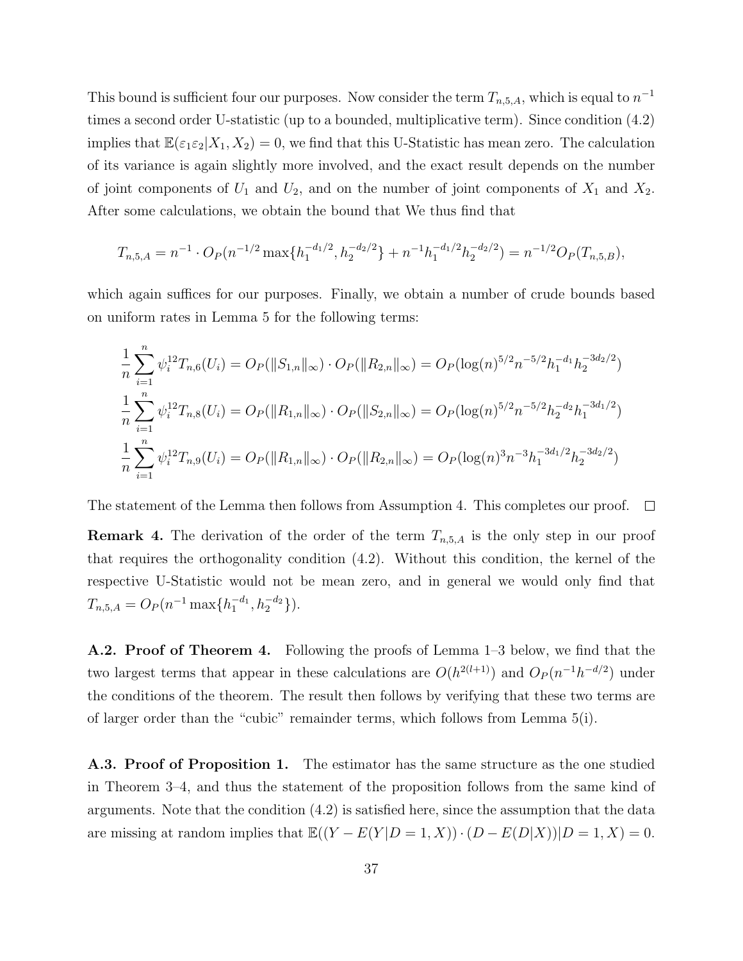This bound is sufficient four our purposes. Now consider the term  $T_{n,5,A}$ , which is equal to  $n^{-1}$ times a second order U-statistic (up to a bounded, multiplicative term). Since condition (4.2) implies that  $\mathbb{E}(\varepsilon_1 \varepsilon_2 | X_1, X_2) = 0$ , we find that this U-Statistic has mean zero. The calculation of its variance is again slightly more involved, and the exact result depends on the number of joint components of  $U_1$  and  $U_2$ , and on the number of joint components of  $X_1$  and  $X_2$ . After some calculations, we obtain the bound that We thus find that

$$
T_{n,5,A} = n^{-1} \cdot O_P(n^{-1/2} \max\{h_1^{-d_1/2}, h_2^{-d_2/2}\} + n^{-1}h_1^{-d_1/2}h_2^{-d_2/2}) = n^{-1/2}O_P(T_{n,5,B}),
$$

which again suffices for our purposes. Finally, we obtain a number of crude bounds based on uniform rates in Lemma 5 for the following terms:

$$
\frac{1}{n} \sum_{i=1}^{n} \psi_i^{12} T_{n,6}(U_i) = O_P(\|S_{1,n}\|_{\infty}) \cdot O_P(\|R_{2,n}\|_{\infty}) = O_P(\log(n)^{5/2} n^{-5/2} h_1^{-d_1} h_2^{-3d_2/2})
$$
  

$$
\frac{1}{n} \sum_{i=1}^{n} \psi_i^{12} T_{n,8}(U_i) = O_P(\|R_{1,n}\|_{\infty}) \cdot O_P(\|S_{2,n}\|_{\infty}) = O_P(\log(n)^{5/2} n^{-5/2} h_2^{-d_2} h_1^{-3d_1/2})
$$
  

$$
\frac{1}{n} \sum_{i=1}^{n} \psi_i^{12} T_{n,9}(U_i) = O_P(\|R_{1,n}\|_{\infty}) \cdot O_P(\|R_{2,n}\|_{\infty}) = O_P(\log(n)^{3} n^{-3} h_1^{-3d_1/2} h_2^{-3d_2/2})
$$

The statement of the Lemma then follows from Assumption 4. This completes our proof.  $\Box$ 

**Remark 4.** The derivation of the order of the term  $T_{n,5,A}$  is the only step in our proof that requires the orthogonality condition (4.2). Without this condition, the kernel of the respective U-Statistic would not be mean zero, and in general we would only find that  $T_{n,5,A} = O_P(n^{-1} \max\{h_1^{-d_1}, h_2^{-d_2}\}).$ 

A.2. Proof of Theorem 4. Following the proofs of Lemma 1–3 below, we find that the two largest terms that appear in these calculations are  $O(h^{2(l+1)})$  and  $O_P(n^{-1}h^{-d/2})$  under the conditions of the theorem. The result then follows by verifying that these two terms are of larger order than the "cubic" remainder terms, which follows from Lemma 5(i).

A.3. Proof of Proposition 1. The estimator has the same structure as the one studied in Theorem 3–4, and thus the statement of the proposition follows from the same kind of arguments. Note that the condition (4.2) is satisfied here, since the assumption that the data are missing at random implies that  $\mathbb{E}((Y - E(Y|D = 1, X)) \cdot (D - E(D|X))|D = 1, X) = 0.$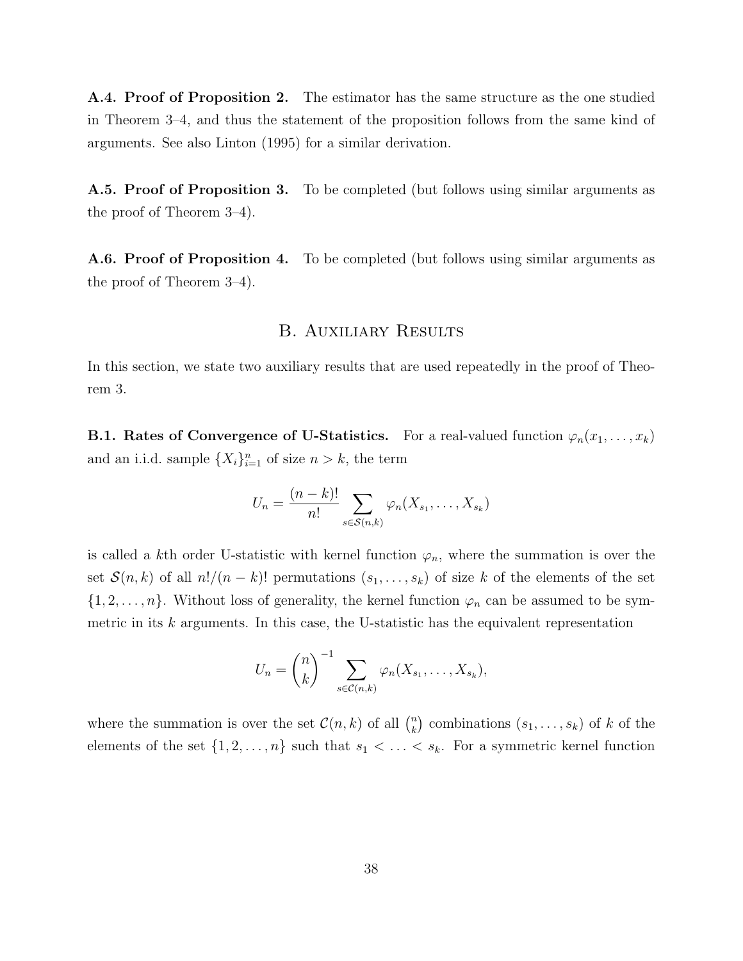A.4. Proof of Proposition 2. The estimator has the same structure as the one studied in Theorem 3–4, and thus the statement of the proposition follows from the same kind of arguments. See also Linton (1995) for a similar derivation.

A.5. Proof of Proposition 3. To be completed (but follows using similar arguments as the proof of Theorem 3–4).

A.6. Proof of Proposition 4. To be completed (but follows using similar arguments as the proof of Theorem 3–4).

## B. Auxiliary Results

In this section, we state two auxiliary results that are used repeatedly in the proof of Theorem 3.

**B.1. Rates of Convergence of U-Statistics.** For a real-valued function  $\varphi_n(x_1, \ldots, x_k)$ and an i.i.d. sample  $\{X_i\}_{i=1}^n$  of size  $n > k$ , the term

$$
U_n = \frac{(n-k)!}{n!} \sum_{s \in S(n,k)} \varphi_n(X_{s_1}, \dots, X_{s_k})
$$

is called a kth order U-statistic with kernel function  $\varphi_n$ , where the summation is over the set  $S(n, k)$  of all  $n!/(n - k)!$  permutations  $(s_1, \ldots, s_k)$  of size k of the elements of the set  $\{1, 2, \ldots, n\}$ . Without loss of generality, the kernel function  $\varphi_n$  can be assumed to be symmetric in its  $k$  arguments. In this case, the U-statistic has the equivalent representation

$$
U_n = {n \choose k}^{-1} \sum_{s \in \mathcal{C}(n,k)} \varphi_n(X_{s_1}, \dots, X_{s_k}),
$$

where the summation is over the set  $\mathcal{C}(n,k)$  of all  $\binom{n}{k}$  $\binom{n}{k}$  combinations  $(s_1, \ldots, s_k)$  of k of the elements of the set  $\{1, 2, \ldots, n\}$  such that  $s_1 < \ldots < s_k$ . For a symmetric kernel function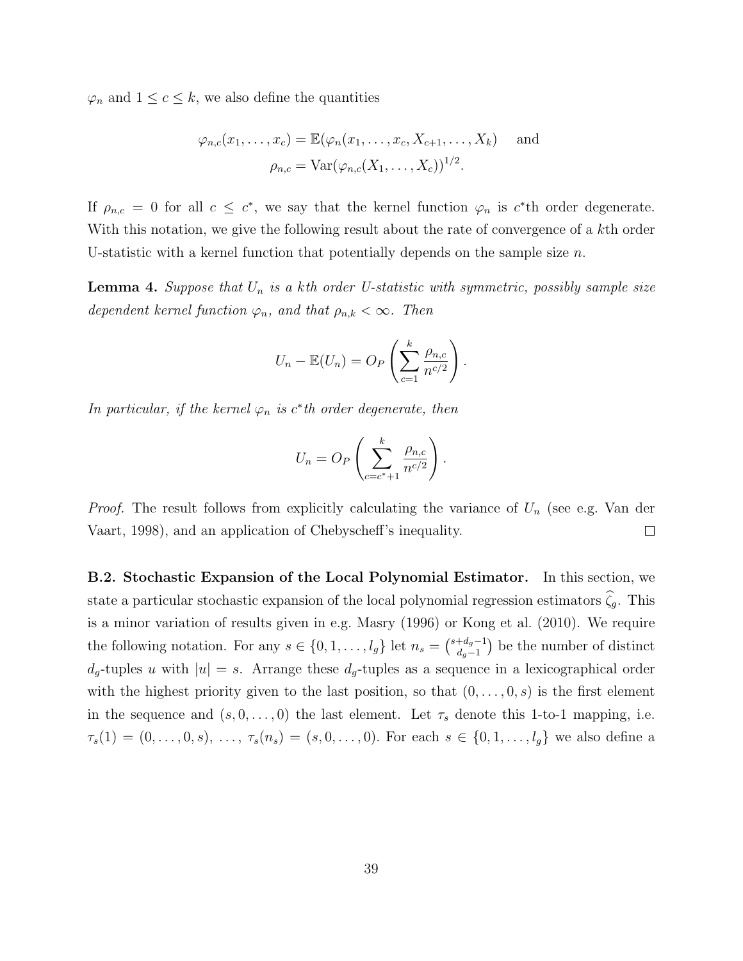$\varphi_n$  and  $1 \leq c \leq k$ , we also define the quantities

$$
\varphi_{n,c}(x_1,\ldots,x_c) = \mathbb{E}(\varphi_n(x_1,\ldots,x_c,X_{c+1},\ldots,X_k) \quad \text{and}
$$

$$
\rho_{n,c} = \text{Var}(\varphi_{n,c}(X_1,\ldots,X_c))^{1/2}.
$$

If  $\rho_{n,c} = 0$  for all  $c \leq c^*$ , we say that the kernel function  $\varphi_n$  is  $c^*$ th order degenerate. With this notation, we give the following result about the rate of convergence of a kth order U-statistic with a kernel function that potentially depends on the sample size  $n$ .

**Lemma 4.** Suppose that  $U_n$  is a kth order U-statistic with symmetric, possibly sample size dependent kernel function  $\varphi_n$ , and that  $\rho_{n,k} < \infty$ . Then

$$
U_n - \mathbb{E}(U_n) = O_P\left(\sum_{c=1}^k \frac{\rho_{n,c}}{n^{c/2}}\right).
$$

In particular, if the kernel  $\varphi_n$  is  $c^*$ th order degenerate, then

$$
U_n = O_P\left(\sum_{c=c^*+1}^k \frac{\rho_{n,c}}{n^{c/2}}\right).
$$

*Proof.* The result follows from explicitly calculating the variance of  $U_n$  (see e.g. Van der Vaart, 1998), and an application of Chebyscheff's inequality.  $\Box$ 

B.2. Stochastic Expansion of the Local Polynomial Estimator. In this section, we state a particular stochastic expansion of the local polynomial regression estimators  $\hat{\zeta}_g$ . This is a minor variation of results given in e.g. Masry (1996) or Kong et al. (2010). We require the following notation. For any  $s \in \{0, 1, \ldots, l_g\}$  let  $n_s = \begin{pmatrix} s+d_g-1 \\ d_s-1 \end{pmatrix}$  $\binom{+d_g-1}{d_g-1}$  be the number of distinct  $d_g$ -tuples u with  $|u| = s$ . Arrange these  $d_g$ -tuples as a sequence in a lexicographical order with the highest priority given to the last position, so that  $(0, \ldots, 0, s)$  is the first element in the sequence and  $(s, 0, \ldots, 0)$  the last element. Let  $\tau_s$  denote this 1-to-1 mapping, i.e.  $\tau_s(1) = (0, \ldots, 0, s), \ldots, \tau_s(n_s) = (s, 0, \ldots, 0).$  For each  $s \in \{0, 1, \ldots, l_g\}$  we also define a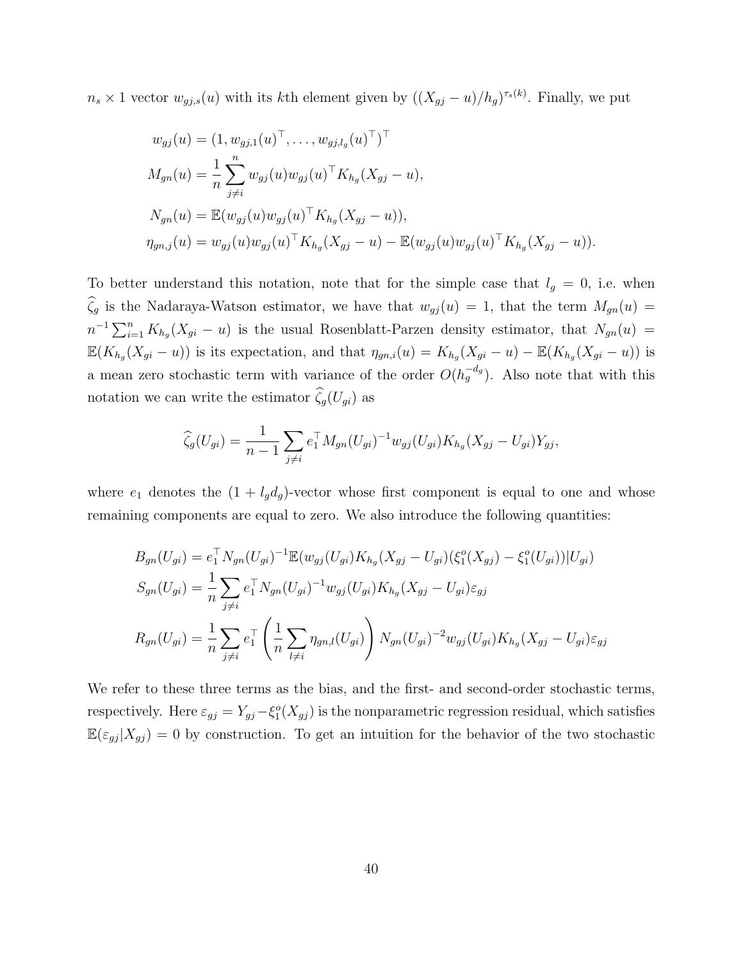$n_s \times 1$  vector  $w_{gj,s}(u)$  with its kth element given by  $((X_{gj} - u)/h_g)^{\tau_s(k)}$ . Finally, we put

$$
w_{gj}(u) = (1, w_{gj,1}(u)^{\top}, \dots, w_{gj,l_g}(u)^{\top})^{\top}
$$
  
\n
$$
M_{gn}(u) = \frac{1}{n} \sum_{j \neq i}^{n} w_{gj}(u) w_{gj}(u)^{\top} K_{h_g}(X_{gj} - u),
$$
  
\n
$$
N_{gn}(u) = \mathbb{E}(w_{gj}(u) w_{gj}(u)^{\top} K_{h_g}(X_{gj} - u)),
$$
  
\n
$$
\eta_{gn,j}(u) = w_{gj}(u) w_{gj}(u)^{\top} K_{h_g}(X_{gj} - u) - \mathbb{E}(w_{gj}(u) w_{gj}(u)^{\top} K_{h_g}(X_{gj} - u)).
$$

To better understand this notation, note that for the simple case that  $l_g = 0$ , i.e. when  $\widehat{\zeta}_g$  is the Nadaraya-Watson estimator, we have that  $w_{gj} (u) = 1$ , that the term  $M_{gn} (u) =$  $n^{-1}\sum_{i=1}^n K_{h_g}(X_{gi}-u)$  is the usual Rosenblatt-Parzen density estimator, that  $N_{gn}(u)$  =  $\mathbb{E}(K_{h_g}(X_{gi}-u))$  is its expectation, and that  $\eta_{gn,i}(u) = K_{h_g}(X_{gi}-u) - \mathbb{E}(K_{h_g}(X_{gi}-u))$  is a mean zero stochastic term with variance of the order  $O(h_g^{-d_g})$ . Also note that with this notation we can write the estimator  $\widehat{\zeta}_g(U_{gi})$  as

$$
\widehat{\zeta}_g(U_{gi}) = \frac{1}{n-1} \sum_{j \neq i} e_1^{\top} M_{gn}(U_{gi})^{-1} w_{gj}(U_{gi}) K_{h_g}(X_{gj} - U_{gi}) Y_{gj},
$$

where  $e_1$  denotes the  $(1 + l_g d_g)$ -vector whose first component is equal to one and whose remaining components are equal to zero. We also introduce the following quantities:

$$
B_{gn}(U_{gi}) = e_1^{\top} N_{gn}(U_{gi})^{-1} \mathbb{E}(w_{gj}(U_{gi}) K_{h_g}(X_{gj} - U_{gi})(\xi_1^o(X_{gj}) - \xi_1^o(U_{gi})) | U_{gi})
$$
  
\n
$$
S_{gn}(U_{gi}) = \frac{1}{n} \sum_{j \neq i} e_1^{\top} N_{gn}(U_{gi})^{-1} w_{gj}(U_{gi}) K_{h_g}(X_{gj} - U_{gi}) \varepsilon_{gj}
$$
  
\n
$$
R_{gn}(U_{gi}) = \frac{1}{n} \sum_{j \neq i} e_1^{\top} \left(\frac{1}{n} \sum_{l \neq i} \eta_{gn,l}(U_{gi})\right) N_{gn}(U_{gi})^{-2} w_{gj}(U_{gi}) K_{h_g}(X_{gj} - U_{gi}) \varepsilon_{gj}
$$

We refer to these three terms as the bias, and the first- and second-order stochastic terms, respectively. Here  $\varepsilon_{gj} = Y_{gj} - \xi_1^o(X_{gj})$  is the nonparametric regression residual, which satisfies  $\mathbb{E}(\varepsilon_{gj} | X_{gj}) = 0$  by construction. To get an intuition for the behavior of the two stochastic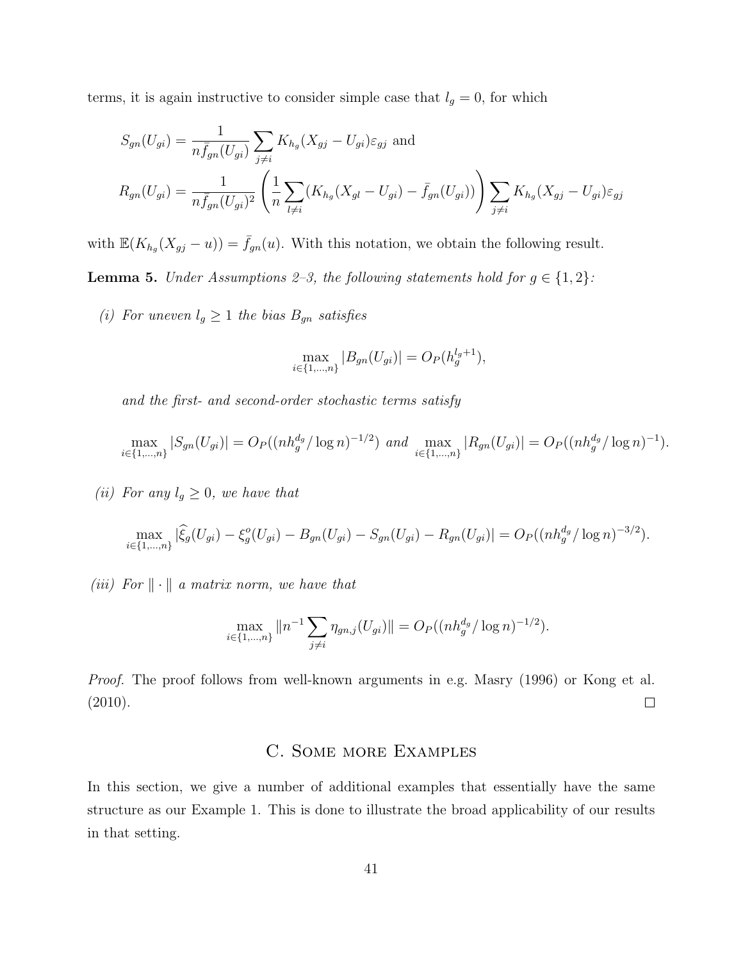terms, it is again instructive to consider simple case that  $l_g = 0$ , for which

$$
S_{gn}(U_{gi}) = \frac{1}{n \bar{f}_{gn}(U_{gi})} \sum_{j \neq i} K_{h_g}(X_{gj} - U_{gi}) \varepsilon_{gj} \text{ and}
$$
  

$$
R_{gn}(U_{gi}) = \frac{1}{n \bar{f}_{gn}(U_{gi})^2} \left( \frac{1}{n} \sum_{l \neq i} (K_{h_g}(X_{gl} - U_{gi}) - \bar{f}_{gn}(U_{gi})) \right) \sum_{j \neq i} K_{h_g}(X_{gj} - U_{gi}) \varepsilon_{gj}
$$

with  $\mathbb{E}(K_{h_g}(X_{gj} - u)) = \bar{f}_{gn}(u)$ . With this notation, we obtain the following result.

**Lemma 5.** Under Assumptions 2–3, the following statements hold for  $g \in \{1, 2\}$ :

(i) For uneven  $l_g \geq 1$  the bias  $B_{gn}$  satisfies

$$
\max_{i \in \{1, \dots, n\}} |B_{gn}(U_{gi})| = O_P(h_g^{l_g+1}),
$$

and the first- and second-order stochastic terms satisfy

$$
\max_{i \in \{1,\dots,n\}} |S_{gn}(U_{gi})| = O_P((nh_g^{d_g}/\log n)^{-1/2}) \text{ and } \max_{i \in \{1,\dots,n\}} |R_{gn}(U_{gi})| = O_P((nh_g^{d_g}/\log n)^{-1}).
$$

(ii) For any  $l_g \geq 0$ , we have that

$$
\max_{i \in \{1,\dots,n\}} |\widehat{\xi}_g(U_{gi}) - \xi_g^o(U_{gi}) - B_{gn}(U_{gi}) - S_{gn}(U_{gi}) - R_{gn}(U_{gi})| = O_P((nh_g^{d_g}/\log n)^{-3/2}).
$$

(iii) For  $\|\cdot\|$  a matrix norm, we have that

$$
\max_{i \in \{1,\dots,n\}} \|n^{-1} \sum_{j \neq i} \eta_{gn,j}(U_{gi})\| = O_P((nh_g^{d_g}/\log n)^{-1/2}).
$$

Proof. The proof follows from well-known arguments in e.g. Masry (1996) or Kong et al. (2010).  $\Box$ 

# C. Some more Examples

In this section, we give a number of additional examples that essentially have the same structure as our Example 1. This is done to illustrate the broad applicability of our results in that setting.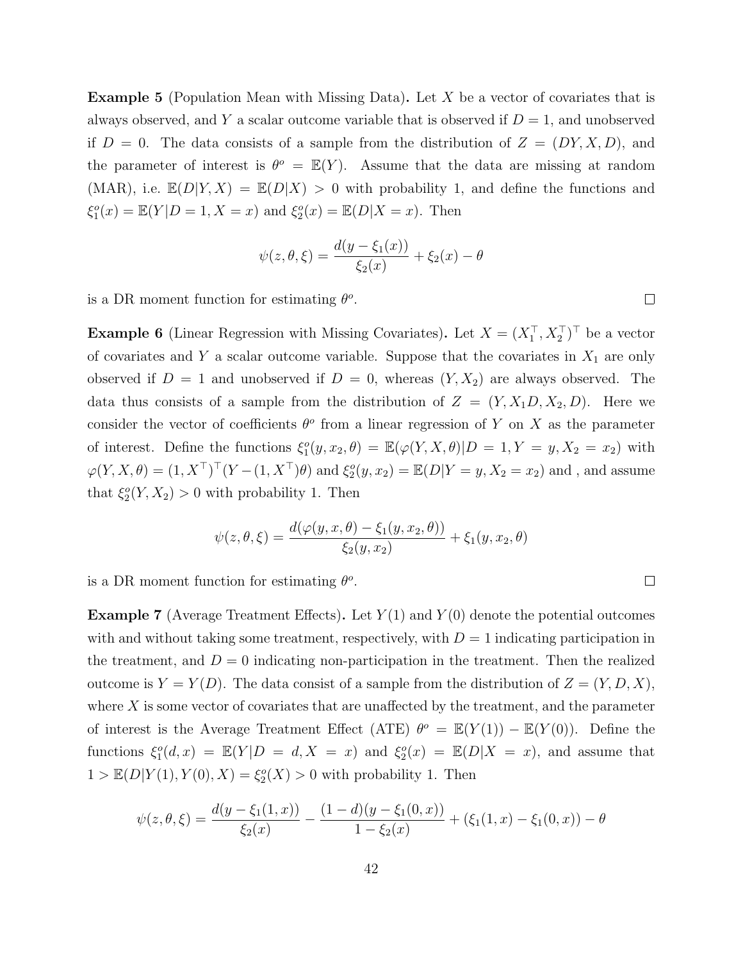**Example 5** (Population Mean with Missing Data). Let X be a vector of covariates that is always observed, and Y a scalar outcome variable that is observed if  $D = 1$ , and unobserved if  $D = 0$ . The data consists of a sample from the distribution of  $Z = (DY, X, D)$ , and the parameter of interest is  $\theta^o = \mathbb{E}(Y)$ . Assume that the data are missing at random (MAR), i.e.  $\mathbb{E}(D|Y,X) = \mathbb{E}(D|X) > 0$  with probability 1, and define the functions and  $\xi_1^o(x) = \mathbb{E}(Y|D = 1, X = x)$  and  $\xi_2^o(x) = \mathbb{E}(D|X = x)$ . Then

$$
\psi(z, \theta, \xi) = \frac{d(y - \xi_1(x))}{\xi_2(x)} + \xi_2(x) - \theta
$$

is a DR moment function for estimating  $\theta$ <sup>o</sup>.

**Example 6** (Linear Regression with Missing Covariates). Let  $X = (X_1^\top, X_2^\top)^\top$  be a vector of covariates and Y a scalar outcome variable. Suppose that the covariates in  $X_1$  are only observed if  $D = 1$  and unobserved if  $D = 0$ , whereas  $(Y, X_2)$  are always observed. The data thus consists of a sample from the distribution of  $Z = (Y, X_1D, X_2, D)$ . Here we consider the vector of coefficients  $\theta^o$  from a linear regression of Y on X as the parameter of interest. Define the functions  $\xi_1^o(y, x_2, \theta) = \mathbb{E}(\varphi(Y, X, \theta)|D = 1, Y = y, X_2 = x_2)$  with  $\varphi(Y, X, \theta) = (1, X^\top)^\top (Y - (1, X^\top) \theta)$  and  $\xi_2^o(y, x_2) = \mathbb{E}(D|Y = y, X_2 = x_2)$  and, and assume that  $\xi_2^o(Y, X_2) > 0$  with probability 1. Then

$$
\psi(z,\theta,\xi) = \frac{d(\varphi(y,x,\theta) - \xi_1(y,x_2,\theta))}{\xi_2(y,x_2)} + \xi_1(y,x_2,\theta)
$$

is a DR moment function for estimating  $\theta$ <sup>o</sup>.

**Example 7** (Average Treatment Effects). Let  $Y(1)$  and  $Y(0)$  denote the potential outcomes with and without taking some treatment, respectively, with  $D = 1$  indicating participation in the treatment, and  $D = 0$  indicating non-participation in the treatment. Then the realized outcome is  $Y = Y(D)$ . The data consist of a sample from the distribution of  $Z = (Y, D, X)$ , where  $X$  is some vector of covariates that are unaffected by the treatment, and the parameter of interest is the Average Treatment Effect (ATE)  $\theta^o = \mathbb{E}(Y(1)) - \mathbb{E}(Y(0))$ . Define the functions  $\xi_1^o(d,x) = \mathbb{E}(Y|D = d, X = x)$  and  $\xi_2^o(x) = \mathbb{E}(D|X = x)$ , and assume that  $1 > \mathbb{E}(D|Y(1), Y(0), X) = \xi_2^o(X) > 0$  with probability 1. Then

$$
\psi(z,\theta,\xi) = \frac{d(y-\xi_1(1,x))}{\xi_2(x)} - \frac{(1-d)(y-\xi_1(0,x))}{1-\xi_2(x)} + (\xi_1(1,x) - \xi_1(0,x)) - \theta
$$

 $\Box$ 

 $\Box$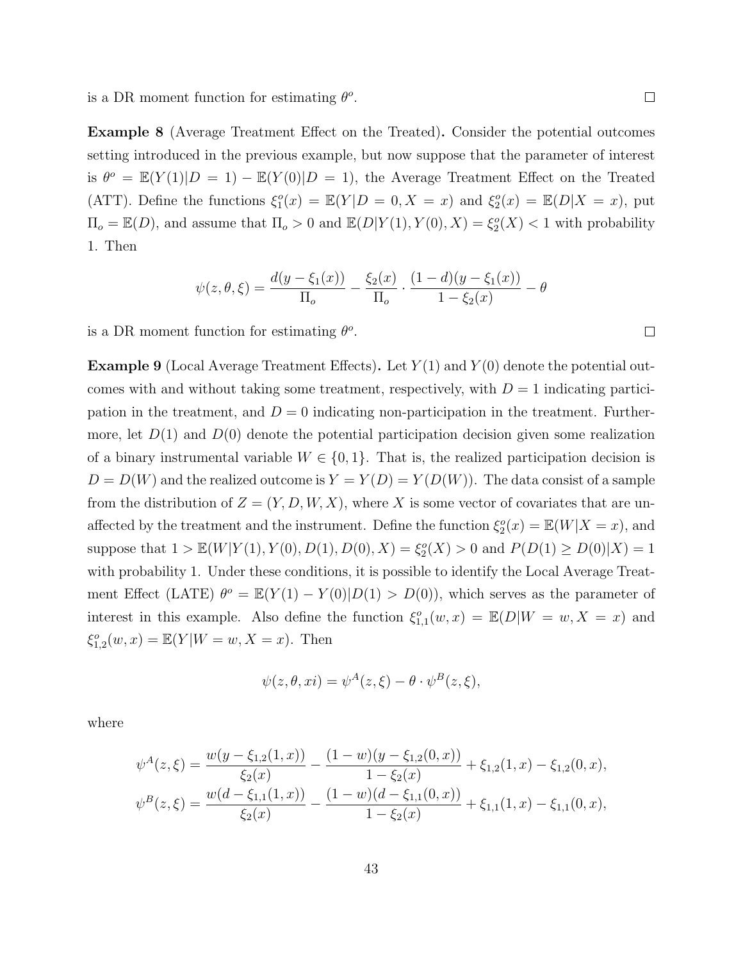is a DR moment function for estimating  $\theta$ <sup>o</sup>.

Example 8 (Average Treatment Effect on the Treated). Consider the potential outcomes setting introduced in the previous example, but now suppose that the parameter of interest is  $\theta^o = \mathbb{E}(Y(1)|D = 1) - \mathbb{E}(Y(0)|D = 1)$ , the Average Treatment Effect on the Treated (ATT). Define the functions  $\xi_1^o(x) = \mathbb{E}(Y|D = 0, X = x)$  and  $\xi_2^o(x) = \mathbb{E}(D|X = x)$ , put  $\Pi_o = \mathbb{E}(D)$ , and assume that  $\Pi_o > 0$  and  $\mathbb{E}(D|Y(1), Y(0), X) = \xi_2^o(X) < 1$  with probability 1. Then

$$
\psi(z,\theta,\xi) = \frac{d(y-\xi_1(x))}{\Pi_o} - \frac{\xi_2(x)}{\Pi_o} \cdot \frac{(1-d)(y-\xi_1(x))}{1-\xi_2(x)} - \theta
$$

is a DR moment function for estimating  $\theta$ <sup>o</sup>.

**Example 9** (Local Average Treatment Effects). Let  $Y(1)$  and  $Y(0)$  denote the potential outcomes with and without taking some treatment, respectively, with  $D = 1$  indicating participation in the treatment, and  $D = 0$  indicating non-participation in the treatment. Furthermore, let  $D(1)$  and  $D(0)$  denote the potential participation decision given some realization of a binary instrumental variable  $W \in \{0,1\}$ . That is, the realized participation decision is  $D = D(W)$  and the realized outcome is  $Y = Y(D) = Y(D(W))$ . The data consist of a sample from the distribution of  $Z = (Y, D, W, X)$ , where X is some vector of covariates that are unaffected by the treatment and the instrument. Define the function  $\xi_2^o(x) = \mathbb{E}(W|X=x)$ , and suppose that  $1 > \mathbb{E}(W|Y(1), Y(0), D(1), D(0), X) = \xi_2^o(X) > 0$  and  $P(D(1) \ge D(0)|X) = 1$ with probability 1. Under these conditions, it is possible to identify the Local Average Treatment Effect (LATE)  $\theta^o = \mathbb{E}(Y(1) - Y(0)|D(1) > D(0))$ , which serves as the parameter of interest in this example. Also define the function  $\xi_{1,1}^{o}(w,x) = \mathbb{E}(D|W = w, X = x)$  and  $\xi_{1,2}^{o}(w, x) = \mathbb{E}(Y|W = w, X = x)$ . Then

$$
\psi(z,\theta,xi) = \psi^{A}(z,\xi) - \theta \cdot \psi^{B}(z,\xi),
$$

where

$$
\psi^A(z,\xi) = \frac{w(y-\xi_{1,2}(1,x))}{\xi_2(x)} - \frac{(1-w)(y-\xi_{1,2}(0,x))}{1-\xi_2(x)} + \xi_{1,2}(1,x) - \xi_{1,2}(0,x),
$$
  

$$
\psi^B(z,\xi) = \frac{w(d-\xi_{1,1}(1,x))}{\xi_2(x)} - \frac{(1-w)(d-\xi_{1,1}(0,x))}{1-\xi_2(x)} + \xi_{1,1}(1,x) - \xi_{1,1}(0,x),
$$

 $\Box$ 

 $\Box$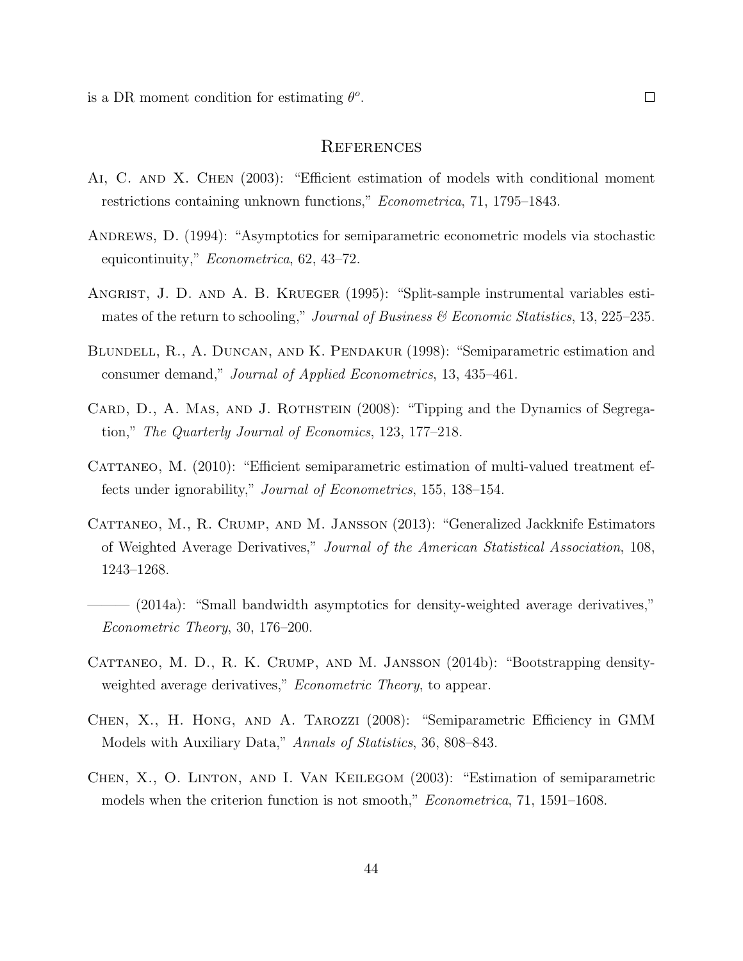is a DR moment condition for estimating  $\theta$ <sup>o</sup>.

## **REFERENCES**

- Ai, C. and X. Chen (2003): "Efficient estimation of models with conditional moment restrictions containing unknown functions," Econometrica, 71, 1795–1843.
- Andrews, D. (1994): "Asymptotics for semiparametric econometric models via stochastic equicontinuity," Econometrica, 62, 43–72.
- ANGRIST, J. D. AND A. B. KRUEGER (1995): "Split-sample instrumental variables estimates of the return to schooling," Journal of Business & Economic Statistics, 13, 225–235.
- Blundell, R., A. Duncan, and K. Pendakur (1998): "Semiparametric estimation and consumer demand," Journal of Applied Econometrics, 13, 435–461.
- CARD, D., A. MAS, AND J. ROTHSTEIN (2008): "Tipping and the Dynamics of Segregation," The Quarterly Journal of Economics, 123, 177–218.
- CATTANEO, M. (2010): "Efficient semiparametric estimation of multi-valued treatment effects under ignorability," Journal of Econometrics, 155, 138–154.
- CATTANEO, M., R. CRUMP, AND M. JANSSON (2013): "Generalized Jackknife Estimators of Weighted Average Derivatives," Journal of the American Statistical Association, 108, 1243–1268.
- (2014a): "Small bandwidth asymptotics for density-weighted average derivatives," Econometric Theory, 30, 176–200.
- CATTANEO, M. D., R. K. CRUMP, AND M. JANSSON (2014b): "Bootstrapping densityweighted average derivatives," *Econometric Theory*, to appear.
- Chen, X., H. Hong, and A. Tarozzi (2008): "Semiparametric Efficiency in GMM Models with Auxiliary Data," Annals of Statistics, 36, 808–843.
- Chen, X., O. Linton, and I. Van Keilegom (2003): "Estimation of semiparametric models when the criterion function is not smooth," Econometrica, 71, 1591–1608.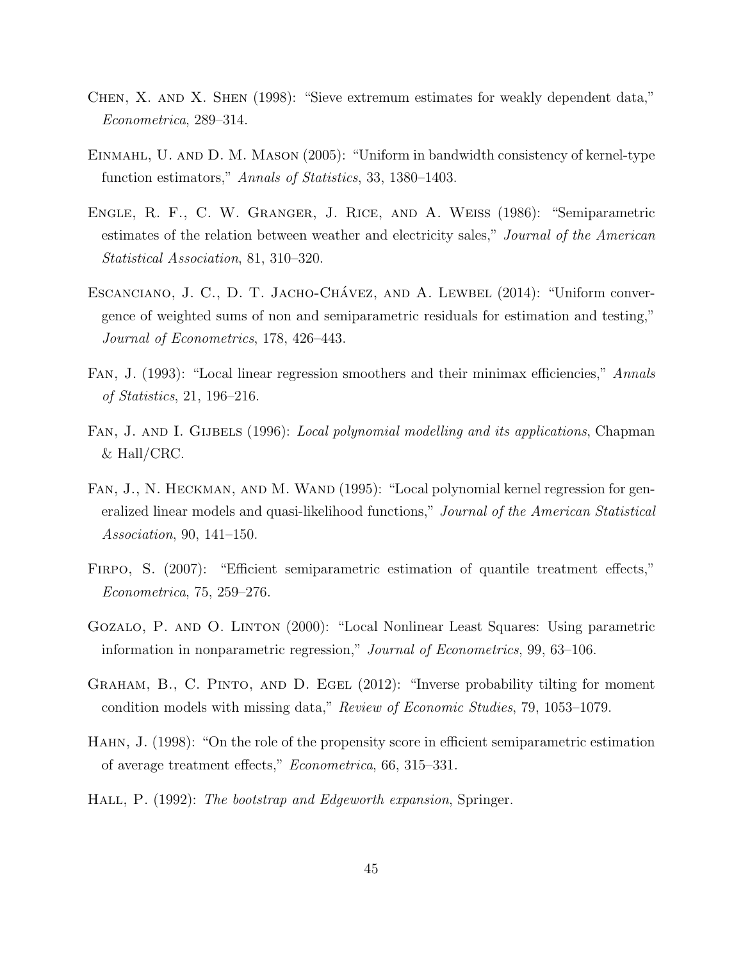- Chen, X. and X. Shen (1998): "Sieve extremum estimates for weakly dependent data," Econometrica, 289–314.
- Einmahl, U. and D. M. Mason (2005): "Uniform in bandwidth consistency of kernel-type function estimators," Annals of Statistics, 33, 1380–1403.
- Engle, R. F., C. W. Granger, J. Rice, and A. Weiss (1986): "Semiparametric estimates of the relation between weather and electricity sales," Journal of the American Statistical Association, 81, 310–320.
- ESCANCIANO, J. C., D. T. JACHO-CHÁVEZ, AND A. LEWBEL (2014): "Uniform convergence of weighted sums of non and semiparametric residuals for estimation and testing," Journal of Econometrics, 178, 426–443.
- Fan, J. (1993): "Local linear regression smoothers and their minimax efficiencies," Annals of Statistics, 21, 196–216.
- FAN, J. AND I. GIJBELS (1996): *Local polynomial modelling and its applications*, Chapman & Hall/CRC.
- FAN, J., N. HECKMAN, AND M. WAND (1995): "Local polynomial kernel regression for generalized linear models and quasi-likelihood functions," Journal of the American Statistical Association, 90, 141–150.
- FIRPO, S. (2007): "Efficient semiparametric estimation of quantile treatment effects," Econometrica, 75, 259–276.
- Gozalo, P. and O. Linton (2000): "Local Nonlinear Least Squares: Using parametric information in nonparametric regression," Journal of Econometrics, 99, 63–106.
- Graham, B., C. Pinto, and D. Egel (2012): "Inverse probability tilting for moment condition models with missing data," Review of Economic Studies, 79, 1053–1079.
- Hahn, J. (1998): "On the role of the propensity score in efficient semiparametric estimation of average treatment effects," Econometrica, 66, 315–331.
- HALL, P. (1992): The bootstrap and Edgeworth expansion, Springer.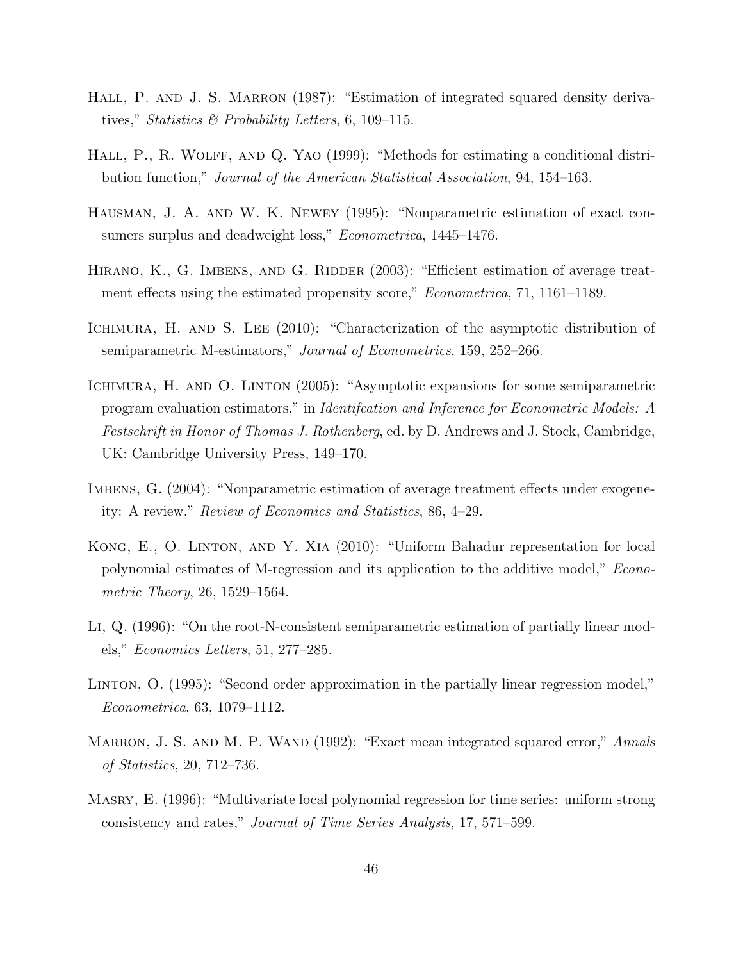- HALL, P. AND J. S. MARRON (1987): "Estimation of integrated squared density derivatives," Statistics & Probability Letters, 6, 109–115.
- HALL, P., R. WOLFF, AND Q. YAO (1999): "Methods for estimating a conditional distribution function," Journal of the American Statistical Association, 94, 154–163.
- Hausman, J. A. and W. K. Newey (1995): "Nonparametric estimation of exact consumers surplus and deadweight loss," *Econometrica*, 1445–1476.
- HIRANO, K., G. IMBENS, AND G. RIDDER (2003): "Efficient estimation of average treatment effects using the estimated propensity score," *Econometrica*, 71, 1161–1189.
- ICHIMURA, H. AND S. LEE (2010): "Characterization of the asymptotic distribution of semiparametric M-estimators," Journal of Econometrics, 159, 252–266.
- ICHIMURA, H. AND O. LINTON (2005): "Asymptotic expansions for some semiparametric program evaluation estimators," in Identifcation and Inference for Econometric Models: A Festschrift in Honor of Thomas J. Rothenberg, ed. by D. Andrews and J. Stock, Cambridge, UK: Cambridge University Press, 149–170.
- IMBENS, G. (2004): "Nonparametric estimation of average treatment effects under exogeneity: A review," Review of Economics and Statistics, 86, 4–29.
- Kong, E., O. Linton, and Y. Xia (2010): "Uniform Bahadur representation for local polynomial estimates of M-regression and its application to the additive model," Econometric Theory, 26, 1529–1564.
- Li, Q. (1996): "On the root-N-consistent semiparametric estimation of partially linear models," Economics Letters, 51, 277–285.
- Linton, O. (1995): "Second order approximation in the partially linear regression model," Econometrica, 63, 1079–1112.
- MARRON, J. S. AND M. P. WAND (1992): "Exact mean integrated squared error," Annals of Statistics, 20, 712–736.
- Masry, E. (1996): "Multivariate local polynomial regression for time series: uniform strong consistency and rates," Journal of Time Series Analysis, 17, 571–599.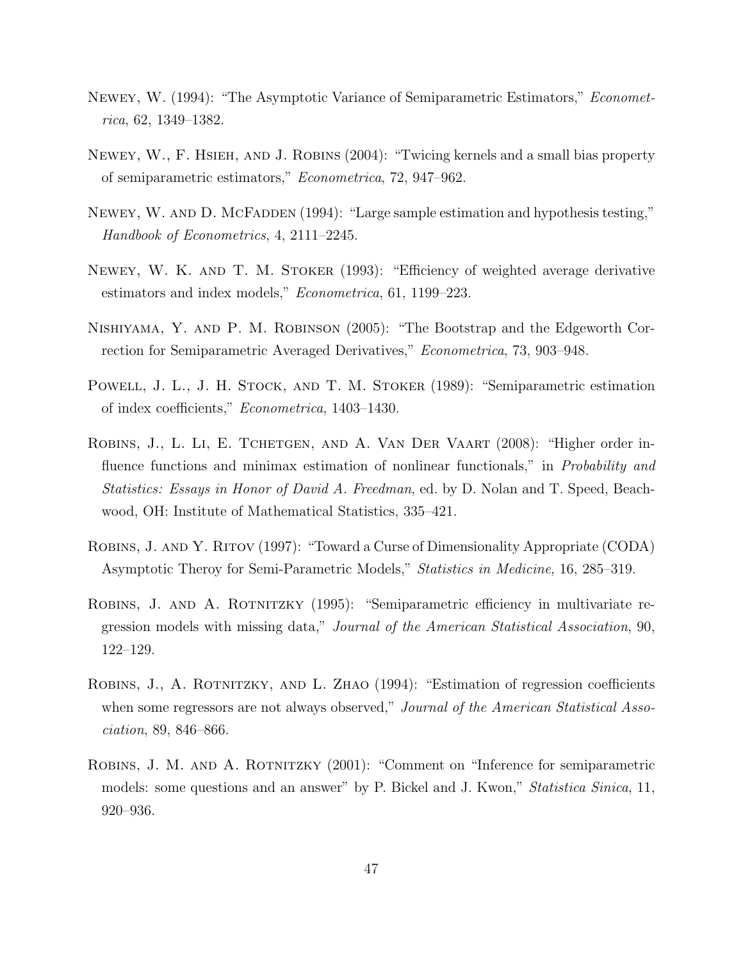- Newey, W. (1994): "The Asymptotic Variance of Semiparametric Estimators," Econometrica, 62, 1349–1382.
- Newey, W., F. Hsieh, and J. Robins (2004): "Twicing kernels and a small bias property of semiparametric estimators," Econometrica, 72, 947–962.
- NEWEY, W. AND D. MCFADDEN (1994): "Large sample estimation and hypothesis testing," Handbook of Econometrics, 4, 2111–2245.
- Newey, W. K. and T. M. Stoker (1993): "Efficiency of weighted average derivative estimators and index models," Econometrica, 61, 1199–223.
- Nishiyama, Y. and P. M. Robinson (2005): "The Bootstrap and the Edgeworth Correction for Semiparametric Averaged Derivatives," Econometrica, 73, 903–948.
- POWELL, J. L., J. H. STOCK, AND T. M. STOKER (1989): "Semiparametric estimation of index coefficients," Econometrica, 1403–1430.
- ROBINS, J., L. LI, E. TCHETGEN, AND A. VAN DER VAART (2008): "Higher order influence functions and minimax estimation of nonlinear functionals," in *Probability and* Statistics: Essays in Honor of David A. Freedman, ed. by D. Nolan and T. Speed, Beachwood, OH: Institute of Mathematical Statistics, 335–421.
- Robins, J. and Y. Ritov (1997): "Toward a Curse of Dimensionality Appropriate (CODA) Asymptotic Theroy for Semi-Parametric Models," Statistics in Medicine, 16, 285–319.
- ROBINS, J. AND A. ROTNITZKY (1995): "Semiparametric efficiency in multivariate regression models with missing data," Journal of the American Statistical Association, 90, 122–129.
- Robins, J., A. Rotnitzky, and L. Zhao (1994): "Estimation of regression coefficients when some regressors are not always observed," *Journal of the American Statistical Asso*ciation, 89, 846–866.
- Robins, J. M. and A. Rotnitzky (2001): "Comment on "Inference for semiparametric models: some questions and an answer" by P. Bickel and J. Kwon," Statistica Sinica, 11, 920–936.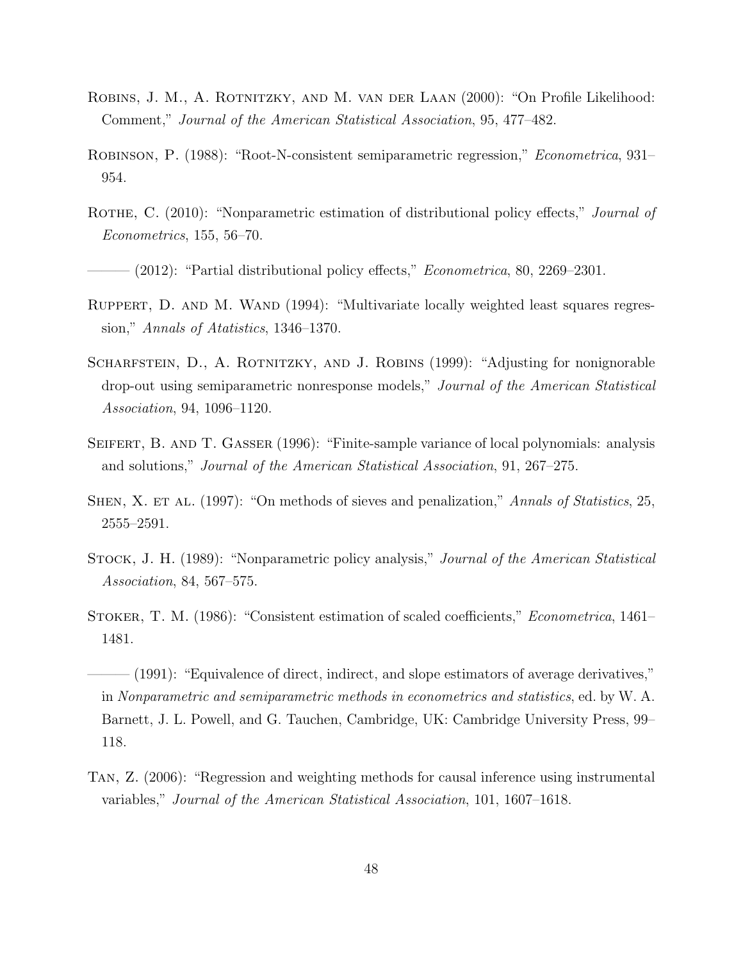- Robins, J. M., A. Rotnitzky, and M. van der Laan (2000): "On Profile Likelihood: Comment," Journal of the American Statistical Association, 95, 477–482.
- Robinson, P. (1988): "Root-N-consistent semiparametric regression," Econometrica, 931– 954.
- ROTHE, C. (2010): "Nonparametric estimation of distributional policy effects," *Journal of* Econometrics, 155, 56–70.
- $-(2012)$ : "Partial distributional policy effects," *Econometrica*, 80, 2269–2301.
- RUPPERT, D. AND M. WAND (1994): "Multivariate locally weighted least squares regression," Annals of Atatistics, 1346–1370.
- SCHARFSTEIN, D., A. ROTNITZKY, AND J. ROBINS (1999): "Adjusting for nonignorable drop-out using semiparametric nonresponse models," Journal of the American Statistical Association, 94, 1096–1120.
- SEIFERT, B. AND T. GASSER (1996): "Finite-sample variance of local polynomials: analysis and solutions," Journal of the American Statistical Association, 91, 267–275.
- SHEN, X. ET AL. (1997): "On methods of sieves and penalization," Annals of Statistics, 25, 2555–2591.
- Stock, J. H. (1989): "Nonparametric policy analysis," Journal of the American Statistical Association, 84, 567–575.
- Stoker, T. M. (1986): "Consistent estimation of scaled coefficients," Econometrica, 1461– 1481.
- (1991): "Equivalence of direct, indirect, and slope estimators of average derivatives," in Nonparametric and semiparametric methods in econometrics and statistics, ed. by W. A. Barnett, J. L. Powell, and G. Tauchen, Cambridge, UK: Cambridge University Press, 99– 118.
- Tan, Z. (2006): "Regression and weighting methods for causal inference using instrumental variables," Journal of the American Statistical Association, 101, 1607–1618.